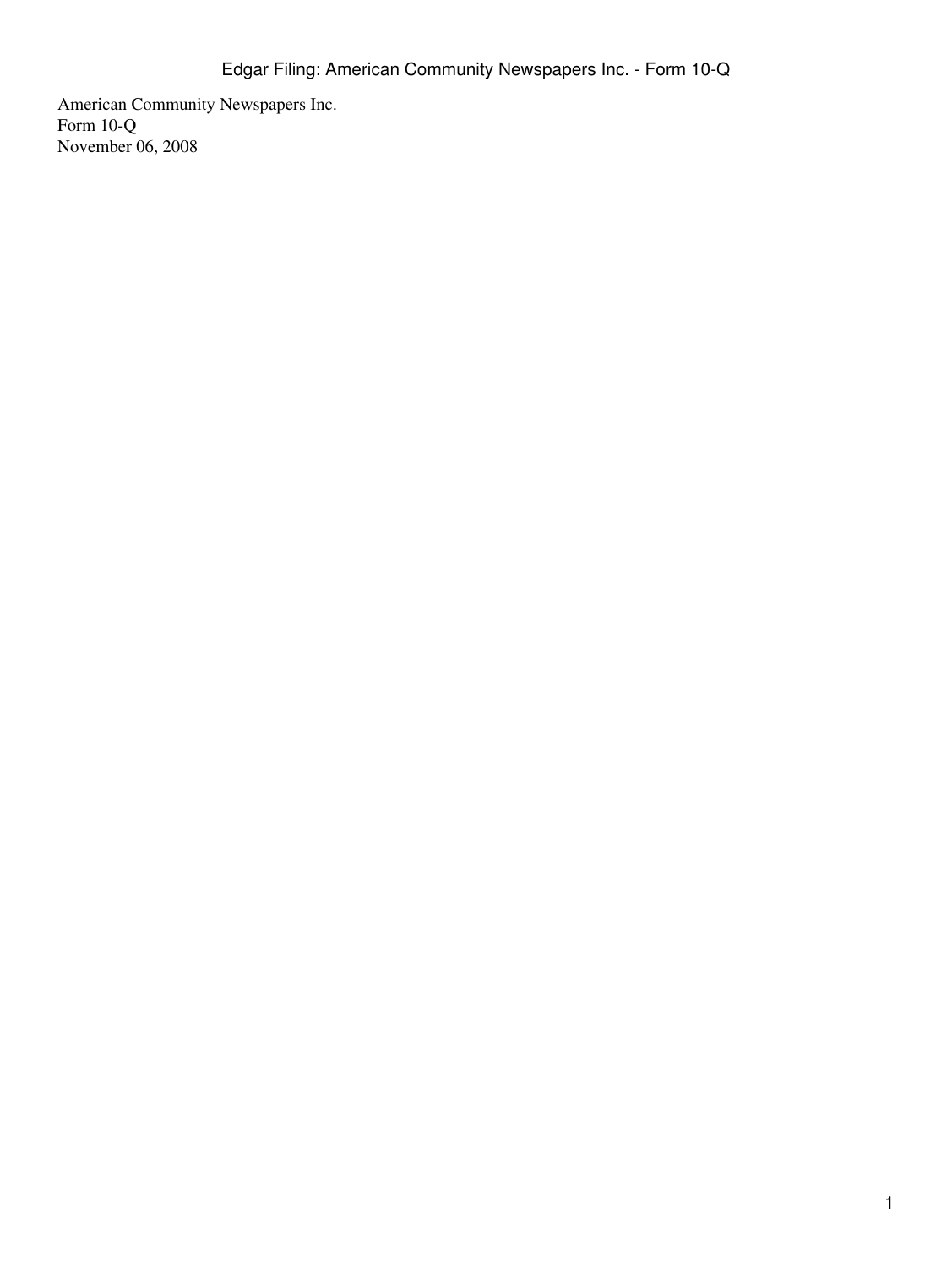American Community Newspapers Inc. Form 10-Q November 06, 2008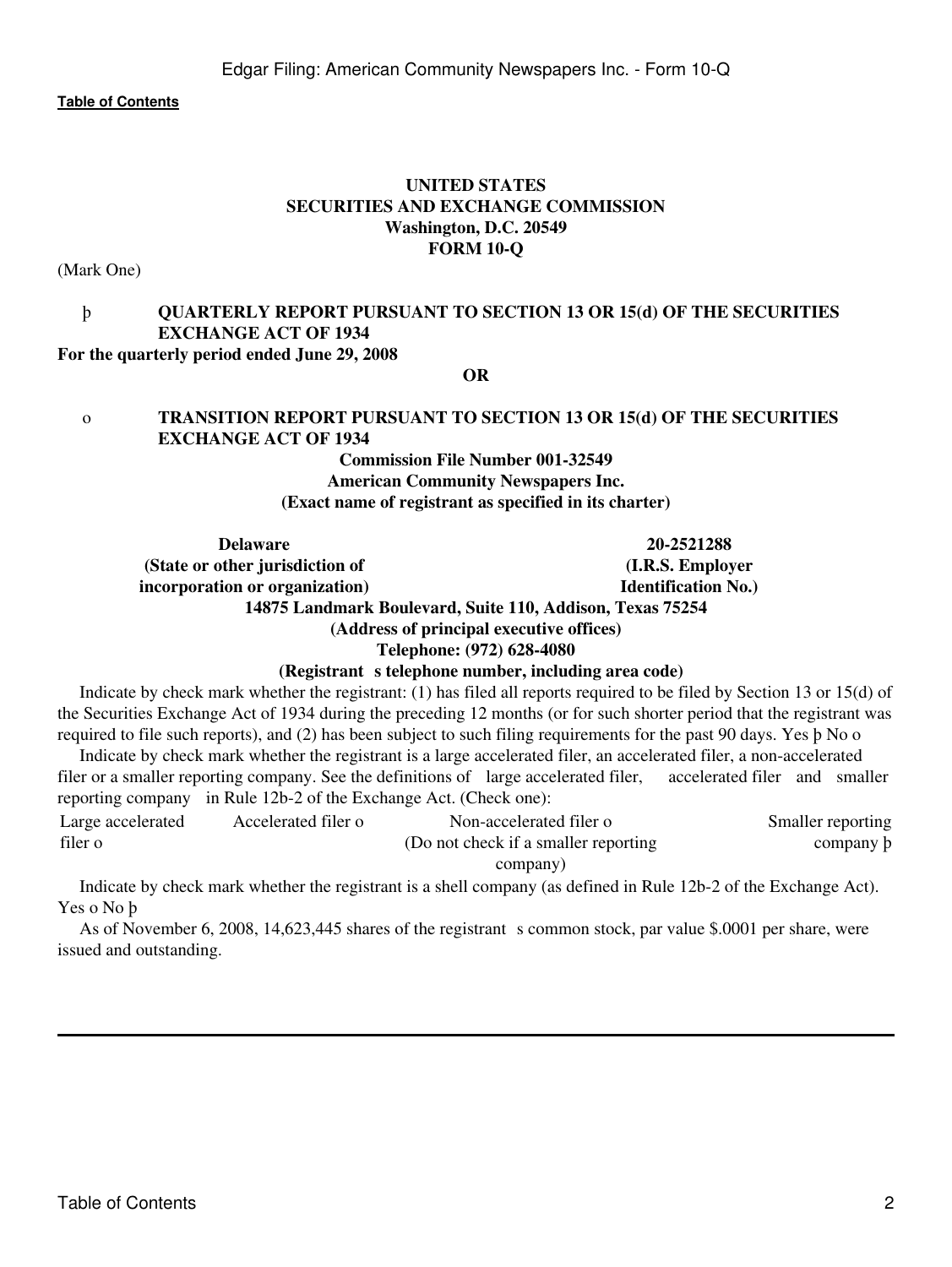# **UNITED STATES SECURITIES AND EXCHANGE COMMISSION Washington, D.C. 20549 FORM 10-Q**

(Mark One)

# þ **QUARTERLY REPORT PURSUANT TO SECTION 13 OR 15(d) OF THE SECURITIES EXCHANGE ACT OF 1934**

#### **For the quarterly period ended June 29, 2008**

**OR**

# o **TRANSITION REPORT PURSUANT TO SECTION 13 OR 15(d) OF THE SECURITIES EXCHANGE ACT OF 1934**

# **Commission File Number 001-32549 American Community Newspapers Inc. (Exact name of registrant as specified in its charter)**

**Delaware 20-2521288 (State or other jurisdiction of incorporation or organization) (I.R.S. Employer Identification No.) 14875 Landmark Boulevard, Suite 110, Addison, Texas 75254 (Address of principal executive offices)**

**Telephone: (972) 628-4080**

#### (Registrant s telephone number, including area code)

 Indicate by check mark whether the registrant: (1) has filed all reports required to be filed by Section 13 or 15(d) of the Securities Exchange Act of 1934 during the preceding 12 months (or for such shorter period that the registrant was required to file such reports), and (2) has been subject to such filing requirements for the past 90 days. Yes þ No o

 Indicate by check mark whether the registrant is a large accelerated filer, an accelerated filer, a non-accelerated filer or a smaller reporting company. See the definitions of large accelerated filer, accelerated filer and smaller reporting company in Rule 12b-2 of the Exchange Act. (Check one):

| Large accelerated | Accelerated filer o | Non-accelerated filer o               | Smaller reporting |
|-------------------|---------------------|---------------------------------------|-------------------|
| filer o           |                     | (Do not check if a smaller reporting) | company b         |
|                   |                     | company)                              |                   |

 Indicate by check mark whether the registrant is a shell company (as defined in Rule 12b-2 of the Exchange Act). Yes o No þ

As of November 6, 2008, 14,623,445 shares of the registrant s common stock, par value \$.0001 per share, were issued and outstanding.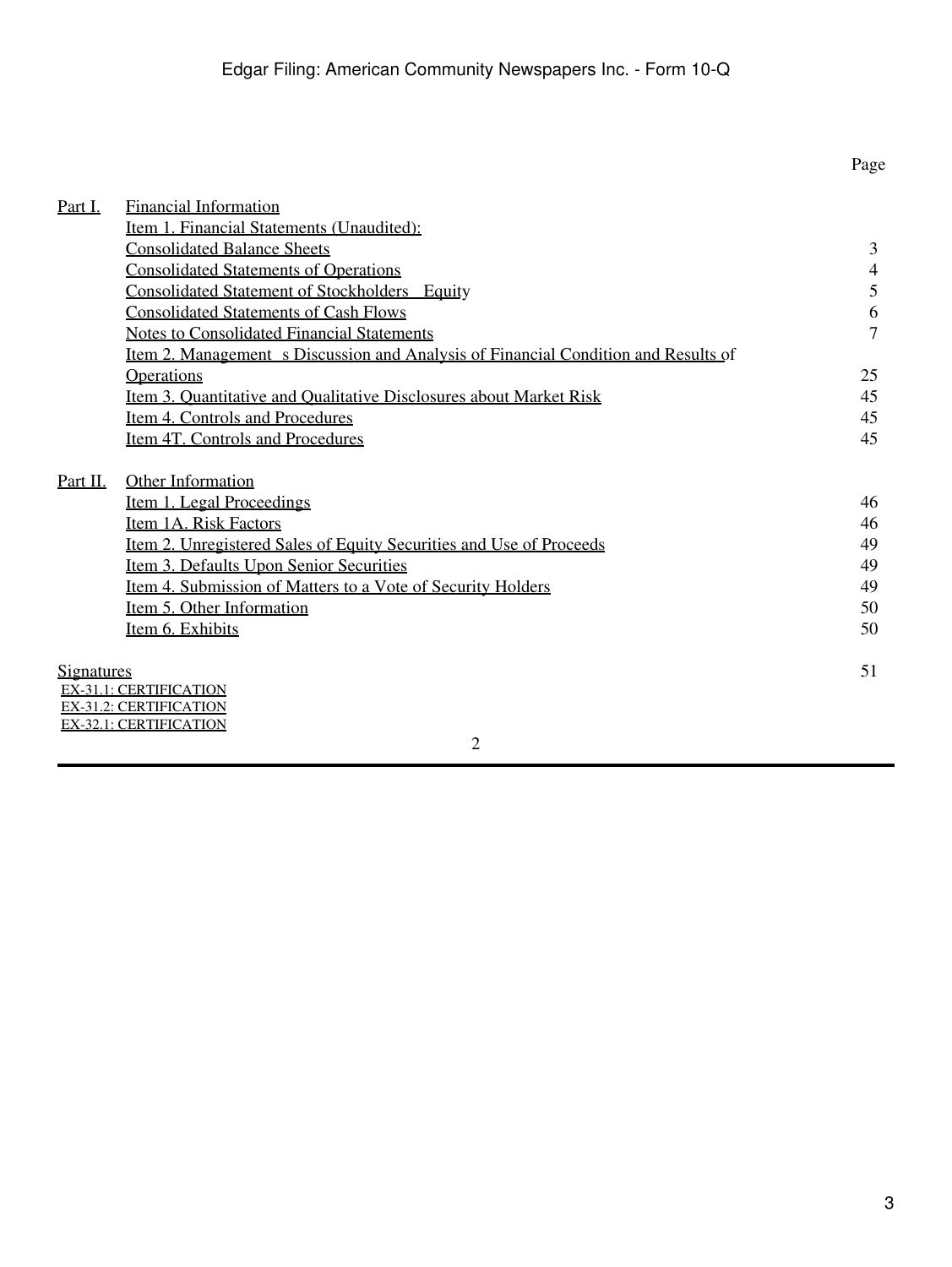<span id="page-2-0"></span>

|                   |                                                                                           | Page           |
|-------------------|-------------------------------------------------------------------------------------------|----------------|
| Part I.           | <b>Financial Information</b>                                                              |                |
|                   | Item 1. Financial Statements (Unaudited):                                                 |                |
|                   | <b>Consolidated Balance Sheets</b>                                                        | 3              |
|                   | <b>Consolidated Statements of Operations</b>                                              | $\overline{4}$ |
|                   | <b>Consolidated Statement of Stockholders Equity</b>                                      | 5              |
|                   | <b>Consolidated Statements of Cash Flows</b>                                              | 6              |
|                   | <b>Notes to Consolidated Financial Statements</b>                                         | 7              |
|                   | <u>Item 2. Management s Discussion and Analysis of Financial Condition and Results of</u> |                |
|                   | Operations                                                                                | 25             |
|                   | Item 3. Quantitative and Qualitative Disclosures about Market Risk                        | 45             |
|                   | Item 4. Controls and Procedures                                                           | 45             |
|                   | Item 4T. Controls and Procedures                                                          | 45             |
| Part II.          | Other Information                                                                         |                |
|                   | Item 1. Legal Proceedings                                                                 | 46             |
|                   | Item 1A. Risk Factors                                                                     | 46             |
|                   | <u>Item 2. Unregistered Sales of Equity Securities and Use of Proceeds</u>                | 49             |
|                   | Item 3. Defaults Upon Senior Securities                                                   | 49             |
|                   | <u>Item 4. Submission of Matters to a Vote of Security Holders</u>                        | 49             |
|                   | Item 5. Other Information                                                                 | 50             |
|                   | Item 6. Exhibits                                                                          | 50             |
| <u>Signatures</u> |                                                                                           | 51             |
|                   | <b>EX-31.1: CERTIFICATION</b>                                                             |                |
|                   | <b>EX-31.2: CERTIFICATION</b>                                                             |                |
|                   | <b>EX-32.1: CERTIFICATION</b>                                                             |                |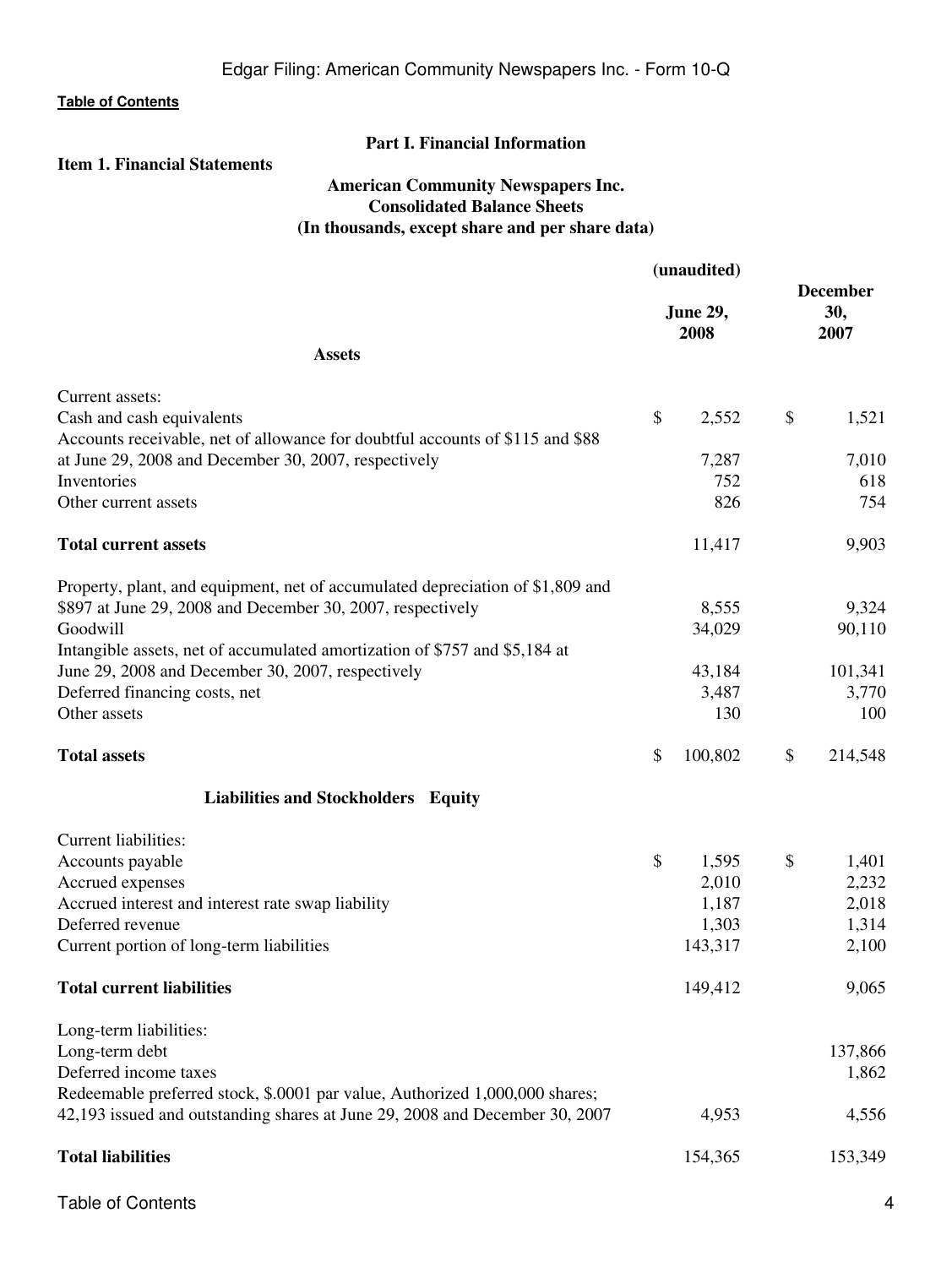# **Part I. Financial Information**

# <span id="page-3-2"></span><span id="page-3-1"></span><span id="page-3-0"></span>**Item 1. Financial Statements**

# **American Community Newspapers Inc. Consolidated Balance Sheets (In thousands, except share and per share data)**

|                                                                                | (unaudited) |                         |    |                                |
|--------------------------------------------------------------------------------|-------------|-------------------------|----|--------------------------------|
|                                                                                |             | <b>June 29,</b><br>2008 |    | <b>December</b><br>30,<br>2007 |
| <b>Assets</b>                                                                  |             |                         |    |                                |
| Current assets:                                                                |             |                         |    |                                |
| Cash and cash equivalents                                                      | \$          | 2,552                   | \$ | 1,521                          |
| Accounts receivable, net of allowance for doubtful accounts of \$115 and \$88  |             |                         |    |                                |
| at June 29, 2008 and December 30, 2007, respectively                           |             | 7,287                   |    | 7,010                          |
| Inventories                                                                    |             | 752                     |    | 618                            |
| Other current assets                                                           |             | 826                     |    | 754                            |
| <b>Total current assets</b>                                                    |             | 11,417                  |    | 9,903                          |
| Property, plant, and equipment, net of accumulated depreciation of \$1,809 and |             |                         |    |                                |
| \$897 at June 29, 2008 and December 30, 2007, respectively                     |             | 8,555                   |    | 9,324                          |
| Goodwill                                                                       |             | 34,029                  |    | 90,110                         |
| Intangible assets, net of accumulated amortization of \$757 and \$5,184 at     |             |                         |    |                                |
| June 29, 2008 and December 30, 2007, respectively                              |             | 43,184                  |    | 101,341                        |
| Deferred financing costs, net                                                  |             | 3,487                   |    | 3,770                          |
| Other assets                                                                   |             | 130                     |    | 100                            |
| <b>Total assets</b>                                                            | \$          | 100,802                 | \$ | 214,548                        |
| Liabilities and Stockholders Equity                                            |             |                         |    |                                |
| Current liabilities:                                                           |             |                         |    |                                |
| Accounts payable                                                               | \$          | 1,595                   | \$ | 1,401                          |
| Accrued expenses                                                               |             | 2,010                   |    | 2,232                          |
| Accrued interest and interest rate swap liability                              |             | 1,187                   |    | 2,018                          |
| Deferred revenue                                                               |             | 1,303                   |    | 1,314                          |
| Current portion of long-term liabilities                                       |             | 143,317                 |    | 2,100                          |
| <b>Total current liabilities</b>                                               |             | 149,412                 |    | 9,065                          |
| Long-term liabilities:                                                         |             |                         |    |                                |
| Long-term debt                                                                 |             |                         |    | 137,866                        |
| Deferred income taxes                                                          |             |                         |    | 1,862                          |
| Redeemable preferred stock, \$.0001 par value, Authorized 1,000,000 shares;    |             |                         |    |                                |
| 42,193 issued and outstanding shares at June 29, 2008 and December 30, 2007    |             | 4,953                   |    | 4,556                          |
| <b>Total liabilities</b>                                                       |             | 154,365                 |    | 153,349                        |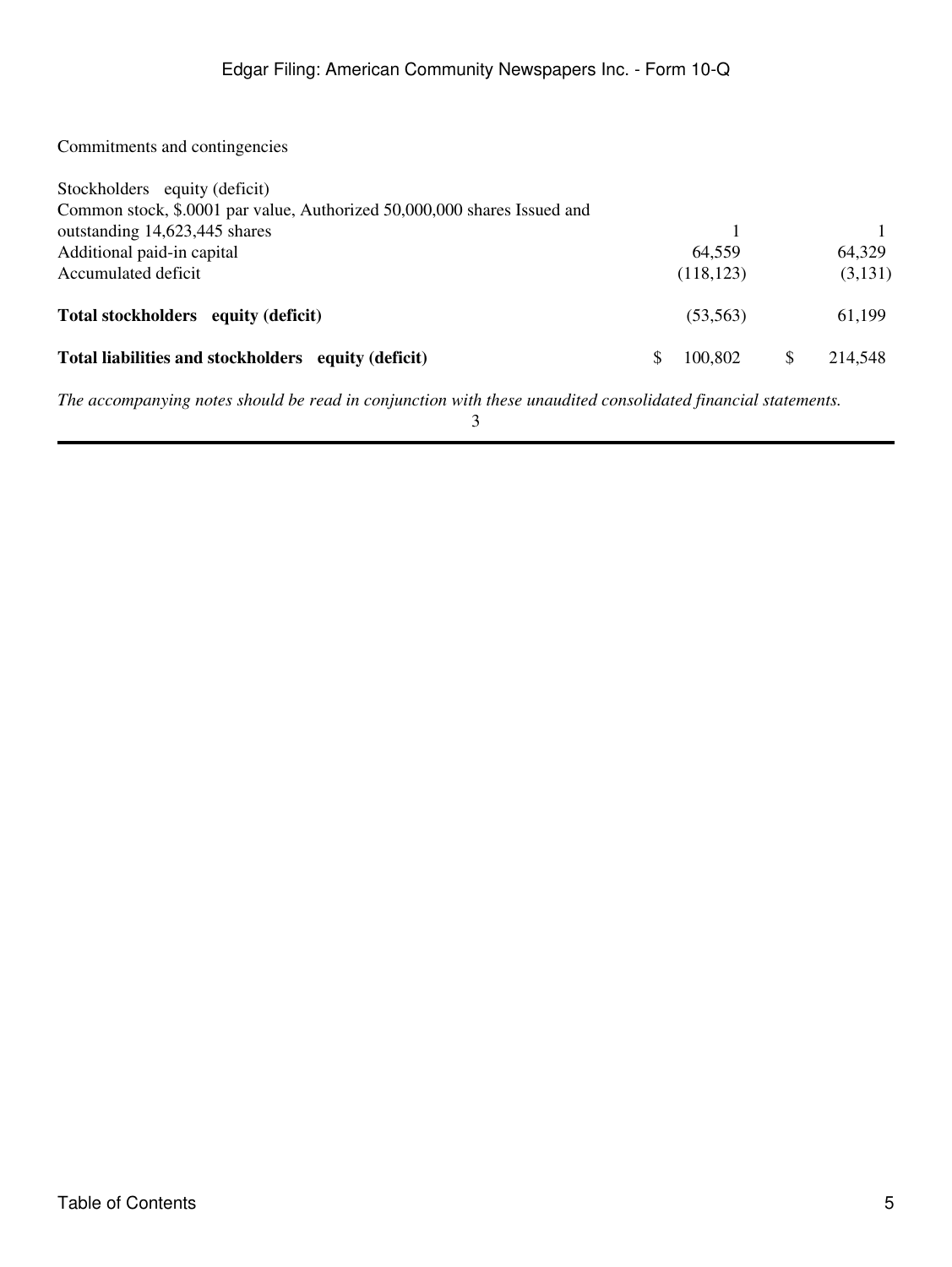Commitments and contingencies

| Stockholders equity (deficit)                                            |     |            |               |
|--------------------------------------------------------------------------|-----|------------|---------------|
| Common stock, \$.0001 par value, Authorized 50,000,000 shares Issued and |     |            |               |
| outstanding 14,623,445 shares                                            |     |            |               |
| Additional paid-in capital                                               |     | 64,559     | 64,329        |
| Accumulated deficit                                                      |     | (118, 123) | (3,131)       |
| Total stockholders equity (deficit)                                      |     | (53, 563)  | 61,199        |
| Total liabilities and stockholders equity (deficit)                      | \$. | 100,802    | \$<br>214,548 |

*The accompanying notes should be read in conjunction with these unaudited consolidated financial statements.*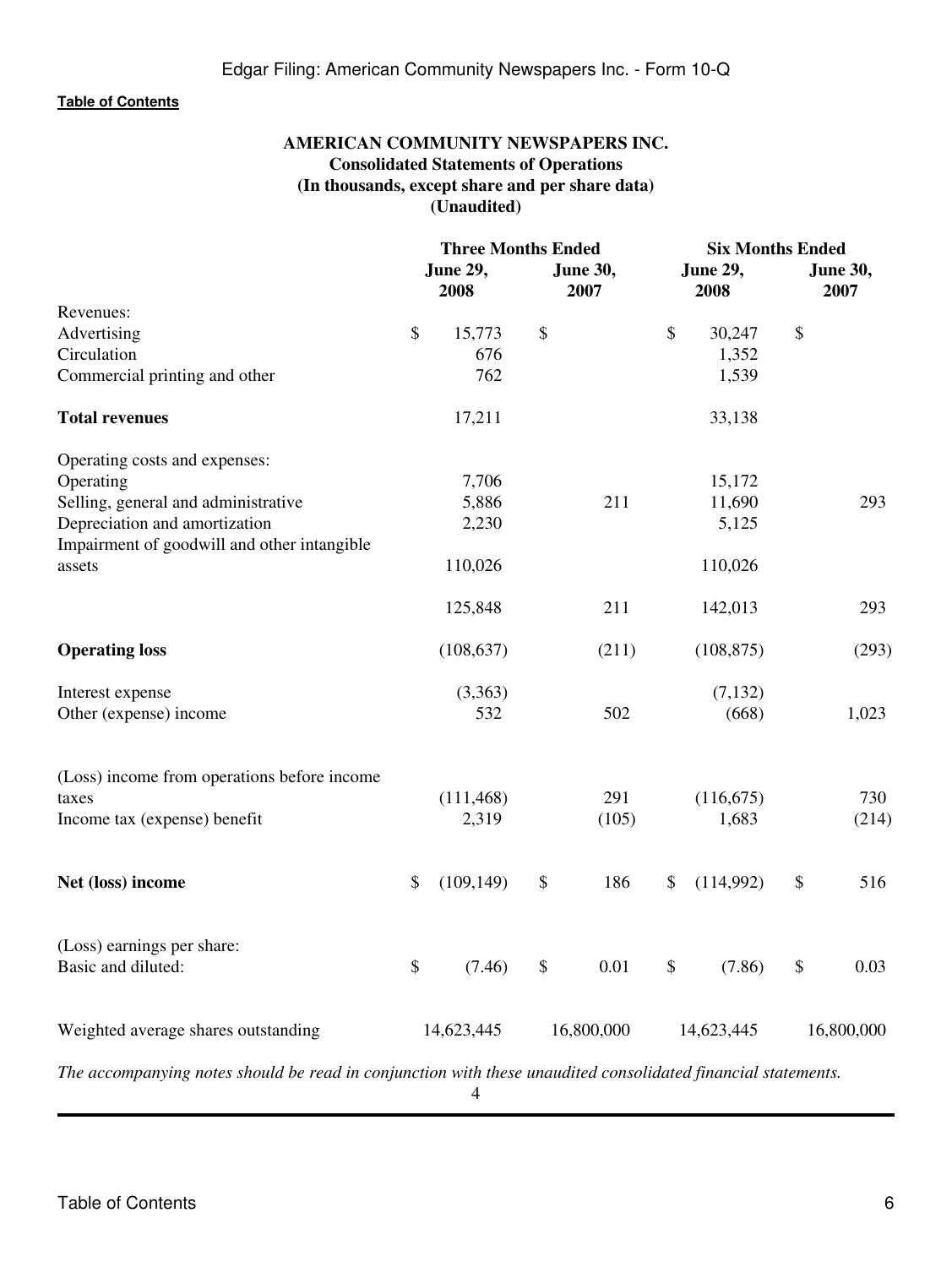# **AMERICAN COMMUNITY NEWSPAPERS INC. Consolidated Statements of Operations (In thousands, except share and per share data) (Unaudited)**

<span id="page-5-0"></span>

|                                                                                                              | <b>Three Months Ended</b> |            |                         | <b>Six Months Ended</b> |                         |            |                         |            |
|--------------------------------------------------------------------------------------------------------------|---------------------------|------------|-------------------------|-------------------------|-------------------------|------------|-------------------------|------------|
|                                                                                                              | June 29,<br>2008          |            | <b>June 30,</b><br>2007 |                         | <b>June 29,</b><br>2008 |            | <b>June 30,</b><br>2007 |            |
| Revenues:                                                                                                    |                           |            |                         |                         |                         |            |                         |            |
| Advertising                                                                                                  | \$                        | 15,773     | \$                      |                         | \$                      | 30,247     | $\$$                    |            |
| Circulation                                                                                                  |                           | 676        |                         |                         |                         | 1,352      |                         |            |
| Commercial printing and other                                                                                |                           | 762        |                         |                         |                         | 1,539      |                         |            |
| <b>Total revenues</b>                                                                                        |                           | 17,211     |                         |                         |                         | 33,138     |                         |            |
| Operating costs and expenses:                                                                                |                           |            |                         |                         |                         |            |                         |            |
| Operating                                                                                                    |                           | 7,706      |                         |                         |                         | 15,172     |                         |            |
| Selling, general and administrative                                                                          |                           | 5,886      |                         | 211                     |                         | 11,690     |                         | 293        |
| Depreciation and amortization<br>Impairment of goodwill and other intangible                                 |                           | 2,230      |                         |                         |                         | 5,125      |                         |            |
| assets                                                                                                       |                           | 110,026    |                         |                         |                         | 110,026    |                         |            |
|                                                                                                              |                           | 125,848    |                         | 211                     |                         | 142,013    |                         | 293        |
| <b>Operating loss</b>                                                                                        |                           | (108, 637) |                         | (211)                   |                         | (108, 875) |                         | (293)      |
| Interest expense                                                                                             |                           | (3,363)    |                         |                         |                         | (7, 132)   |                         |            |
| Other (expense) income                                                                                       |                           | 532        |                         | 502                     |                         | (668)      |                         | 1,023      |
| (Loss) income from operations before income                                                                  |                           |            |                         |                         |                         |            |                         |            |
| taxes                                                                                                        |                           | (111, 468) |                         | 291                     |                         | (116, 675) |                         | 730        |
| Income tax (expense) benefit                                                                                 |                           | 2,319      |                         | (105)                   |                         | 1,683      |                         | (214)      |
| Net (loss) income                                                                                            | \$                        | (109, 149) | \$                      | 186                     | \$                      | (114,992)  | \$                      | 516        |
| (Loss) earnings per share:                                                                                   |                           |            |                         |                         |                         |            |                         |            |
| Basic and diluted:                                                                                           | \$                        | (7.46)     | \$                      | 0.01                    | \$                      | (7.86)     | \$                      | 0.03       |
| Weighted average shares outstanding                                                                          |                           | 14,623,445 |                         | 16,800,000              |                         | 14,623,445 |                         | 16,800,000 |
| The accompanying notes should be read in conjunction with these unaudited consolidated financial statements. |                           |            |                         |                         |                         |            |                         |            |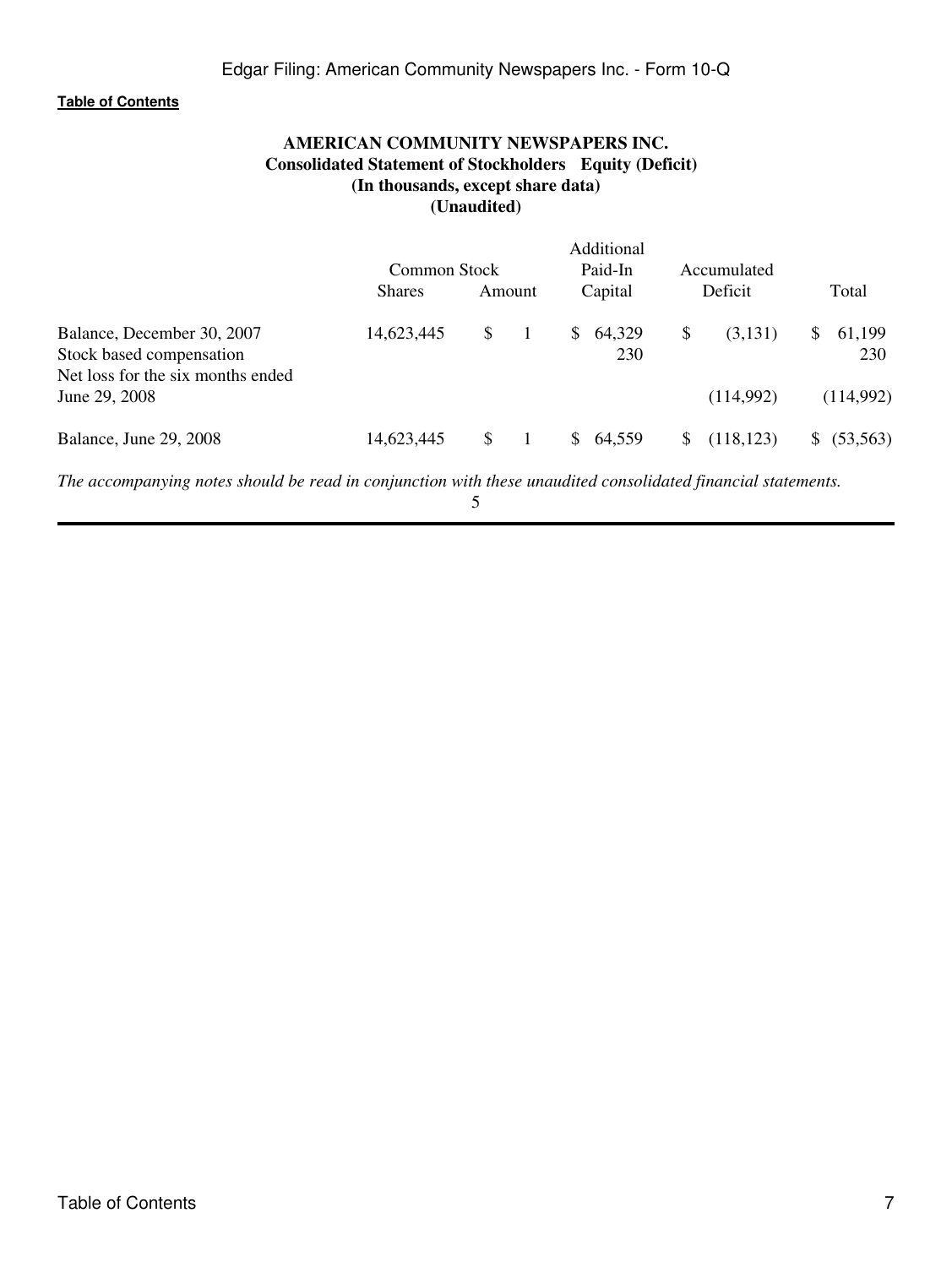# **AMERICAN COMMUNITY NEWSPAPERS INC. Consolidated Statement of Stockholders Equity (Deficit) (In thousands, except share data) (Unaudited)**

<span id="page-6-0"></span>

|                                   |               |        |    | Additional |    |             |    |           |
|-----------------------------------|---------------|--------|----|------------|----|-------------|----|-----------|
|                                   | Common Stock  |        |    | Paid-In    |    | Accumulated |    |           |
|                                   | <b>Shares</b> | Amount |    | Capital    |    | Deficit     |    | Total     |
| Balance, December 30, 2007        | 14,623,445    | \$     | S. | 64,329     | \$ | (3,131)     | S. | 61,199    |
| Stock based compensation          |               |        |    | 230        |    |             |    | 230       |
| Net loss for the six months ended |               |        |    |            |    |             |    |           |
| June 29, 2008                     |               |        |    |            |    | (114,992)   |    | (114,992) |
| Balance, June 29, 2008            | 14,623,445    | S      | S  | 64.559     | S  | (118, 123)  |    | (53, 563) |

*The accompanying notes should be read in conjunction with these unaudited consolidated financial statements.*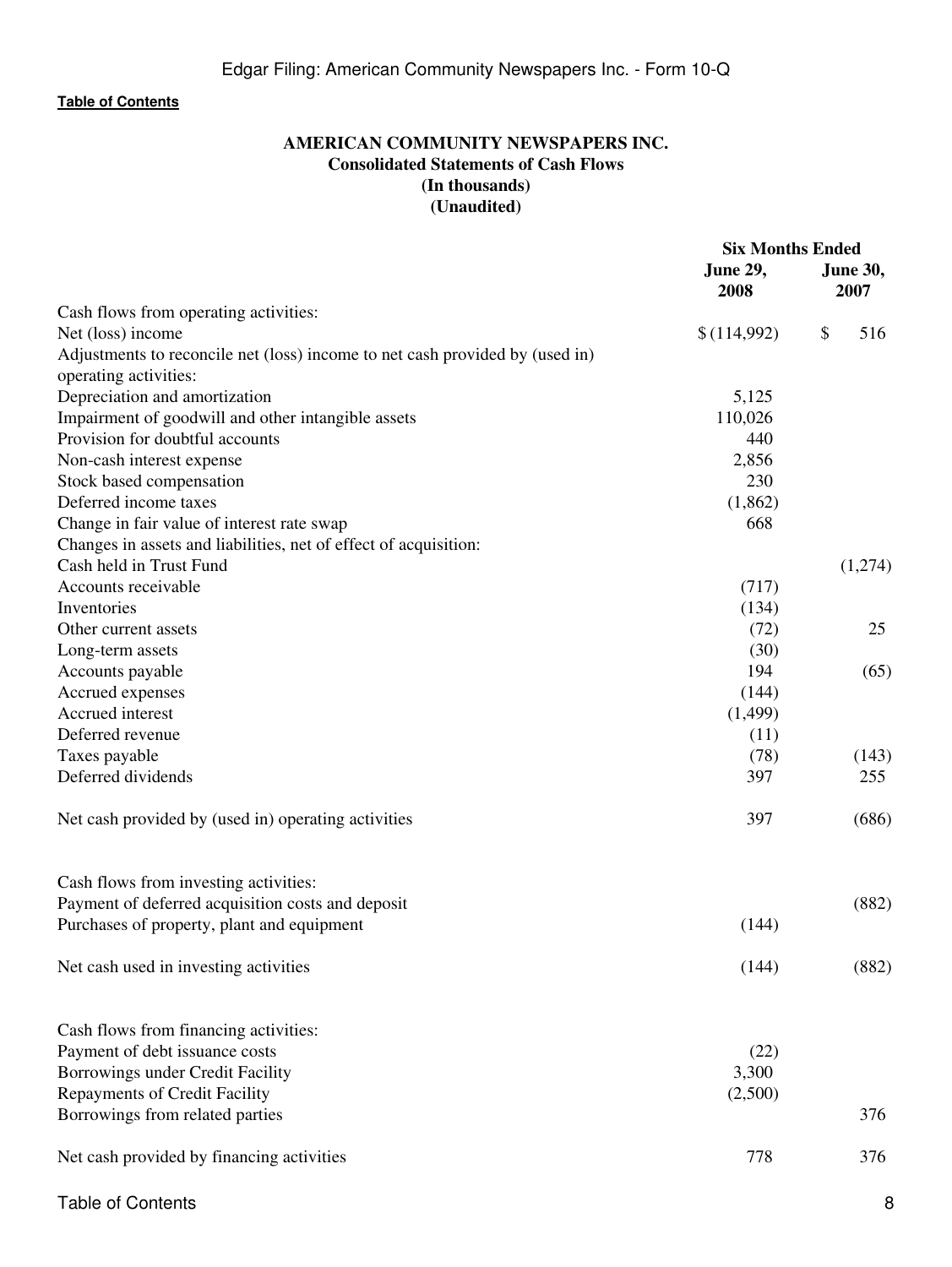# **AMERICAN COMMUNITY NEWSPAPERS INC. Consolidated Statements of Cash Flows (In thousands) (Unaudited)**

<span id="page-7-0"></span>

|                                                                              | <b>Six Months Ended</b> |    |                         |
|------------------------------------------------------------------------------|-------------------------|----|-------------------------|
|                                                                              | <b>June 29,</b><br>2008 |    | <b>June 30,</b><br>2007 |
| Cash flows from operating activities:                                        |                         |    |                         |
| Net (loss) income                                                            | \$(114,992)             | \$ | 516                     |
| Adjustments to reconcile net (loss) income to net cash provided by (used in) |                         |    |                         |
| operating activities:                                                        |                         |    |                         |
| Depreciation and amortization                                                | 5,125                   |    |                         |
| Impairment of goodwill and other intangible assets                           | 110,026                 |    |                         |
| Provision for doubtful accounts                                              | 440                     |    |                         |
| Non-cash interest expense                                                    | 2,856                   |    |                         |
| Stock based compensation                                                     | 230                     |    |                         |
| Deferred income taxes                                                        | (1,862)                 |    |                         |
| Change in fair value of interest rate swap                                   | 668                     |    |                         |
| Changes in assets and liabilities, net of effect of acquisition:             |                         |    |                         |
| Cash held in Trust Fund                                                      |                         |    | (1,274)                 |
| Accounts receivable                                                          | (717)                   |    |                         |
| Inventories                                                                  | (134)                   |    |                         |
| Other current assets                                                         | (72)                    |    | 25                      |
| Long-term assets                                                             | (30)                    |    |                         |
| Accounts payable                                                             | 194                     |    | (65)                    |
| Accrued expenses                                                             | (144)                   |    |                         |
| Accrued interest                                                             | (1, 499)                |    |                         |
| Deferred revenue                                                             | (11)                    |    |                         |
| Taxes payable                                                                | (78)                    |    | (143)                   |
| Deferred dividends                                                           | 397                     |    | 255                     |
| Net cash provided by (used in) operating activities                          | 397                     |    | (686)                   |
| Cash flows from investing activities:                                        |                         |    |                         |
| Payment of deferred acquisition costs and deposit                            |                         |    | (882)                   |
| Purchases of property, plant and equipment                                   | (144)                   |    |                         |
| Net cash used in investing activities                                        | (144)                   |    | (882)                   |
| Cash flows from financing activities:                                        |                         |    |                         |
| Payment of debt issuance costs                                               | (22)                    |    |                         |
| Borrowings under Credit Facility                                             | 3,300                   |    |                         |
| Repayments of Credit Facility                                                | (2,500)                 |    |                         |
| Borrowings from related parties                                              |                         |    | 376                     |
| Net cash provided by financing activities                                    | 778                     |    | 376                     |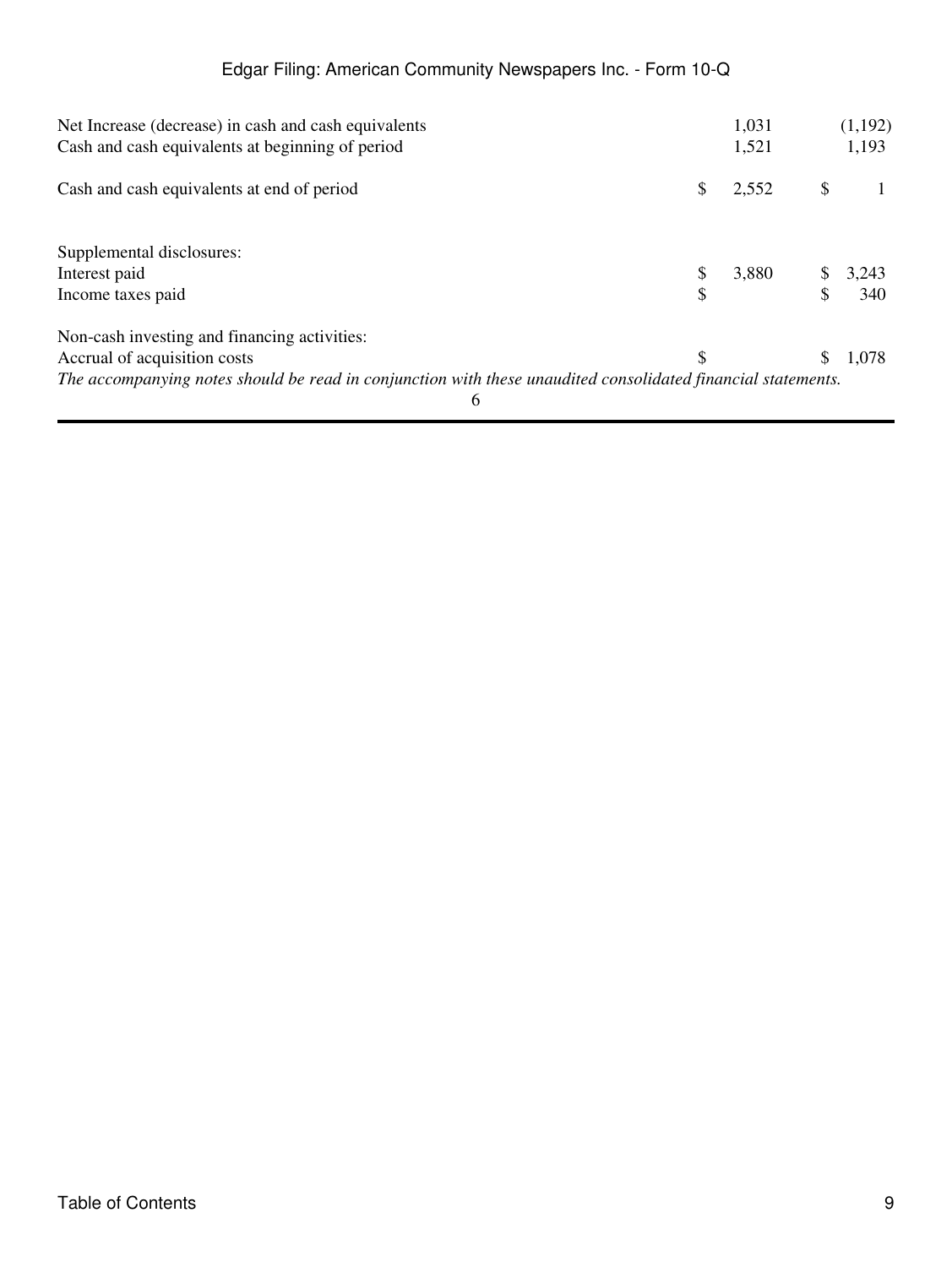| Net Increase (decrease) in cash and cash equivalents                                                         |    | 1,031 |    | (1,192) |
|--------------------------------------------------------------------------------------------------------------|----|-------|----|---------|
| Cash and cash equivalents at beginning of period                                                             |    | 1,521 |    | 1,193   |
| Cash and cash equivalents at end of period                                                                   | \$ | 2,552 | S  |         |
| Supplemental disclosures:                                                                                    |    |       |    |         |
| Interest paid                                                                                                |    | 3,880 | \$ | 3,243   |
| Income taxes paid                                                                                            |    |       | \$ | 340     |
| Non-cash investing and financing activities:                                                                 |    |       |    |         |
| Accrual of acquisition costs                                                                                 | S  |       | S  | 1,078   |
| The accompanying notes should be read in conjunction with these unaudited consolidated financial statements. |    |       |    |         |
| 6                                                                                                            |    |       |    |         |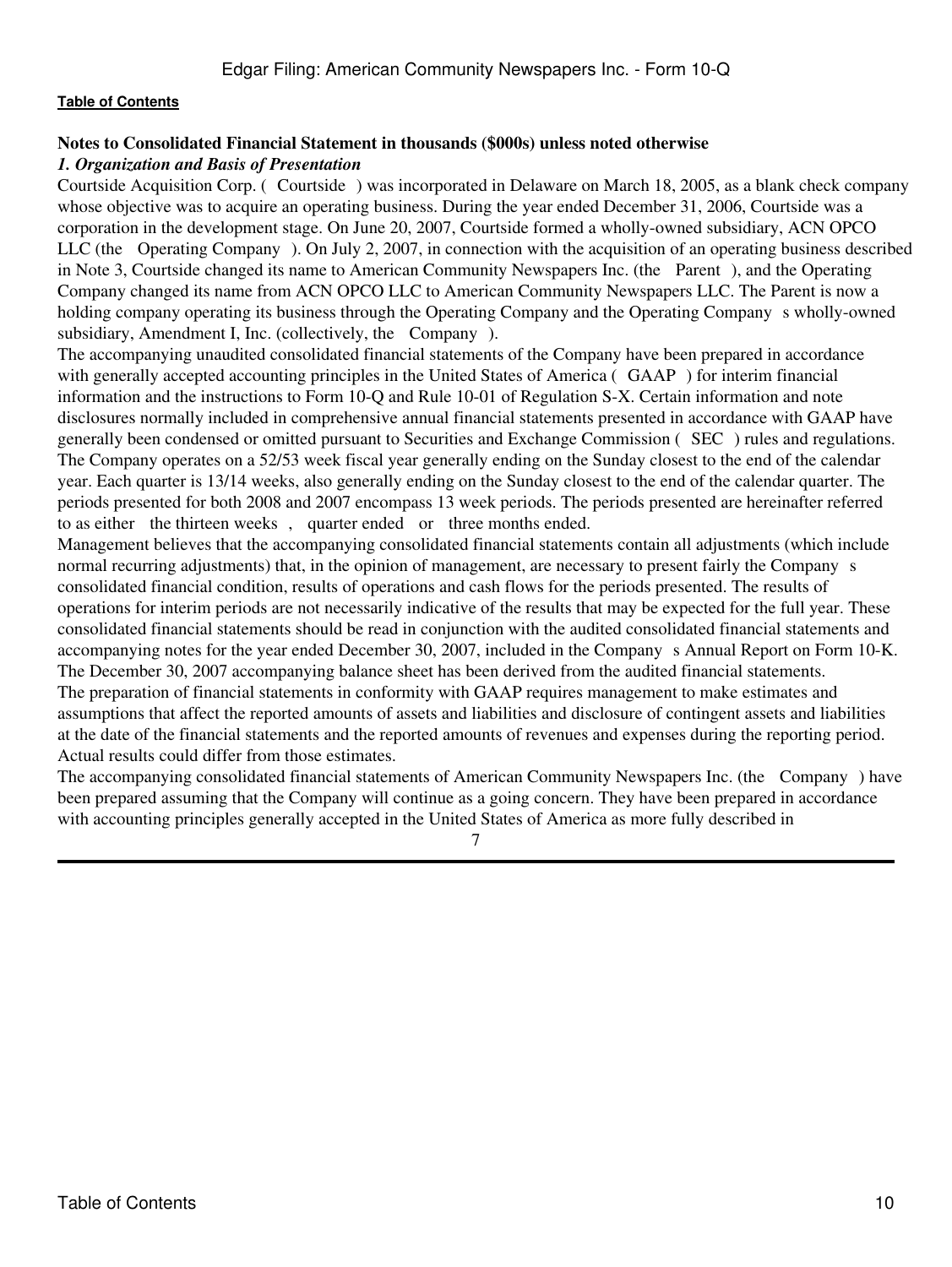# <span id="page-9-0"></span>**Notes to Consolidated Financial Statement in thousands (\$000s) unless noted otherwise**

#### *1. Organization and Basis of Presentation*

Courtside Acquisition Corp. (Courtside) was incorporated in Delaware on March 18, 2005, as a blank check company whose objective was to acquire an operating business. During the year ended December 31, 2006, Courtside was a corporation in the development stage. On June 20, 2007, Courtside formed a wholly-owned subsidiary, ACN OPCO LLC (the Operating Company). On July 2, 2007, in connection with the acquisition of an operating business described in Note 3, Courtside changed its name to American Community Newspapers Inc. (the Parent), and the Operating Company changed its name from ACN OPCO LLC to American Community Newspapers LLC. The Parent is now a holding company operating its business through the Operating Company and the Operating Company s wholly-owned subsidiary, Amendment I, Inc. (collectively, the Company).

The accompanying unaudited consolidated financial statements of the Company have been prepared in accordance with generally accepted accounting principles in the United States of America (GAAP) for interim financial information and the instructions to Form 10-Q and Rule 10-01 of Regulation S-X. Certain information and note disclosures normally included in comprehensive annual financial statements presented in accordance with GAAP have generally been condensed or omitted pursuant to Securities and Exchange Commission (SEC) rules and regulations. The Company operates on a 52/53 week fiscal year generally ending on the Sunday closest to the end of the calendar year. Each quarter is 13/14 weeks, also generally ending on the Sunday closest to the end of the calendar quarter. The periods presented for both 2008 and 2007 encompass 13 week periods. The periods presented are hereinafter referred to as either the thirteen weeks, quarter ended or three months ended.

Management believes that the accompanying consolidated financial statements contain all adjustments (which include normal recurring adjustments) that, in the opinion of management, are necessary to present fairly the Company s consolidated financial condition, results of operations and cash flows for the periods presented. The results of operations for interim periods are not necessarily indicative of the results that may be expected for the full year. These consolidated financial statements should be read in conjunction with the audited consolidated financial statements and accompanying notes for the year ended December 30, 2007, included in the Companys Annual Report on Form 10-K. The December 30, 2007 accompanying balance sheet has been derived from the audited financial statements. The preparation of financial statements in conformity with GAAP requires management to make estimates and assumptions that affect the reported amounts of assets and liabilities and disclosure of contingent assets and liabilities at the date of the financial statements and the reported amounts of revenues and expenses during the reporting period.

Actual results could differ from those estimates.

The accompanying consolidated financial statements of American Community Newspapers Inc. (the Company) have been prepared assuming that the Company will continue as a going concern. They have been prepared in accordance with accounting principles generally accepted in the United States of America as more fully described in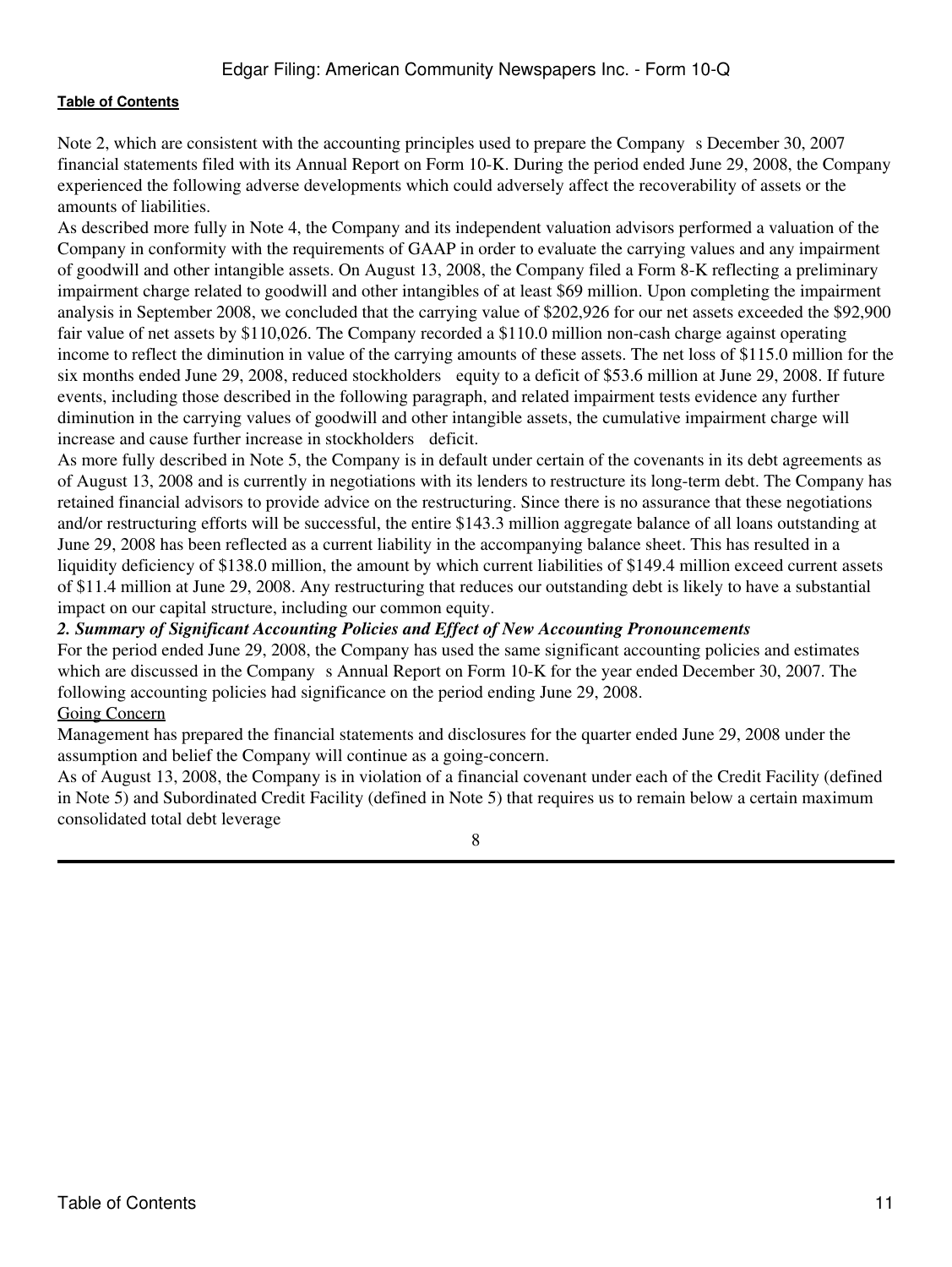Note 2, which are consistent with the accounting principles used to prepare the Company s December 30, 2007 financial statements filed with its Annual Report on Form 10-K. During the period ended June 29, 2008, the Company experienced the following adverse developments which could adversely affect the recoverability of assets or the amounts of liabilities.

As described more fully in Note 4, the Company and its independent valuation advisors performed a valuation of the Company in conformity with the requirements of GAAP in order to evaluate the carrying values and any impairment of goodwill and other intangible assets. On August 13, 2008, the Company filed a Form 8-K reflecting a preliminary impairment charge related to goodwill and other intangibles of at least \$69 million. Upon completing the impairment analysis in September 2008, we concluded that the carrying value of \$202,926 for our net assets exceeded the \$92,900 fair value of net assets by \$110,026. The Company recorded a \$110.0 million non-cash charge against operating income to reflect the diminution in value of the carrying amounts of these assets. The net loss of \$115.0 million for the six months ended June 29, 2008, reduced stockholders equity to a deficit of \$53.6 million at June 29, 2008. If future events, including those described in the following paragraph, and related impairment tests evidence any further diminution in the carrying values of goodwill and other intangible assets, the cumulative impairment charge will increase and cause further increase in stockholders deficit.

As more fully described in Note 5, the Company is in default under certain of the covenants in its debt agreements as of August 13, 2008 and is currently in negotiations with its lenders to restructure its long-term debt. The Company has retained financial advisors to provide advice on the restructuring. Since there is no assurance that these negotiations and/or restructuring efforts will be successful, the entire \$143.3 million aggregate balance of all loans outstanding at June 29, 2008 has been reflected as a current liability in the accompanying balance sheet. This has resulted in a liquidity deficiency of \$138.0 million, the amount by which current liabilities of \$149.4 million exceed current assets of \$11.4 million at June 29, 2008. Any restructuring that reduces our outstanding debt is likely to have a substantial impact on our capital structure, including our common equity.

### *2. Summary of Significant Accounting Policies and Effect of New Accounting Pronouncements*

For the period ended June 29, 2008, the Company has used the same significant accounting policies and estimates which are discussed in the Company s Annual Report on Form 10-K for the year ended December 30, 2007. The following accounting policies had significance on the period ending June 29, 2008. Going Concern

# Management has prepared the financial statements and disclosures for the quarter ended June 29, 2008 under the assumption and belief the Company will continue as a going-concern.

As of August 13, 2008, the Company is in violation of a financial covenant under each of the Credit Facility (defined in Note 5) and Subordinated Credit Facility (defined in Note 5) that requires us to remain below a certain maximum consolidated total debt leverage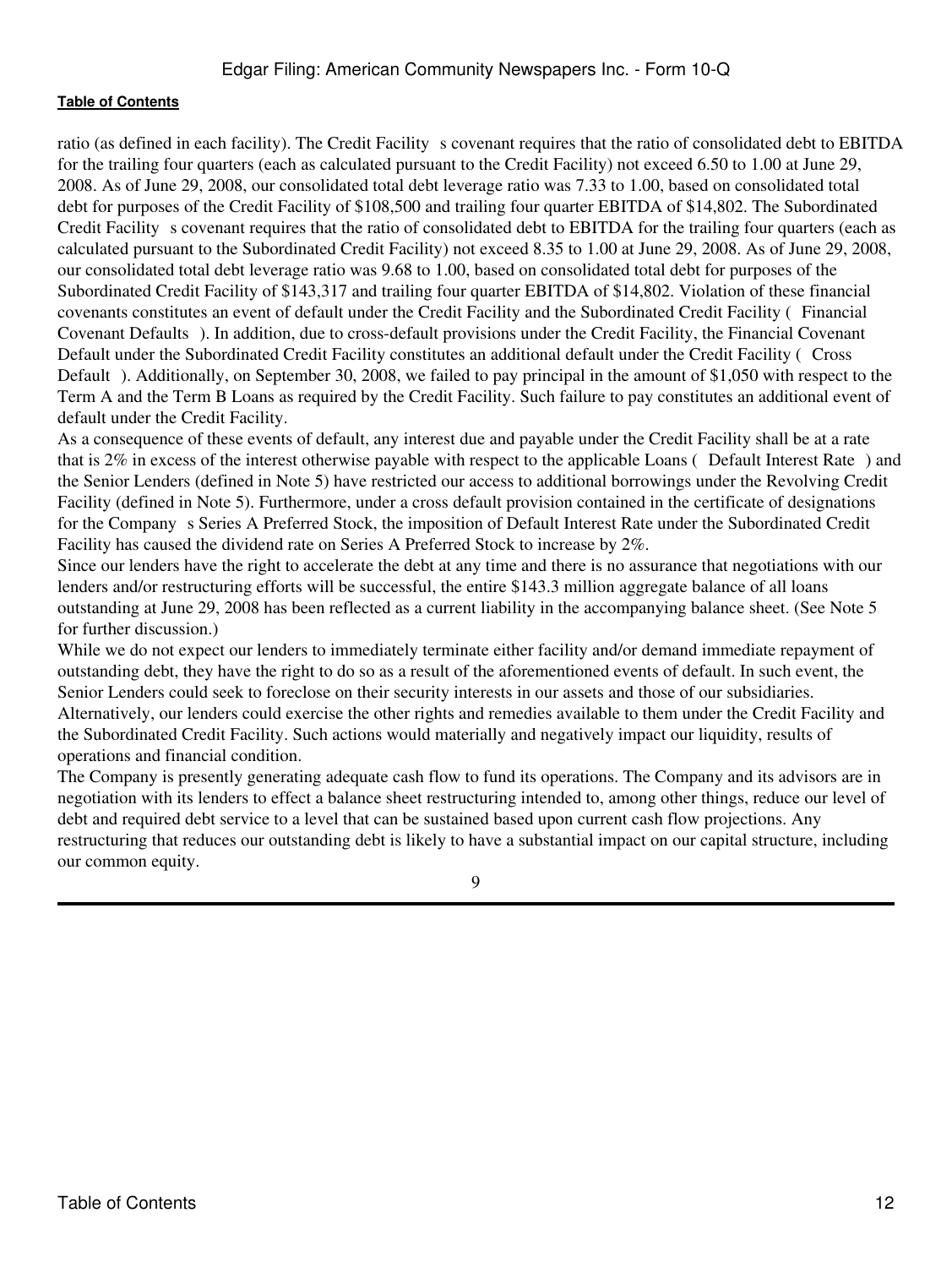ratio (as defined in each facility). The Credit Facility s covenant requires that the ratio of consolidated debt to EBITDA for the trailing four quarters (each as calculated pursuant to the Credit Facility) not exceed 6.50 to 1.00 at June 29, 2008. As of June 29, 2008, our consolidated total debt leverage ratio was 7.33 to 1.00, based on consolidated total debt for purposes of the Credit Facility of \$108,500 and trailing four quarter EBITDA of \$14,802. The Subordinated Credit Facility s covenant requires that the ratio of consolidated debt to EBITDA for the trailing four quarters (each as calculated pursuant to the Subordinated Credit Facility) not exceed 8.35 to 1.00 at June 29, 2008. As of June 29, 2008, our consolidated total debt leverage ratio was 9.68 to 1.00, based on consolidated total debt for purposes of the Subordinated Credit Facility of \$143,317 and trailing four quarter EBITDA of \$14,802. Violation of these financial covenants constitutes an event of default under the Credit Facility and the Subordinated Credit Facility (Financial Covenant Defaults). In addition, due to cross-default provisions under the Credit Facility, the Financial Covenant Default under the Subordinated Credit Facility constitutes an additional default under the Credit Facility (Cross Default). Additionally, on September 30, 2008, we failed to pay principal in the amount of \$1,050 with respect to the Term A and the Term B Loans as required by the Credit Facility. Such failure to pay constitutes an additional event of default under the Credit Facility.

As a consequence of these events of default, any interest due and payable under the Credit Facility shall be at a rate that is 2% in excess of the interest otherwise payable with respect to the applicable Loans (Default Interest Rate) and the Senior Lenders (defined in Note 5) have restricted our access to additional borrowings under the Revolving Credit Facility (defined in Note 5). Furthermore, under a cross default provision contained in the certificate of designations for the Company s Series A Preferred Stock, the imposition of Default Interest Rate under the Subordinated Credit Facility has caused the dividend rate on Series A Preferred Stock to increase by 2%.

Since our lenders have the right to accelerate the debt at any time and there is no assurance that negotiations with our lenders and/or restructuring efforts will be successful, the entire \$143.3 million aggregate balance of all loans outstanding at June 29, 2008 has been reflected as a current liability in the accompanying balance sheet. (See Note 5 for further discussion.)

While we do not expect our lenders to immediately terminate either facility and/or demand immediate repayment of outstanding debt, they have the right to do so as a result of the aforementioned events of default. In such event, the Senior Lenders could seek to foreclose on their security interests in our assets and those of our subsidiaries. Alternatively, our lenders could exercise the other rights and remedies available to them under the Credit Facility and the Subordinated Credit Facility. Such actions would materially and negatively impact our liquidity, results of operations and financial condition.

The Company is presently generating adequate cash flow to fund its operations. The Company and its advisors are in negotiation with its lenders to effect a balance sheet restructuring intended to, among other things, reduce our level of debt and required debt service to a level that can be sustained based upon current cash flow projections. Any restructuring that reduces our outstanding debt is likely to have a substantial impact on our capital structure, including our common equity.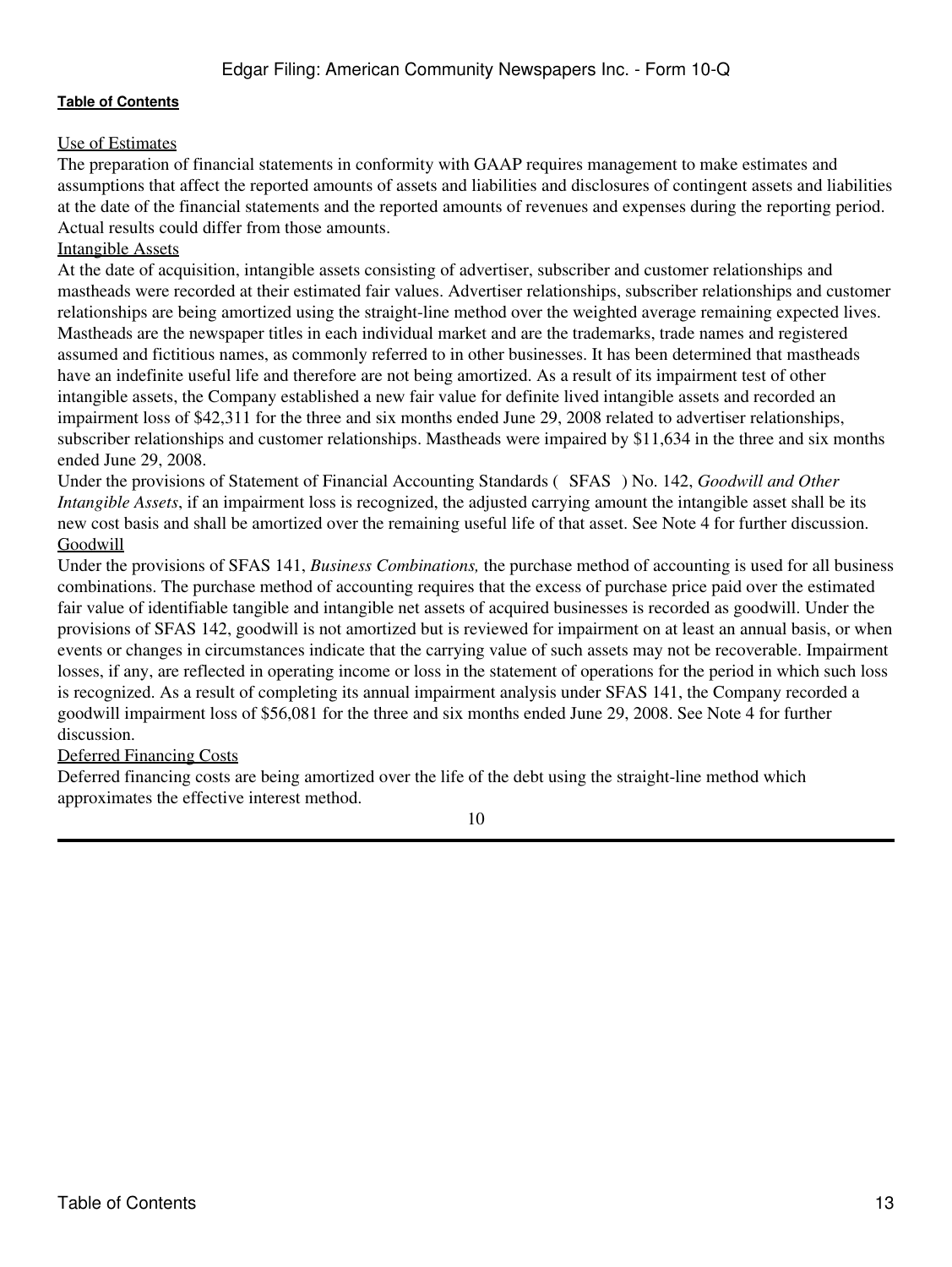# Use of Estimates

The preparation of financial statements in conformity with GAAP requires management to make estimates and assumptions that affect the reported amounts of assets and liabilities and disclosures of contingent assets and liabilities at the date of the financial statements and the reported amounts of revenues and expenses during the reporting period. Actual results could differ from those amounts.

# Intangible Assets

At the date of acquisition, intangible assets consisting of advertiser, subscriber and customer relationships and mastheads were recorded at their estimated fair values. Advertiser relationships, subscriber relationships and customer relationships are being amortized using the straight-line method over the weighted average remaining expected lives. Mastheads are the newspaper titles in each individual market and are the trademarks, trade names and registered assumed and fictitious names, as commonly referred to in other businesses. It has been determined that mastheads have an indefinite useful life and therefore are not being amortized. As a result of its impairment test of other intangible assets, the Company established a new fair value for definite lived intangible assets and recorded an impairment loss of \$42,311 for the three and six months ended June 29, 2008 related to advertiser relationships, subscriber relationships and customer relationships. Mastheads were impaired by \$11,634 in the three and six months ended June 29, 2008.

Under the provisions of Statement of Financial Accounting Standards (SFAS) No. 142, *Goodwill and Other Intangible Assets*, if an impairment loss is recognized, the adjusted carrying amount the intangible asset shall be its new cost basis and shall be amortized over the remaining useful life of that asset. See Note 4 for further discussion. **Goodwill** 

Under the provisions of SFAS 141, *Business Combinations,* the purchase method of accounting is used for all business combinations. The purchase method of accounting requires that the excess of purchase price paid over the estimated fair value of identifiable tangible and intangible net assets of acquired businesses is recorded as goodwill. Under the provisions of SFAS 142, goodwill is not amortized but is reviewed for impairment on at least an annual basis, or when events or changes in circumstances indicate that the carrying value of such assets may not be recoverable. Impairment losses, if any, are reflected in operating income or loss in the statement of operations for the period in which such loss is recognized. As a result of completing its annual impairment analysis under SFAS 141, the Company recorded a goodwill impairment loss of \$56,081 for the three and six months ended June 29, 2008. See Note 4 for further discussion.

# Deferred Financing Costs

Deferred financing costs are being amortized over the life of the debt using the straight-line method which approximates the effective interest method.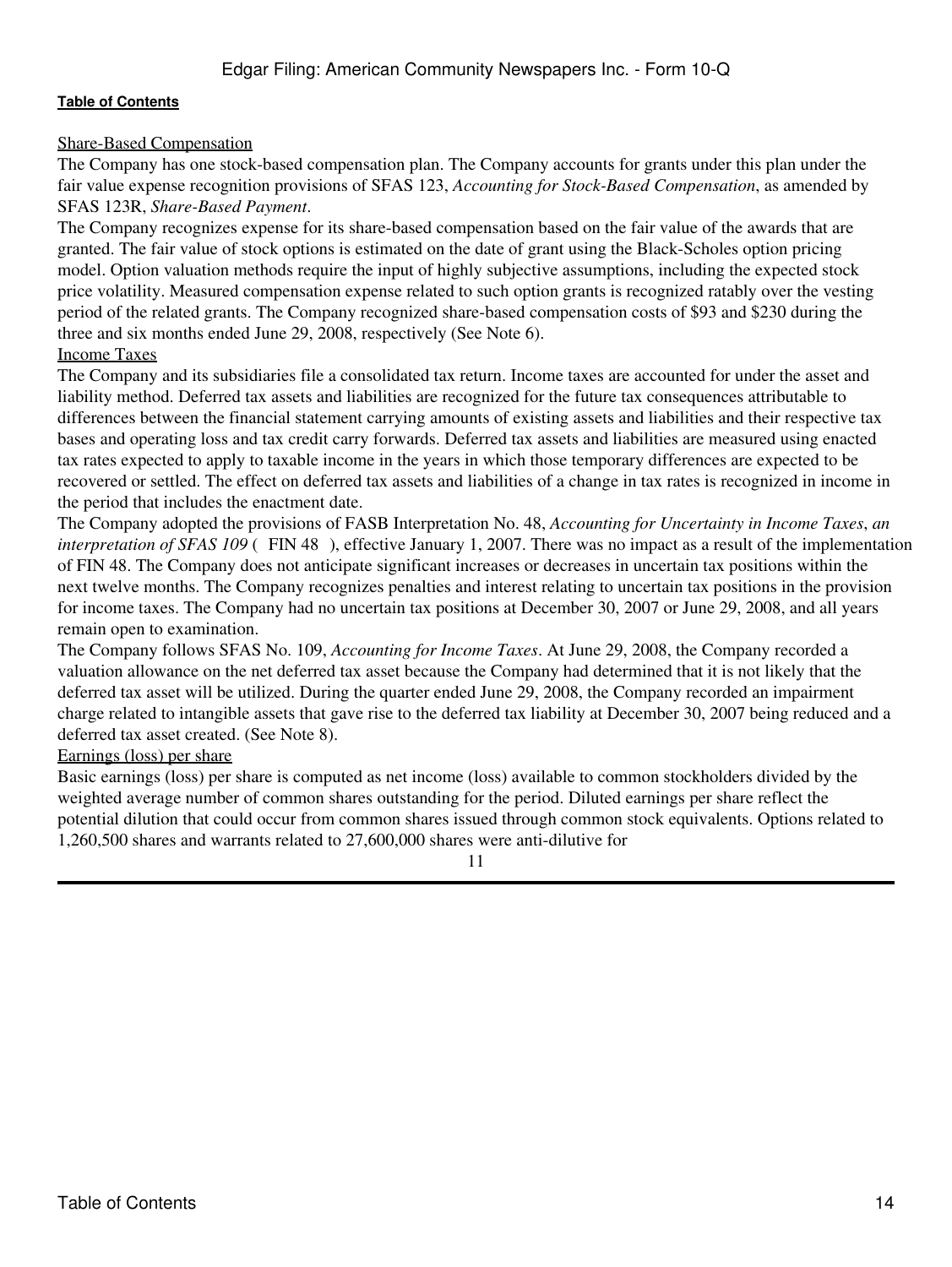# Share-Based Compensation

The Company has one stock-based compensation plan. The Company accounts for grants under this plan under the fair value expense recognition provisions of SFAS 123, *Accounting for Stock-Based Compensation*, as amended by SFAS 123R, *Share-Based Payment*.

The Company recognizes expense for its share-based compensation based on the fair value of the awards that are granted. The fair value of stock options is estimated on the date of grant using the Black-Scholes option pricing model. Option valuation methods require the input of highly subjective assumptions, including the expected stock price volatility. Measured compensation expense related to such option grants is recognized ratably over the vesting period of the related grants. The Company recognized share-based compensation costs of \$93 and \$230 during the three and six months ended June 29, 2008, respectively (See Note 6).

# Income Taxes

The Company and its subsidiaries file a consolidated tax return. Income taxes are accounted for under the asset and liability method. Deferred tax assets and liabilities are recognized for the future tax consequences attributable to differences between the financial statement carrying amounts of existing assets and liabilities and their respective tax bases and operating loss and tax credit carry forwards. Deferred tax assets and liabilities are measured using enacted tax rates expected to apply to taxable income in the years in which those temporary differences are expected to be recovered or settled. The effect on deferred tax assets and liabilities of a change in tax rates is recognized in income in the period that includes the enactment date.

The Company adopted the provisions of FASB Interpretation No. 48, *Accounting for Uncertainty in Income Taxes*, *an interpretation of SFAS 109* (FIN 48), effective January 1, 2007. There was no impact as a result of the implementation of FIN 48. The Company does not anticipate significant increases or decreases in uncertain tax positions within the next twelve months. The Company recognizes penalties and interest relating to uncertain tax positions in the provision for income taxes. The Company had no uncertain tax positions at December 30, 2007 or June 29, 2008, and all years remain open to examination.

The Company follows SFAS No. 109, *Accounting for Income Taxes*. At June 29, 2008, the Company recorded a valuation allowance on the net deferred tax asset because the Company had determined that it is not likely that the deferred tax asset will be utilized. During the quarter ended June 29, 2008, the Company recorded an impairment charge related to intangible assets that gave rise to the deferred tax liability at December 30, 2007 being reduced and a deferred tax asset created. (See Note 8).

# Earnings (loss) per share

Basic earnings (loss) per share is computed as net income (loss) available to common stockholders divided by the weighted average number of common shares outstanding for the period. Diluted earnings per share reflect the potential dilution that could occur from common shares issued through common stock equivalents. Options related to 1,260,500 shares and warrants related to 27,600,000 shares were anti-dilutive for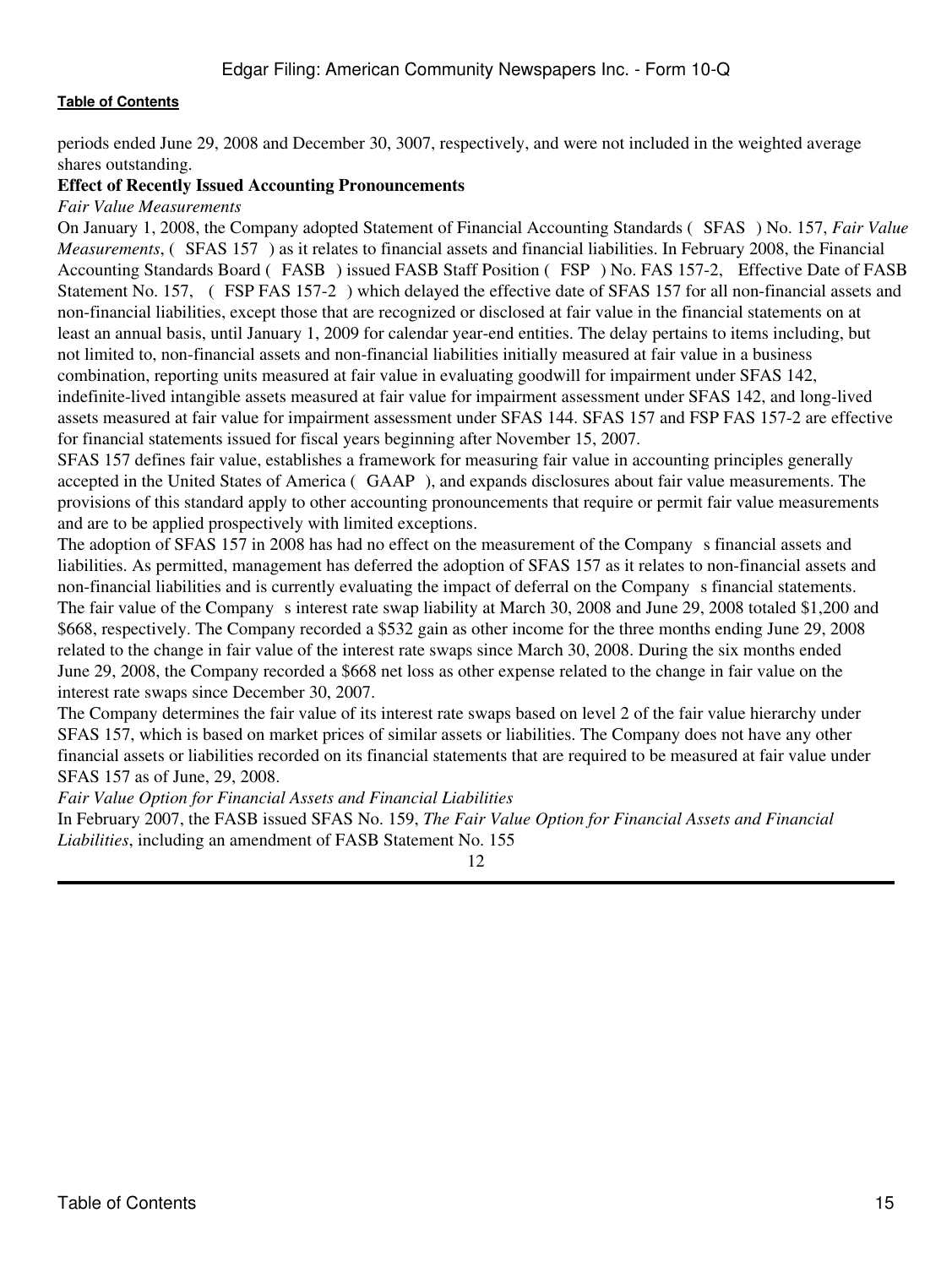periods ended June 29, 2008 and December 30, 3007, respectively, and were not included in the weighted average shares outstanding.

#### **Effect of Recently Issued Accounting Pronouncements**

*Fair Value Measurements*

On January 1, 2008, the Company adopted Statement of Financial Accounting Standards (SFAS) No. 157, *Fair Value Measurements*, (SFAS 157) as it relates to financial assets and financial liabilities. In February 2008, the Financial Accounting Standards Board (FASB) issued FASB Staff Position (FSP) No. FAS 157-2, Effective Date of FASB Statement No. 157, (FSP FAS 157-2) which delayed the effective date of SFAS 157 for all non-financial assets and non-financial liabilities, except those that are recognized or disclosed at fair value in the financial statements on at least an annual basis, until January 1, 2009 for calendar year-end entities. The delay pertains to items including, but not limited to, non-financial assets and non-financial liabilities initially measured at fair value in a business combination, reporting units measured at fair value in evaluating goodwill for impairment under SFAS 142, indefinite-lived intangible assets measured at fair value for impairment assessment under SFAS 142, and long-lived assets measured at fair value for impairment assessment under SFAS 144. SFAS 157 and FSP FAS 157-2 are effective for financial statements issued for fiscal years beginning after November 15, 2007.

SFAS 157 defines fair value, establishes a framework for measuring fair value in accounting principles generally accepted in the United States of America (GAAP), and expands disclosures about fair value measurements. The provisions of this standard apply to other accounting pronouncements that require or permit fair value measurements and are to be applied prospectively with limited exceptions.

The adoption of SFAS 157 in 2008 has had no effect on the measurement of the Company s financial assets and liabilities. As permitted, management has deferred the adoption of SFAS 157 as it relates to non-financial assets and non-financial liabilities and is currently evaluating the impact of deferral on the Companys financial statements. The fair value of the Company s interest rate swap liability at March 30, 2008 and June 29, 2008 totaled \$1,200 and \$668, respectively. The Company recorded a \$532 gain as other income for the three months ending June 29, 2008 related to the change in fair value of the interest rate swaps since March 30, 2008. During the six months ended June 29, 2008, the Company recorded a \$668 net loss as other expense related to the change in fair value on the interest rate swaps since December 30, 2007.

The Company determines the fair value of its interest rate swaps based on level 2 of the fair value hierarchy under SFAS 157, which is based on market prices of similar assets or liabilities. The Company does not have any other financial assets or liabilities recorded on its financial statements that are required to be measured at fair value under SFAS 157 as of June, 29, 2008.

*Fair Value Option for Financial Assets and Financial Liabilities*

In February 2007, the FASB issued SFAS No. 159, *The Fair Value Option for Financial Assets and Financial Liabilities*, including an amendment of FASB Statement No. 155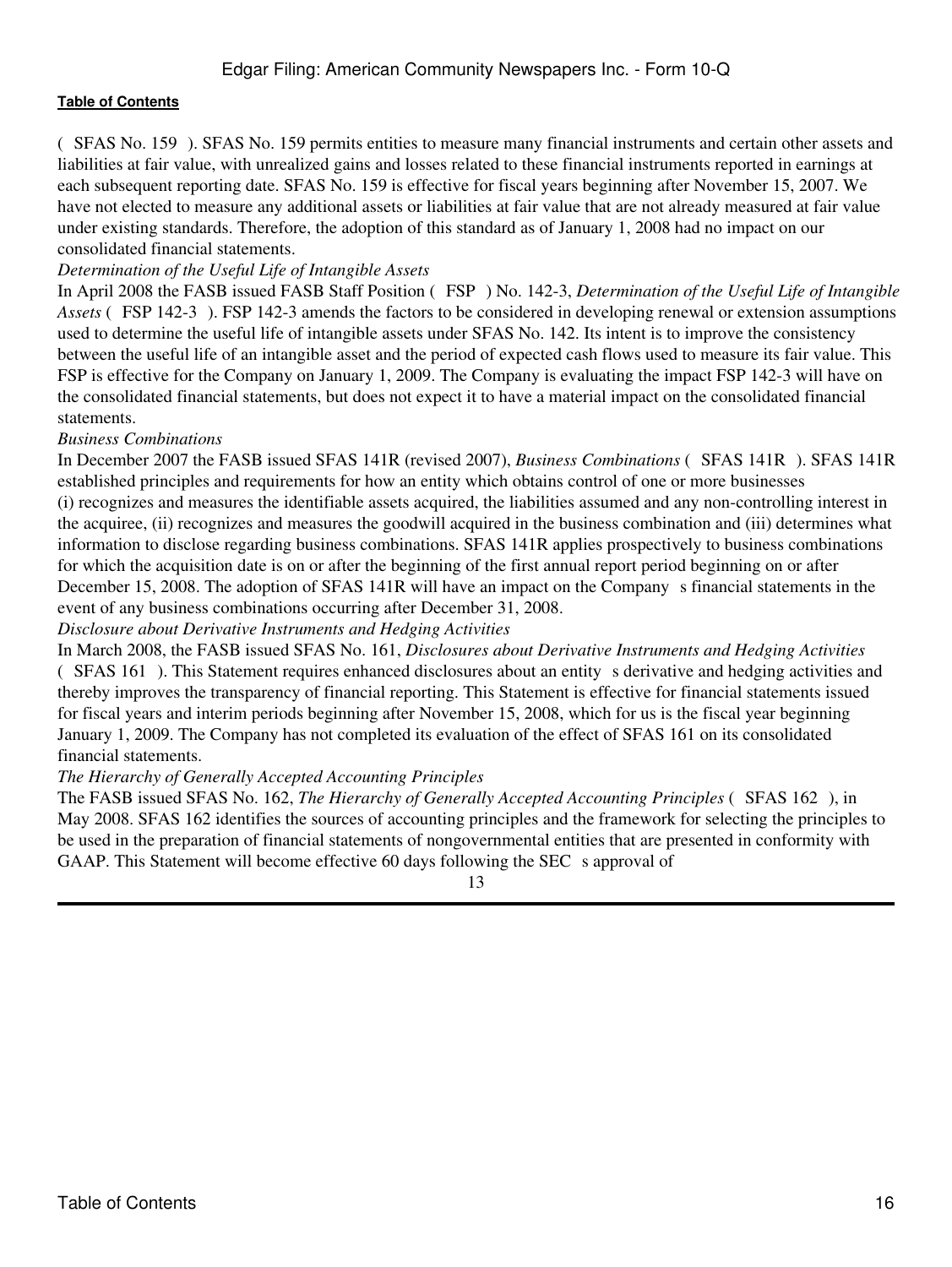(SFAS No. 159). SFAS No. 159 permits entities to measure many financial instruments and certain other assets and liabilities at fair value, with unrealized gains and losses related to these financial instruments reported in earnings at each subsequent reporting date. SFAS No. 159 is effective for fiscal years beginning after November 15, 2007. We have not elected to measure any additional assets or liabilities at fair value that are not already measured at fair value under existing standards. Therefore, the adoption of this standard as of January 1, 2008 had no impact on our consolidated financial statements.

# *Determination of the Useful Life of Intangible Assets*

In April 2008 the FASB issued FASB Staff Position (FSP) No. 142-3, *Determination of the Useful Life of Intangible Assets* (FSP 142-3). FSP 142-3 amends the factors to be considered in developing renewal or extension assumptions used to determine the useful life of intangible assets under SFAS No. 142. Its intent is to improve the consistency between the useful life of an intangible asset and the period of expected cash flows used to measure its fair value. This FSP is effective for the Company on January 1, 2009. The Company is evaluating the impact FSP 142-3 will have on the consolidated financial statements, but does not expect it to have a material impact on the consolidated financial statements.

#### *Business Combinations*

In December 2007 the FASB issued SFAS 141R (revised 2007), *Business Combinations* (SFAS 141R). SFAS 141R established principles and requirements for how an entity which obtains control of one or more businesses (i) recognizes and measures the identifiable assets acquired, the liabilities assumed and any non-controlling interest in the acquiree, (ii) recognizes and measures the goodwill acquired in the business combination and (iii) determines what information to disclose regarding business combinations. SFAS 141R applies prospectively to business combinations for which the acquisition date is on or after the beginning of the first annual report period beginning on or after December 15, 2008. The adoption of SFAS 141R will have an impact on the Company s financial statements in the event of any business combinations occurring after December 31, 2008.

*Disclosure about Derivative Instruments and Hedging Activities*

In March 2008, the FASB issued SFAS No. 161, *Disclosures about Derivative Instruments and Hedging Activities* (SFAS 161). This Statement requires enhanced disclosures about an entitys derivative and hedging activities and thereby improves the transparency of financial reporting. This Statement is effective for financial statements issued for fiscal years and interim periods beginning after November 15, 2008, which for us is the fiscal year beginning January 1, 2009. The Company has not completed its evaluation of the effect of SFAS 161 on its consolidated financial statements.

#### *The Hierarchy of Generally Accepted Accounting Principles*

The FASB issued SFAS No. 162, *The Hierarchy of Generally Accepted Accounting Principles* (SFAS 162), in May 2008. SFAS 162 identifies the sources of accounting principles and the framework for selecting the principles to be used in the preparation of financial statements of nongovernmental entities that are presented in conformity with GAAP. This Statement will become effective 60 days following the SEC s approval of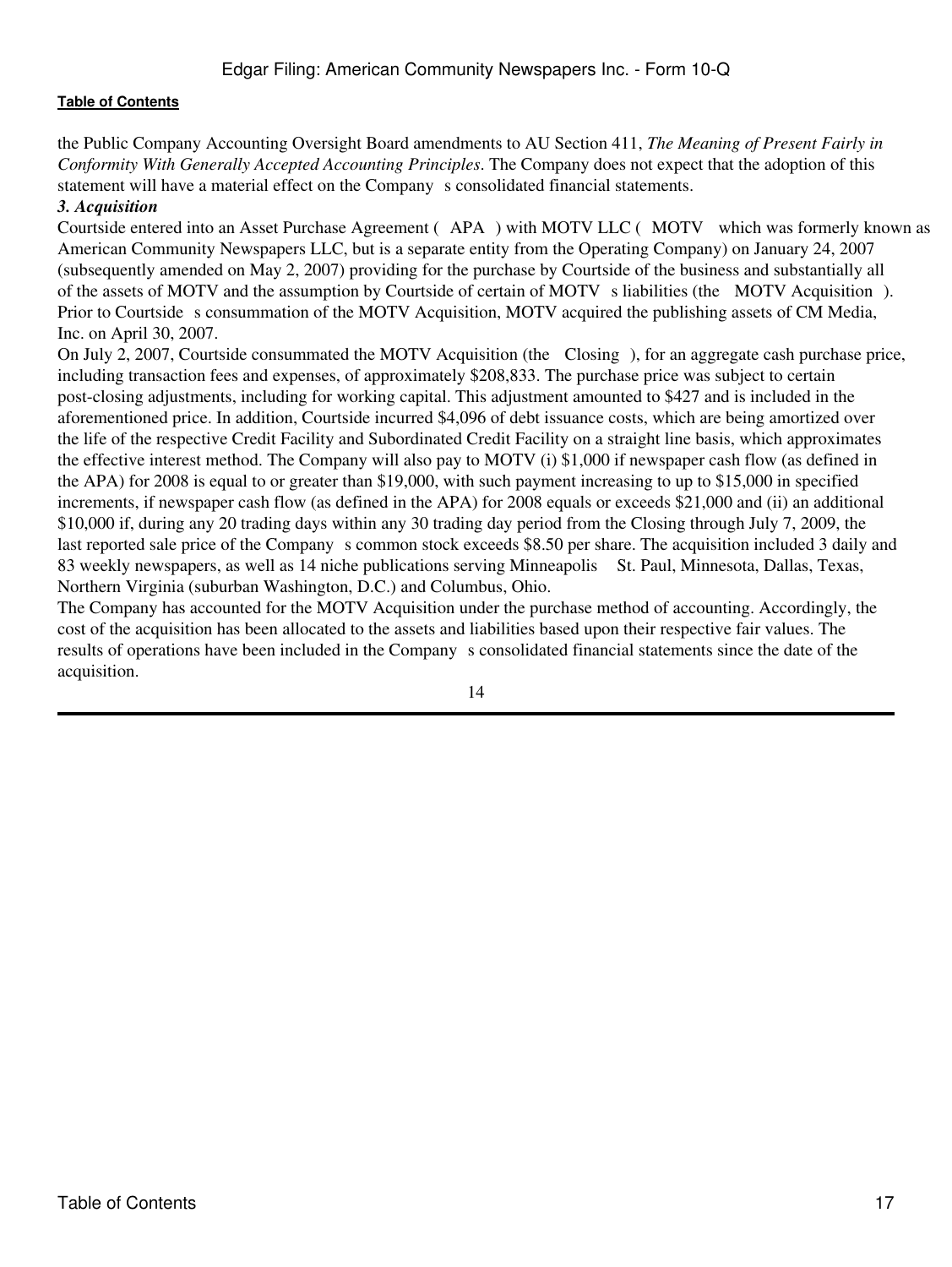the Public Company Accounting Oversight Board amendments to AU Section 411, *The Meaning of Present Fairly in Conformity With Generally Accepted Accounting Principles*. The Company does not expect that the adoption of this statement will have a material effect on the Company s consolidated financial statements.

# *3. Acquisition*

Courtside entered into an Asset Purchase Agreement (APA) with MOTV LLC (MOTV which was formerly known as American Community Newspapers LLC, but is a separate entity from the Operating Company) on January 24, 2007 (subsequently amended on May 2, 2007) providing for the purchase by Courtside of the business and substantially all of the assets of MOTV and the assumption by Courtside of certain of MOTV s liabilities (the MOTV Acquisition). Prior to Courtside s consummation of the MOTV Acquisition, MOTV acquired the publishing assets of CM Media, Inc. on April 30, 2007.

On July 2, 2007, Courtside consummated the MOTV Acquisition (the Closing), for an aggregate cash purchase price, including transaction fees and expenses, of approximately \$208,833. The purchase price was subject to certain post-closing adjustments, including for working capital. This adjustment amounted to \$427 and is included in the aforementioned price. In addition, Courtside incurred \$4,096 of debt issuance costs, which are being amortized over the life of the respective Credit Facility and Subordinated Credit Facility on a straight line basis, which approximates the effective interest method. The Company will also pay to MOTV (i) \$1,000 if newspaper cash flow (as defined in the APA) for 2008 is equal to or greater than \$19,000, with such payment increasing to up to \$15,000 in specified increments, if newspaper cash flow (as defined in the APA) for 2008 equals or exceeds \$21,000 and (ii) an additional \$10,000 if, during any 20 trading days within any 30 trading day period from the Closing through July 7, 2009, the last reported sale price of the Company s common stock exceeds \$8.50 per share. The acquisition included 3 daily and 83 weekly newspapers, as well as 14 niche publications serving Minneapolis St. Paul, Minnesota, Dallas, Texas, Northern Virginia (suburban Washington, D.C.) and Columbus, Ohio.

The Company has accounted for the MOTV Acquisition under the purchase method of accounting. Accordingly, the cost of the acquisition has been allocated to the assets and liabilities based upon their respective fair values. The results of operations have been included in the Companys consolidated financial statements since the date of the acquisition.

<sup>14</sup>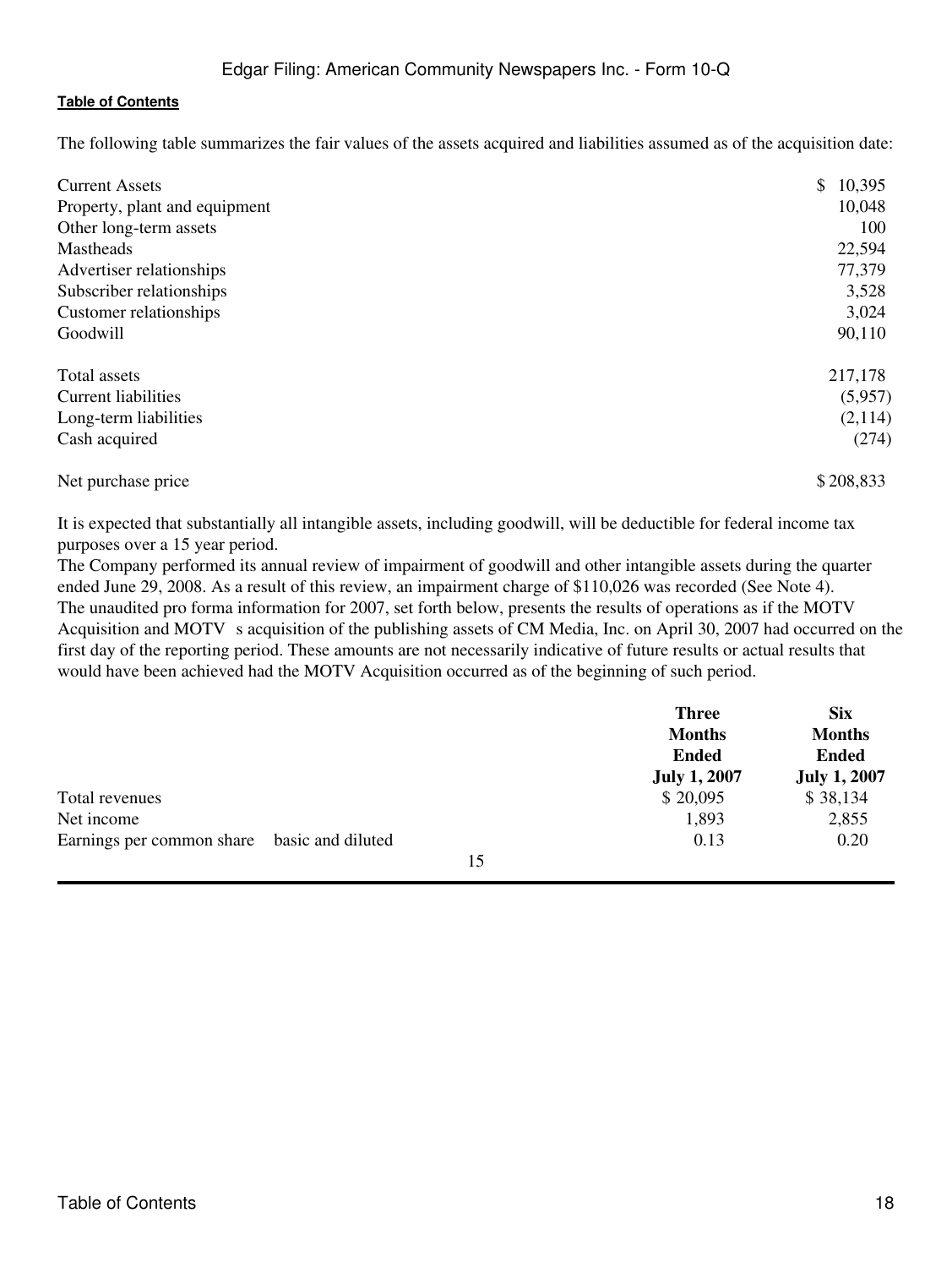The following table summarizes the fair values of the assets acquired and liabilities assumed as of the acquisition date:

| <b>Current Assets</b><br>Property, plant and equipment | \$<br>10,395<br>10,048 |
|--------------------------------------------------------|------------------------|
| Other long-term assets<br>Mastheads                    | 100<br>22,594          |
| Advertiser relationships                               | 77,379                 |
| Subscriber relationships                               | 3,528                  |
| Customer relationships                                 | 3,024                  |
| Goodwill                                               | 90,110                 |
| Total assets                                           | 217,178                |
| <b>Current liabilities</b>                             | (5,957)                |
| Long-term liabilities                                  | (2,114)                |
| Cash acquired                                          | (274)                  |
| Net purchase price                                     | \$208,833              |

It is expected that substantially all intangible assets, including goodwill, will be deductible for federal income tax purposes over a 15 year period.

The Company performed its annual review of impairment of goodwill and other intangible assets during the quarter ended June 29, 2008. As a result of this review, an impairment charge of \$110,026 was recorded (See Note 4). The unaudited pro forma information for 2007, set forth below, presents the results of operations as if the MOTV Acquisition and MOTV s acquisition of the publishing assets of CM Media, Inc. on April 30, 2007 had occurred on the first day of the reporting period. These amounts are not necessarily indicative of future results or actual results that would have been achieved had the MOTV Acquisition occurred as of the beginning of such period.

|                                             |    | <b>Three</b>        | <b>Six</b>          |
|---------------------------------------------|----|---------------------|---------------------|
|                                             |    | <b>Months</b>       | <b>Months</b>       |
|                                             |    | <b>Ended</b>        | <b>Ended</b>        |
|                                             |    | <b>July 1, 2007</b> | <b>July 1, 2007</b> |
| Total revenues                              |    | \$20,095            | \$38,134            |
| Net income                                  |    | 1,893               | 2,855               |
| Earnings per common share basic and diluted |    | 0.13                | 0.20                |
|                                             | 15 |                     |                     |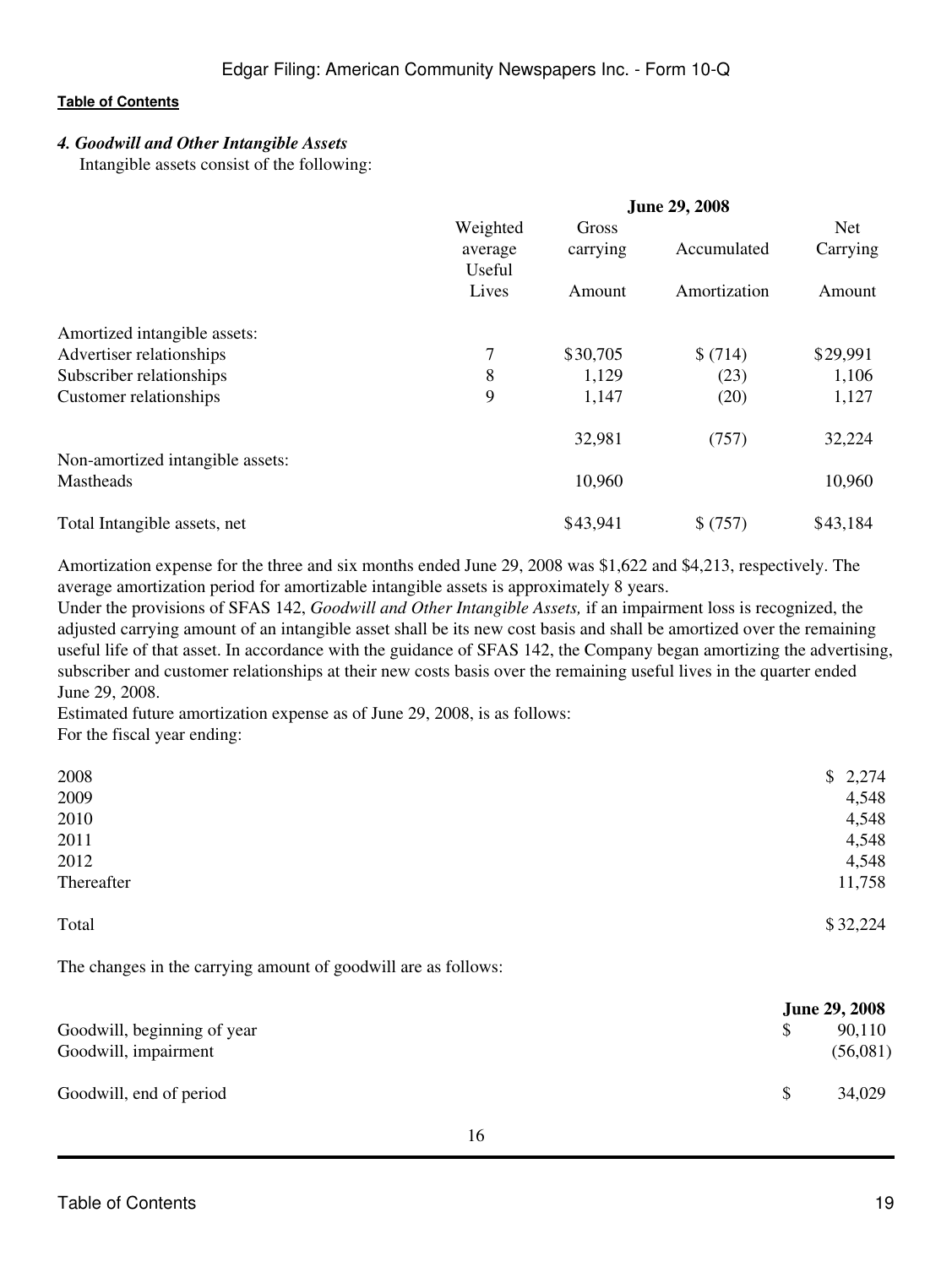# *4. Goodwill and Other Intangible Assets*

Intangible assets consist of the following:

|                                  | <b>June 29, 2008</b> |          |              |            |  |
|----------------------------------|----------------------|----------|--------------|------------|--|
|                                  | Weighted             | Gross    |              | <b>Net</b> |  |
|                                  | average<br>Useful    | carrying | Accumulated  | Carrying   |  |
|                                  | Lives                | Amount   | Amortization | Amount     |  |
| Amortized intangible assets:     |                      |          |              |            |  |
| Advertiser relationships         | 7                    | \$30,705 | \$(714)      | \$29,991   |  |
| Subscriber relationships         | 8                    | 1,129    | (23)         | 1,106      |  |
| Customer relationships           | 9                    | 1,147    | (20)         | 1,127      |  |
|                                  |                      | 32,981   | (757)        | 32,224     |  |
| Non-amortized intangible assets: |                      |          |              |            |  |
| <b>Mastheads</b>                 |                      | 10,960   |              | 10,960     |  |
| Total Intangible assets, net     |                      | \$43,941 | \$ (757)     | \$43,184   |  |

Amortization expense for the three and six months ended June 29, 2008 was \$1,622 and \$4,213, respectively. The average amortization period for amortizable intangible assets is approximately 8 years.

Under the provisions of SFAS 142, *Goodwill and Other Intangible Assets,* if an impairment loss is recognized, the adjusted carrying amount of an intangible asset shall be its new cost basis and shall be amortized over the remaining useful life of that asset. In accordance with the guidance of SFAS 142, the Company began amortizing the advertising, subscriber and customer relationships at their new costs basis over the remaining useful lives in the quarter ended June 29, 2008.

Estimated future amortization expense as of June 29, 2008, is as follows: For the fiscal year ending:

| 2008       | \$2,274  |
|------------|----------|
| 2009       | 4,548    |
| 2010       | 4,548    |
| 2011       | 4,548    |
| 2012       | 4,548    |
| Thereafter | 11,758   |
| Total      | \$32,224 |

The changes in the carrying amount of goodwill are as follows:

|                             |              | <b>June 29, 2008</b> |
|-----------------------------|--------------|----------------------|
| Goodwill, beginning of year |              | 90,110               |
| Goodwill, impairment        |              | (56,081)             |
| Goodwill, end of period     | <sup>S</sup> | 34,029               |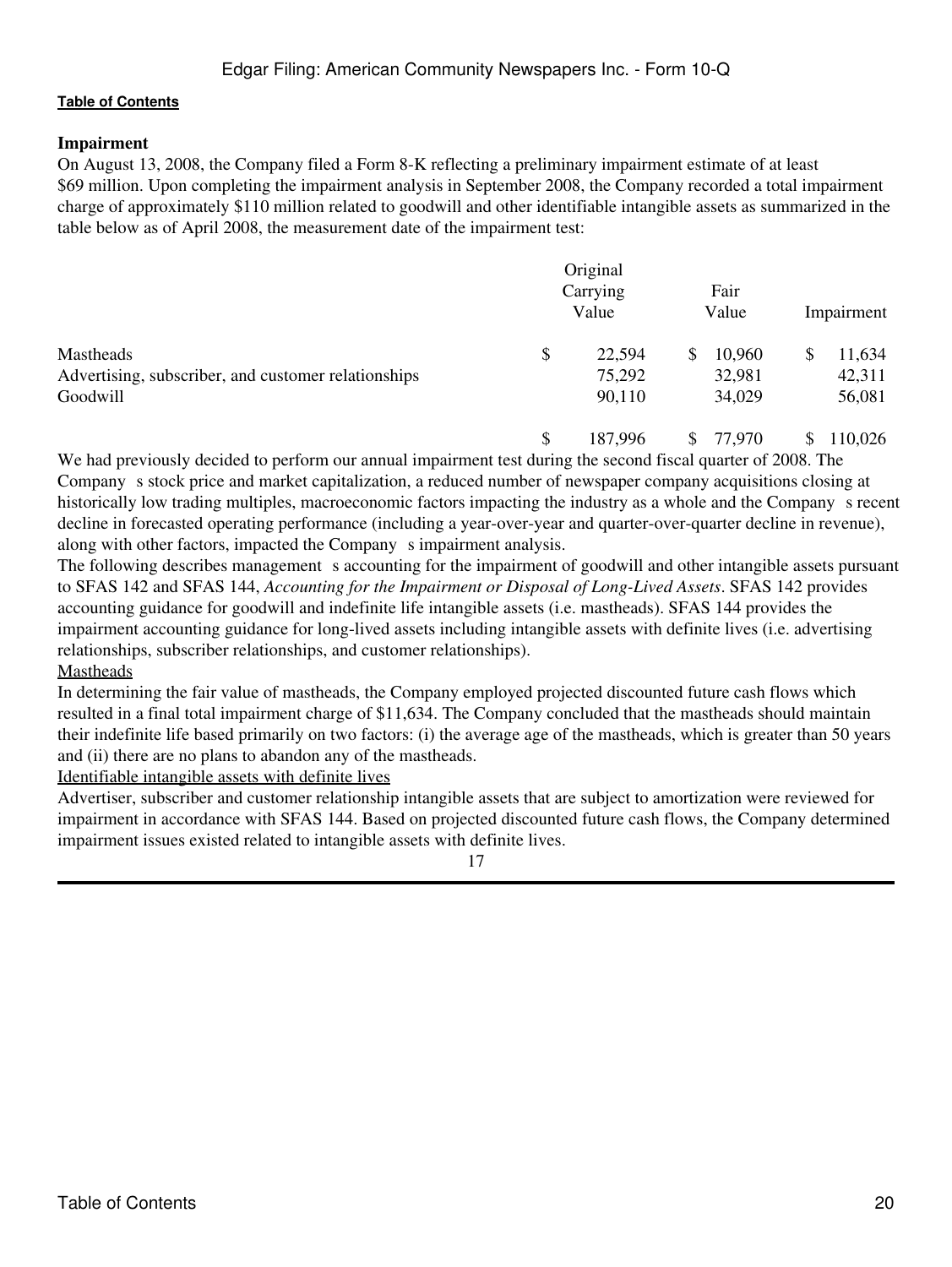# **Impairment**

On August 13, 2008, the Company filed a Form 8-K reflecting a preliminary impairment estimate of at least \$69 million. Upon completing the impairment analysis in September 2008, the Company recorded a total impairment charge of approximately \$110 million related to goodwill and other identifiable intangible assets as summarized in the table below as of April 2008, the measurement date of the impairment test:

|                                                     | Original<br>Fair<br>Carrying |        |    | Impairment |  |        |
|-----------------------------------------------------|------------------------------|--------|----|------------|--|--------|
|                                                     |                              | Value  |    | Value      |  |        |
| <b>Mastheads</b>                                    | \$                           | 22,594 | S. | 10,960     |  | 11,634 |
| Advertising, subscriber, and customer relationships |                              | 75,292 |    | 32,981     |  | 42,311 |
| Goodwill                                            |                              | 90,110 |    | 34,029     |  | 56,081 |

\$ 187,996 \$ 77,970 \$ 110,026

We had previously decided to perform our annual impairment test during the second fiscal quarter of 2008. The Company s stock price and market capitalization, a reduced number of newspaper company acquisitions closing at historically low trading multiples, macroeconomic factors impacting the industry as a whole and the Company s recent decline in forecasted operating performance (including a year-over-year and quarter-over-quarter decline in revenue), along with other factors, impacted the Company s impairment analysis.

The following describes management s accounting for the impairment of goodwill and other intangible assets pursuant to SFAS 142 and SFAS 144, *Accounting for the Impairment or Disposal of Long-Lived Assets*. SFAS 142 provides accounting guidance for goodwill and indefinite life intangible assets (i.e. mastheads). SFAS 144 provides the impairment accounting guidance for long-lived assets including intangible assets with definite lives (i.e. advertising relationships, subscriber relationships, and customer relationships).

Mastheads

In determining the fair value of mastheads, the Company employed projected discounted future cash flows which resulted in a final total impairment charge of \$11,634. The Company concluded that the mastheads should maintain their indefinite life based primarily on two factors: (i) the average age of the mastheads, which is greater than 50 years and (ii) there are no plans to abandon any of the mastheads.

Identifiable intangible assets with definite lives

Advertiser, subscriber and customer relationship intangible assets that are subject to amortization were reviewed for impairment in accordance with SFAS 144. Based on projected discounted future cash flows, the Company determined impairment issues existed related to intangible assets with definite lives.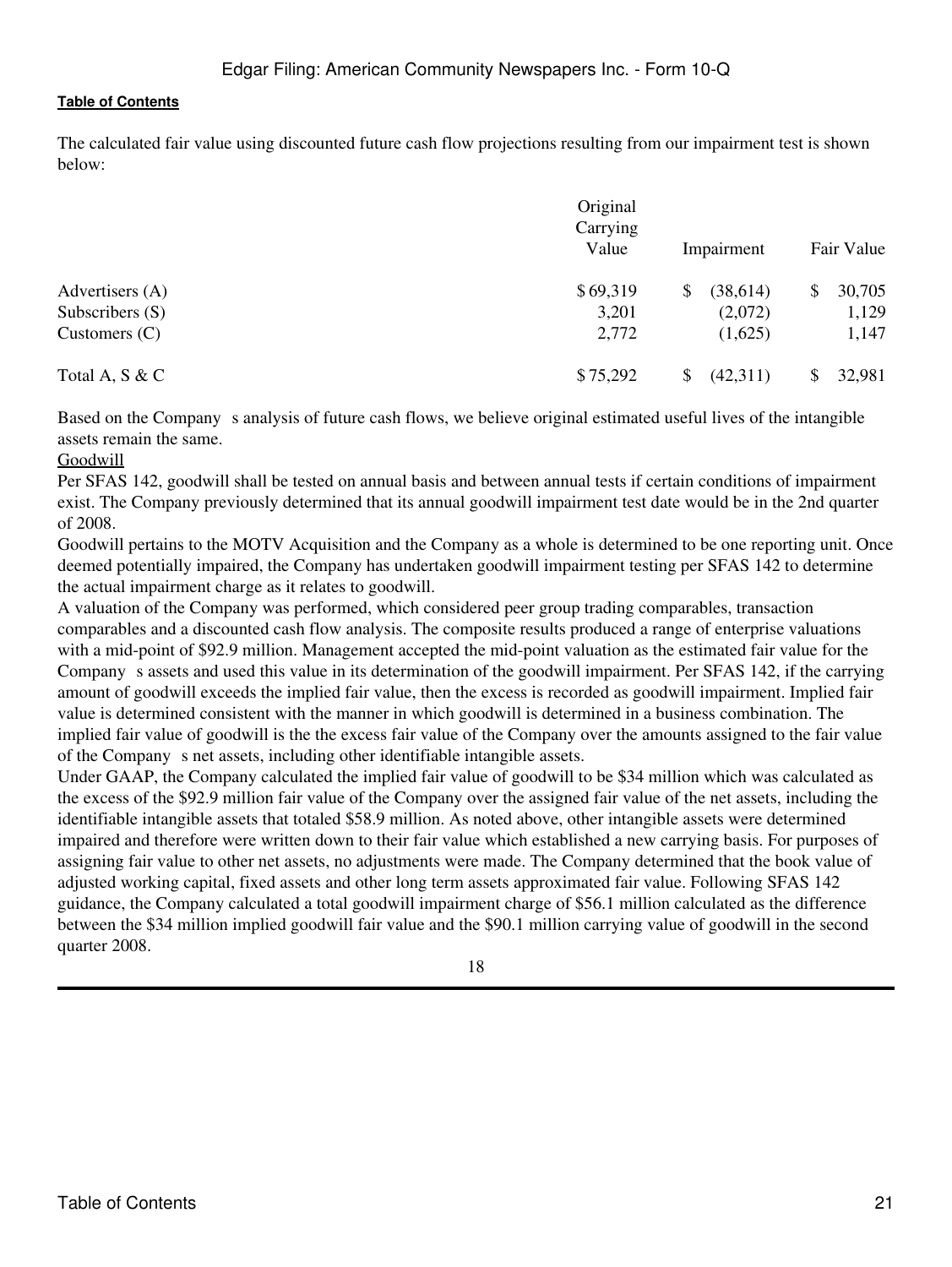The calculated fair value using discounted future cash flow projections resulting from our impairment test is shown below:

|                   | Original<br>Carrying<br>Value | Impairment    | Fair Value   |  |
|-------------------|-------------------------------|---------------|--------------|--|
| Advertisers (A)   | \$69,319                      | (38,614)<br>S | 30,705<br>\$ |  |
| Subscribers $(S)$ | 3,201                         | (2,072)       | 1,129        |  |
| Customers $(C)$   | 2,772                         | (1,625)       | 1,147        |  |
| Total A, S & C    | \$75,292                      | (42,311)<br>S | 32,981       |  |

Based on the Company s analysis of future cash flows, we believe original estimated useful lives of the intangible assets remain the same.

#### Goodwill

Per SFAS 142, goodwill shall be tested on annual basis and between annual tests if certain conditions of impairment exist. The Company previously determined that its annual goodwill impairment test date would be in the 2nd quarter of 2008.

Goodwill pertains to the MOTV Acquisition and the Company as a whole is determined to be one reporting unit. Once deemed potentially impaired, the Company has undertaken goodwill impairment testing per SFAS 142 to determine the actual impairment charge as it relates to goodwill.

A valuation of the Company was performed, which considered peer group trading comparables, transaction comparables and a discounted cash flow analysis. The composite results produced a range of enterprise valuations with a mid-point of \$92.9 million. Management accepted the mid-point valuation as the estimated fair value for the Company s assets and used this value in its determination of the goodwill impairment. Per SFAS 142, if the carrying amount of goodwill exceeds the implied fair value, then the excess is recorded as goodwill impairment. Implied fair value is determined consistent with the manner in which goodwill is determined in a business combination. The implied fair value of goodwill is the the excess fair value of the Company over the amounts assigned to the fair value of the Company s net assets, including other identifiable intangible assets.

Under GAAP, the Company calculated the implied fair value of goodwill to be \$34 million which was calculated as the excess of the \$92.9 million fair value of the Company over the assigned fair value of the net assets, including the identifiable intangible assets that totaled \$58.9 million. As noted above, other intangible assets were determined impaired and therefore were written down to their fair value which established a new carrying basis. For purposes of assigning fair value to other net assets, no adjustments were made. The Company determined that the book value of adjusted working capital, fixed assets and other long term assets approximated fair value. Following SFAS 142 guidance, the Company calculated a total goodwill impairment charge of \$56.1 million calculated as the difference between the \$34 million implied goodwill fair value and the \$90.1 million carrying value of goodwill in the second quarter 2008.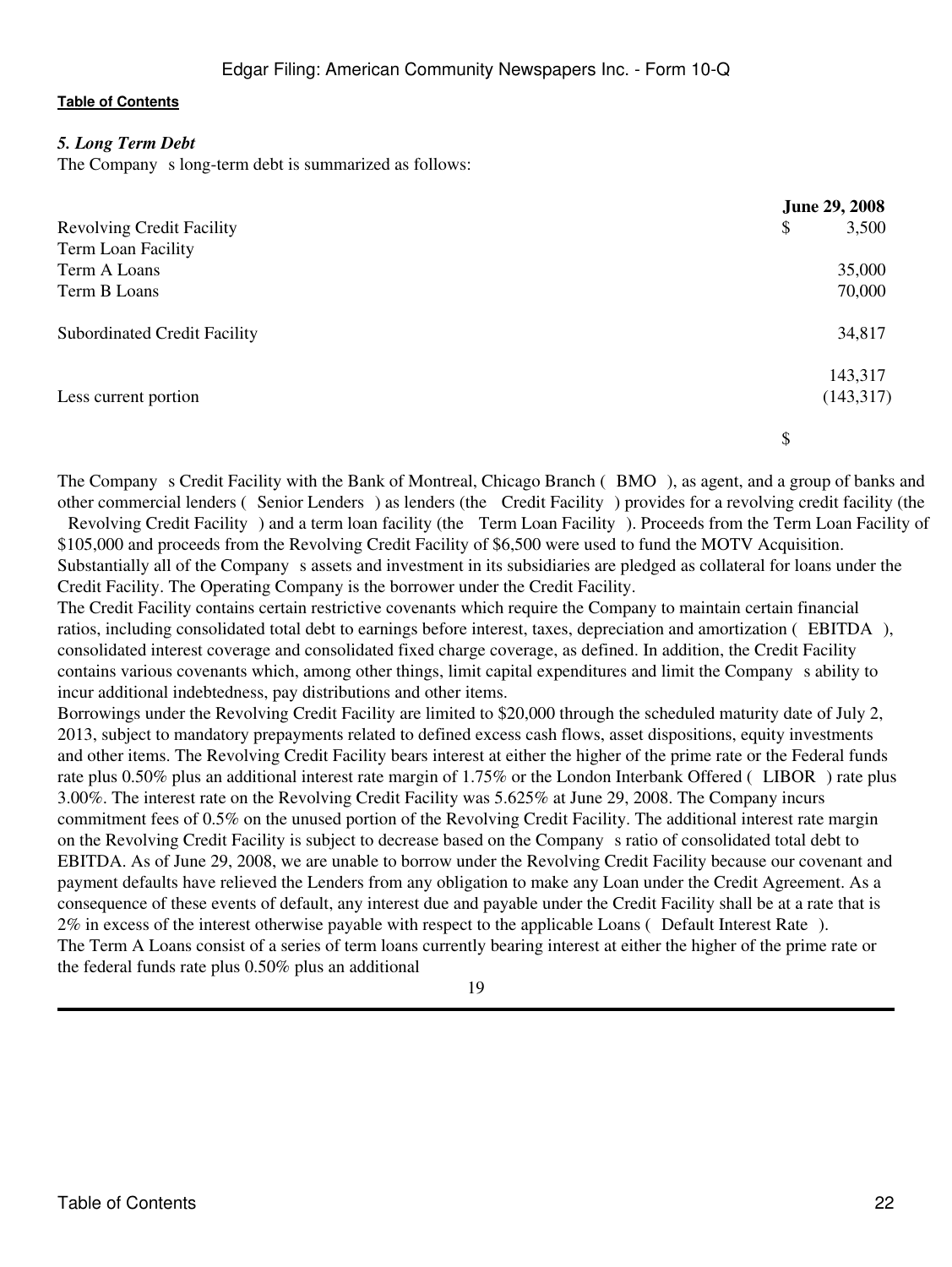# *5. Long Term Debt*

The Company s long-term debt is summarized as follows:

|                                     | <b>June 29, 2008</b> |
|-------------------------------------|----------------------|
| <b>Revolving Credit Facility</b>    | 3,500<br>\$          |
| Term Loan Facility                  |                      |
| Term A Loans                        | 35,000               |
| Term B Loans                        | 70,000               |
| <b>Subordinated Credit Facility</b> | 34,817               |
|                                     | 143,317              |
| Less current portion                | (143, 317)           |
|                                     | \$                   |

The Company s Credit Facility with the Bank of Montreal, Chicago Branch (BMO), as agent, and a group of banks and other commercial lenders (Senior Lenders) as lenders (the Credit Facility) provides for a revolving credit facility (the Revolving Credit Facility) and a term loan facility (the Term Loan Facility). Proceeds from the Term Loan Facility of \$105,000 and proceeds from the Revolving Credit Facility of \$6,500 were used to fund the MOTV Acquisition. Substantially all of the Company s assets and investment in its subsidiaries are pledged as collateral for loans under the Credit Facility. The Operating Company is the borrower under the Credit Facility.

The Credit Facility contains certain restrictive covenants which require the Company to maintain certain financial ratios, including consolidated total debt to earnings before interest, taxes, depreciation and amortization (EBITDA), consolidated interest coverage and consolidated fixed charge coverage, as defined. In addition, the Credit Facility contains various covenants which, among other things, limit capital expenditures and limit the Companys ability to incur additional indebtedness, pay distributions and other items.

Borrowings under the Revolving Credit Facility are limited to \$20,000 through the scheduled maturity date of July 2, 2013, subject to mandatory prepayments related to defined excess cash flows, asset dispositions, equity investments and other items. The Revolving Credit Facility bears interest at either the higher of the prime rate or the Federal funds rate plus 0.50% plus an additional interest rate margin of 1.75% or the London Interbank Offered (LIBOR) rate plus 3.00%. The interest rate on the Revolving Credit Facility was 5.625% at June 29, 2008. The Company incurs commitment fees of 0.5% on the unused portion of the Revolving Credit Facility. The additional interest rate margin on the Revolving Credit Facility is subject to decrease based on the Companys ratio of consolidated total debt to EBITDA. As of June 29, 2008, we are unable to borrow under the Revolving Credit Facility because our covenant and payment defaults have relieved the Lenders from any obligation to make any Loan under the Credit Agreement. As a consequence of these events of default, any interest due and payable under the Credit Facility shall be at a rate that is 2% in excess of the interest otherwise payable with respect to the applicable Loans (Default Interest Rate). The Term A Loans consist of a series of term loans currently bearing interest at either the higher of the prime rate or the federal funds rate plus 0.50% plus an additional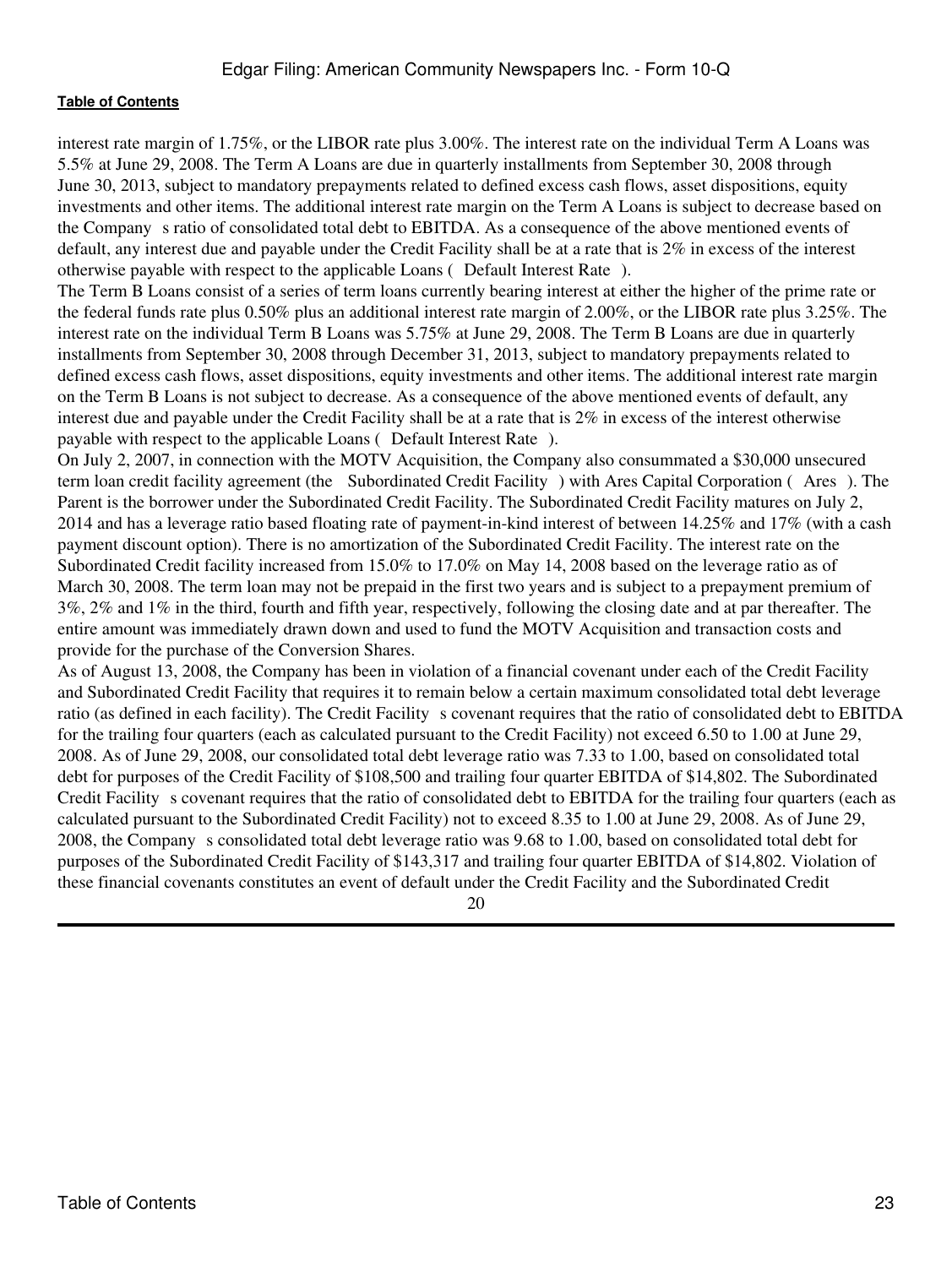interest rate margin of 1.75%, or the LIBOR rate plus 3.00%. The interest rate on the individual Term A Loans was 5.5% at June 29, 2008. The Term A Loans are due in quarterly installments from September 30, 2008 through June 30, 2013, subject to mandatory prepayments related to defined excess cash flows, asset dispositions, equity investments and other items. The additional interest rate margin on the Term A Loans is subject to decrease based on the Company s ratio of consolidated total debt to EBITDA. As a consequence of the above mentioned events of default, any interest due and payable under the Credit Facility shall be at a rate that is 2% in excess of the interest otherwise payable with respect to the applicable Loans ( Default Interest Rate).

The Term B Loans consist of a series of term loans currently bearing interest at either the higher of the prime rate or the federal funds rate plus 0.50% plus an additional interest rate margin of 2.00%, or the LIBOR rate plus 3.25%. The interest rate on the individual Term B Loans was 5.75% at June 29, 2008. The Term B Loans are due in quarterly installments from September 30, 2008 through December 31, 2013, subject to mandatory prepayments related to defined excess cash flows, asset dispositions, equity investments and other items. The additional interest rate margin on the Term B Loans is not subject to decrease. As a consequence of the above mentioned events of default, any interest due and payable under the Credit Facility shall be at a rate that is 2% in excess of the interest otherwise payable with respect to the applicable Loans (Default Interest Rate).

On July 2, 2007, in connection with the MOTV Acquisition, the Company also consummated a \$30,000 unsecured term loan credit facility agreement (the Subordinated Credit Facility) with Ares Capital Corporation (Ares). The Parent is the borrower under the Subordinated Credit Facility. The Subordinated Credit Facility matures on July 2, 2014 and has a leverage ratio based floating rate of payment-in-kind interest of between 14.25% and 17% (with a cash payment discount option). There is no amortization of the Subordinated Credit Facility. The interest rate on the Subordinated Credit facility increased from 15.0% to 17.0% on May 14, 2008 based on the leverage ratio as of March 30, 2008. The term loan may not be prepaid in the first two years and is subject to a prepayment premium of 3%, 2% and 1% in the third, fourth and fifth year, respectively, following the closing date and at par thereafter. The entire amount was immediately drawn down and used to fund the MOTV Acquisition and transaction costs and provide for the purchase of the Conversion Shares.

As of August 13, 2008, the Company has been in violation of a financial covenant under each of the Credit Facility and Subordinated Credit Facility that requires it to remain below a certain maximum consolidated total debt leverage ratio (as defined in each facility). The Credit Facility s covenant requires that the ratio of consolidated debt to EBITDA for the trailing four quarters (each as calculated pursuant to the Credit Facility) not exceed 6.50 to 1.00 at June 29, 2008. As of June 29, 2008, our consolidated total debt leverage ratio was 7.33 to 1.00, based on consolidated total debt for purposes of the Credit Facility of \$108,500 and trailing four quarter EBITDA of \$14,802. The Subordinated Credit Facility s covenant requires that the ratio of consolidated debt to EBITDA for the trailing four quarters (each as calculated pursuant to the Subordinated Credit Facility) not to exceed 8.35 to 1.00 at June 29, 2008. As of June 29, 2008, the Companys consolidated total debt leverage ratio was 9.68 to 1.00, based on consolidated total debt for purposes of the Subordinated Credit Facility of \$143,317 and trailing four quarter EBITDA of \$14,802. Violation of these financial covenants constitutes an event of default under the Credit Facility and the Subordinated Credit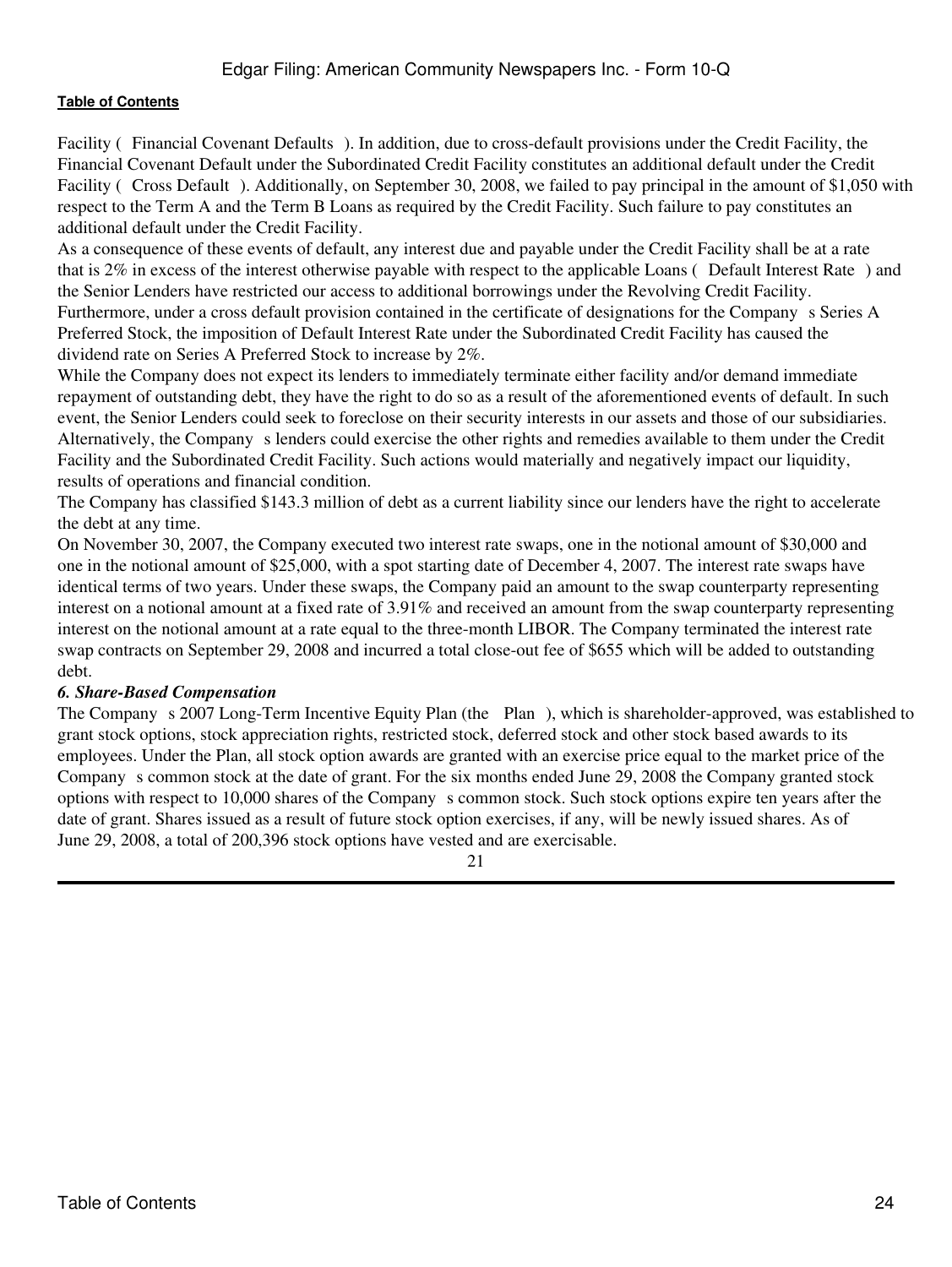Facility (Financial Covenant Defaults). In addition, due to cross-default provisions under the Credit Facility, the Financial Covenant Default under the Subordinated Credit Facility constitutes an additional default under the Credit Facility (Cross Default). Additionally, on September 30, 2008, we failed to pay principal in the amount of \$1,050 with respect to the Term A and the Term B Loans as required by the Credit Facility. Such failure to pay constitutes an additional default under the Credit Facility.

As a consequence of these events of default, any interest due and payable under the Credit Facility shall be at a rate that is 2% in excess of the interest otherwise payable with respect to the applicable Loans (Default Interest Rate) and the Senior Lenders have restricted our access to additional borrowings under the Revolving Credit Facility. Furthermore, under a cross default provision contained in the certificate of designations for the Company s Series A Preferred Stock, the imposition of Default Interest Rate under the Subordinated Credit Facility has caused the dividend rate on Series A Preferred Stock to increase by 2%.

While the Company does not expect its lenders to immediately terminate either facility and/or demand immediate repayment of outstanding debt, they have the right to do so as a result of the aforementioned events of default. In such event, the Senior Lenders could seek to foreclose on their security interests in our assets and those of our subsidiaries. Alternatively, the Companys lenders could exercise the other rights and remedies available to them under the Credit Facility and the Subordinated Credit Facility. Such actions would materially and negatively impact our liquidity, results of operations and financial condition.

The Company has classified \$143.3 million of debt as a current liability since our lenders have the right to accelerate the debt at any time.

On November 30, 2007, the Company executed two interest rate swaps, one in the notional amount of \$30,000 and one in the notional amount of \$25,000, with a spot starting date of December 4, 2007. The interest rate swaps have identical terms of two years. Under these swaps, the Company paid an amount to the swap counterparty representing interest on a notional amount at a fixed rate of 3.91% and received an amount from the swap counterparty representing interest on the notional amount at a rate equal to the three-month LIBOR. The Company terminated the interest rate swap contracts on September 29, 2008 and incurred a total close-out fee of \$655 which will be added to outstanding debt.

#### *6. Share-Based Compensation*

The Companys 2007 Long-Term Incentive Equity Plan (the Plan), which is shareholder-approved, was established to grant stock options, stock appreciation rights, restricted stock, deferred stock and other stock based awards to its employees. Under the Plan, all stock option awards are granted with an exercise price equal to the market price of the Company s common stock at the date of grant. For the six months ended June 29, 2008 the Company granted stock options with respect to 10,000 shares of the Companys common stock. Such stock options expire ten years after the date of grant. Shares issued as a result of future stock option exercises, if any, will be newly issued shares. As of June 29, 2008, a total of 200,396 stock options have vested and are exercisable.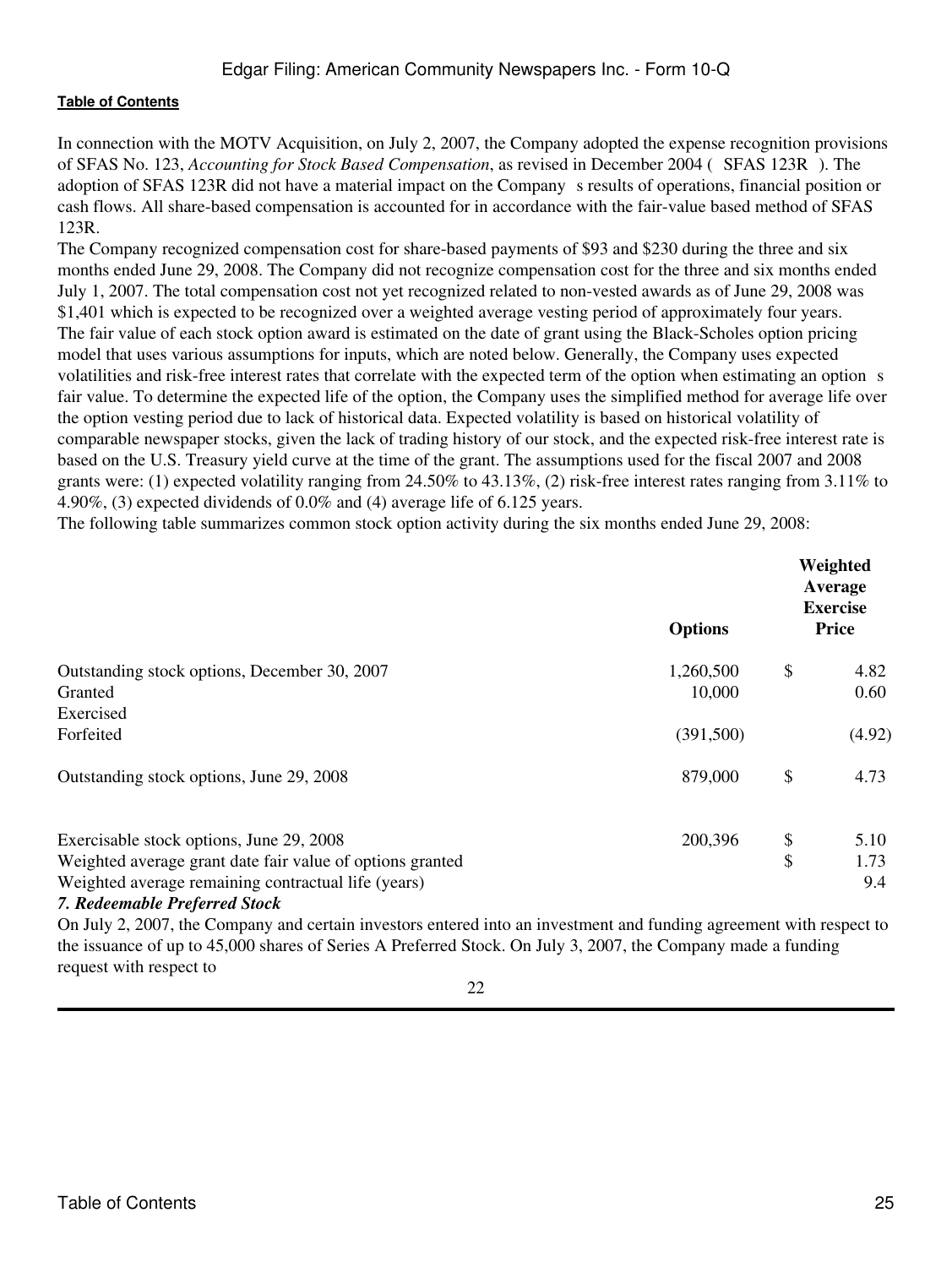# Edgar Filing: American Community Newspapers Inc. - Form 10-Q

#### **[Table of Contents](#page-2-0)**

In connection with the MOTV Acquisition, on July 2, 2007, the Company adopted the expense recognition provisions of SFAS No. 123, *Accounting for Stock Based Compensation*, as revised in December 2004 (SFAS 123R). The adoption of SFAS 123R did not have a material impact on the Company s results of operations, financial position or cash flows. All share-based compensation is accounted for in accordance with the fair-value based method of SFAS 123R.

The Company recognized compensation cost for share-based payments of \$93 and \$230 during the three and six months ended June 29, 2008. The Company did not recognize compensation cost for the three and six months ended July 1, 2007. The total compensation cost not yet recognized related to non-vested awards as of June 29, 2008 was \$1,401 which is expected to be recognized over a weighted average vesting period of approximately four years. The fair value of each stock option award is estimated on the date of grant using the Black-Scholes option pricing model that uses various assumptions for inputs, which are noted below. Generally, the Company uses expected volatilities and risk-free interest rates that correlate with the expected term of the option when estimating an option s fair value. To determine the expected life of the option, the Company uses the simplified method for average life over the option vesting period due to lack of historical data. Expected volatility is based on historical volatility of comparable newspaper stocks, given the lack of trading history of our stock, and the expected risk-free interest rate is based on the U.S. Treasury yield curve at the time of the grant. The assumptions used for the fiscal 2007 and 2008 grants were: (1) expected volatility ranging from 24.50% to 43.13%, (2) risk-free interest rates ranging from 3.11% to 4.90%, (3) expected dividends of 0.0% and (4) average life of 6.125 years.

The following table summarizes common stock option activity during the six months ended June 29, 2008:

|                                                           | <b>Options</b> | Weighted<br>Average<br><b>Exercise</b><br><b>Price</b> |        |  |
|-----------------------------------------------------------|----------------|--------------------------------------------------------|--------|--|
| Outstanding stock options, December 30, 2007              | 1,260,500      | \$                                                     | 4.82   |  |
| Granted                                                   | 10,000         |                                                        | 0.60   |  |
| Exercised                                                 |                |                                                        |        |  |
| Forfeited                                                 | (391, 500)     |                                                        | (4.92) |  |
| Outstanding stock options, June 29, 2008                  | 879,000        | \$                                                     | 4.73   |  |
| Exercisable stock options, June 29, 2008                  | 200,396        | \$                                                     | 5.10   |  |
| Weighted average grant date fair value of options granted |                | \$                                                     | 1.73   |  |
| Weighted average remaining contractual life (years)       |                |                                                        | 9.4    |  |
| 7 Delegas alle Dacfessel Charles                          |                |                                                        |        |  |

#### *7. Redeemable Preferred Stock*

On July 2, 2007, the Company and certain investors entered into an investment and funding agreement with respect to the issuance of up to 45,000 shares of Series A Preferred Stock. On July 3, 2007, the Company made a funding request with respect to

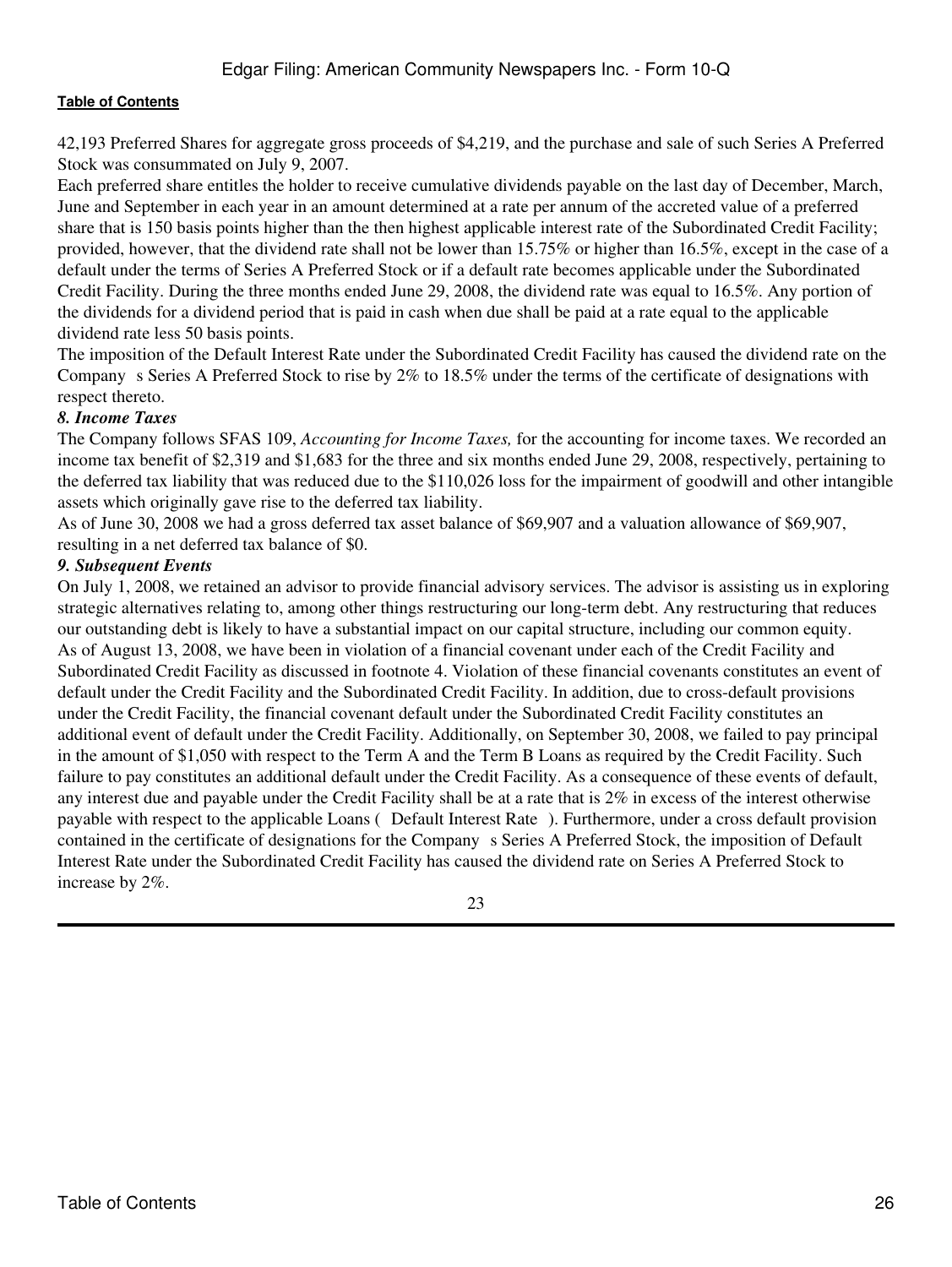42,193 Preferred Shares for aggregate gross proceeds of \$4,219, and the purchase and sale of such Series A Preferred Stock was consummated on July 9, 2007.

Each preferred share entitles the holder to receive cumulative dividends payable on the last day of December, March, June and September in each year in an amount determined at a rate per annum of the accreted value of a preferred share that is 150 basis points higher than the then highest applicable interest rate of the Subordinated Credit Facility; provided, however, that the dividend rate shall not be lower than 15.75% or higher than 16.5%, except in the case of a default under the terms of Series A Preferred Stock or if a default rate becomes applicable under the Subordinated Credit Facility. During the three months ended June 29, 2008, the dividend rate was equal to 16.5%. Any portion of the dividends for a dividend period that is paid in cash when due shall be paid at a rate equal to the applicable dividend rate less 50 basis points.

The imposition of the Default Interest Rate under the Subordinated Credit Facility has caused the dividend rate on the Company s Series A Preferred Stock to rise by 2% to 18.5% under the terms of the certificate of designations with respect thereto.

#### *8. Income Taxes*

The Company follows SFAS 109, *Accounting for Income Taxes,* for the accounting for income taxes. We recorded an income tax benefit of \$2,319 and \$1,683 for the three and six months ended June 29, 2008, respectively, pertaining to the deferred tax liability that was reduced due to the \$110,026 loss for the impairment of goodwill and other intangible assets which originally gave rise to the deferred tax liability.

As of June 30, 2008 we had a gross deferred tax asset balance of \$69,907 and a valuation allowance of \$69,907, resulting in a net deferred tax balance of \$0.

#### *9. Subsequent Events*

On July 1, 2008, we retained an advisor to provide financial advisory services. The advisor is assisting us in exploring strategic alternatives relating to, among other things restructuring our long-term debt. Any restructuring that reduces our outstanding debt is likely to have a substantial impact on our capital structure, including our common equity. As of August 13, 2008, we have been in violation of a financial covenant under each of the Credit Facility and Subordinated Credit Facility as discussed in footnote 4. Violation of these financial covenants constitutes an event of default under the Credit Facility and the Subordinated Credit Facility. In addition, due to cross-default provisions under the Credit Facility, the financial covenant default under the Subordinated Credit Facility constitutes an additional event of default under the Credit Facility. Additionally, on September 30, 2008, we failed to pay principal in the amount of \$1,050 with respect to the Term A and the Term B Loans as required by the Credit Facility. Such failure to pay constitutes an additional default under the Credit Facility. As a consequence of these events of default, any interest due and payable under the Credit Facility shall be at a rate that is 2% in excess of the interest otherwise payable with respect to the applicable Loans (Default Interest Rate). Furthermore, under a cross default provision contained in the certificate of designations for the Companys Series A Preferred Stock, the imposition of Default Interest Rate under the Subordinated Credit Facility has caused the dividend rate on Series A Preferred Stock to increase by 2%.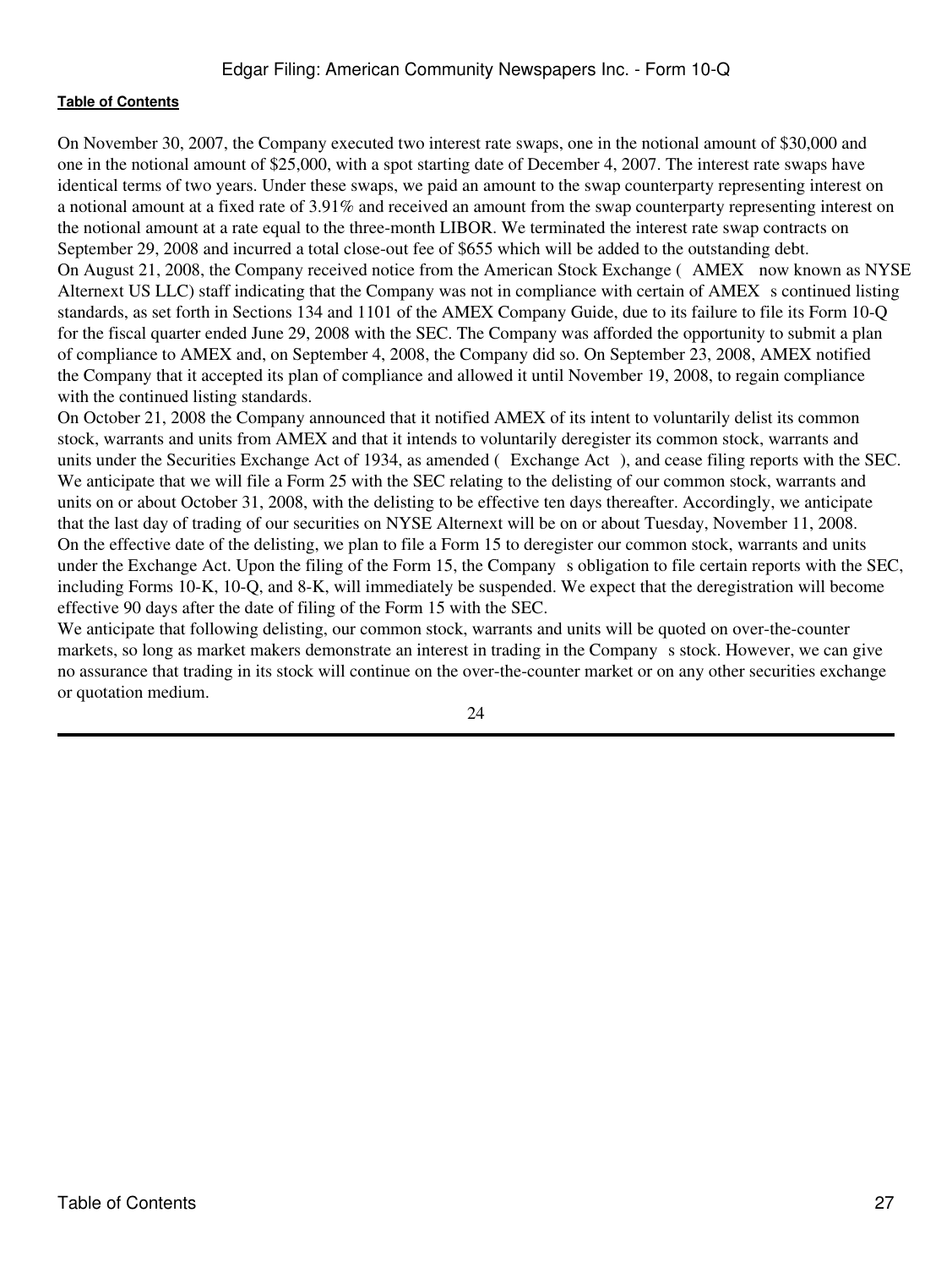On November 30, 2007, the Company executed two interest rate swaps, one in the notional amount of \$30,000 and one in the notional amount of \$25,000, with a spot starting date of December 4, 2007. The interest rate swaps have identical terms of two years. Under these swaps, we paid an amount to the swap counterparty representing interest on a notional amount at a fixed rate of 3.91% and received an amount from the swap counterparty representing interest on the notional amount at a rate equal to the three-month LIBOR. We terminated the interest rate swap contracts on September 29, 2008 and incurred a total close-out fee of \$655 which will be added to the outstanding debt. On August 21, 2008, the Company received notice from the American Stock Exchange (AMEX now known as NYSE) Alternext US LLC) staff indicating that the Company was not in compliance with certain of AMEX s continued listing standards, as set forth in Sections 134 and 1101 of the AMEX Company Guide, due to its failure to file its Form 10-Q for the fiscal quarter ended June 29, 2008 with the SEC. The Company was afforded the opportunity to submit a plan of compliance to AMEX and, on September 4, 2008, the Company did so. On September 23, 2008, AMEX notified the Company that it accepted its plan of compliance and allowed it until November 19, 2008, to regain compliance with the continued listing standards.

On October 21, 2008 the Company announced that it notified AMEX of its intent to voluntarily delist its common stock, warrants and units from AMEX and that it intends to voluntarily deregister its common stock, warrants and units under the Securities Exchange Act of 1934, as amended (Exchange Act), and cease filing reports with the SEC. We anticipate that we will file a Form 25 with the SEC relating to the delisting of our common stock, warrants and units on or about October 31, 2008, with the delisting to be effective ten days thereafter. Accordingly, we anticipate that the last day of trading of our securities on NYSE Alternext will be on or about Tuesday, November 11, 2008. On the effective date of the delisting, we plan to file a Form 15 to deregister our common stock, warrants and units under the Exchange Act. Upon the filing of the Form 15, the Company s obligation to file certain reports with the SEC, including Forms 10-K, 10-Q, and 8-K, will immediately be suspended. We expect that the deregistration will become effective 90 days after the date of filing of the Form 15 with the SEC.

We anticipate that following delisting, our common stock, warrants and units will be quoted on over-the-counter markets, so long as market makers demonstrate an interest in trading in the Company s stock. However, we can give no assurance that trading in its stock will continue on the over-the-counter market or on any other securities exchange or quotation medium.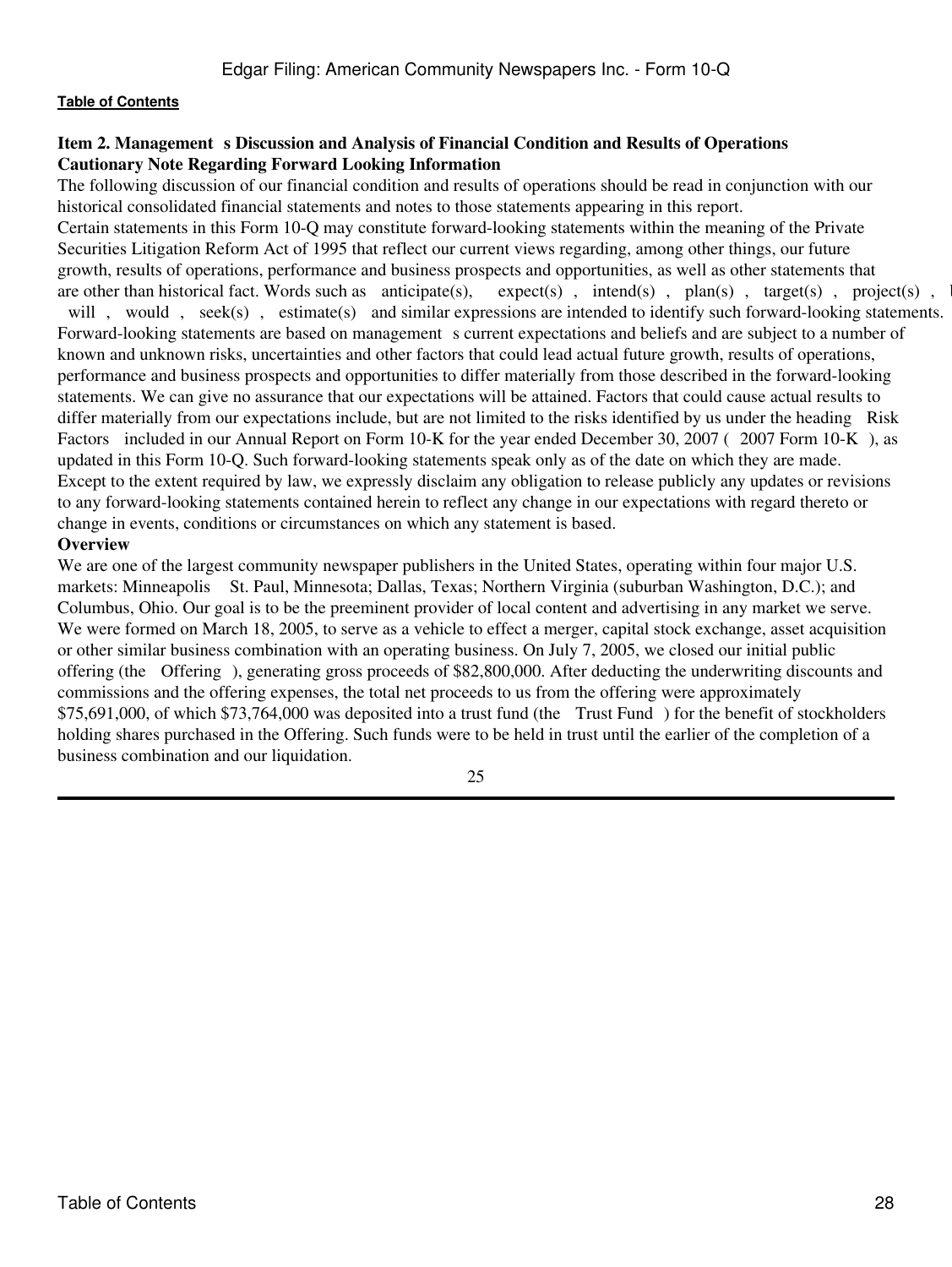# <span id="page-27-0"></span>**Item 2. Management s Discussion and Analysis of Financial Condition and Results of Operations Cautionary Note Regarding Forward Looking Information**

The following discussion of our financial condition and results of operations should be read in conjunction with our historical consolidated financial statements and notes to those statements appearing in this report. Certain statements in this Form 10-Q may constitute forward-looking statements within the meaning of the Private Securities Litigation Reform Act of 1995 that reflect our current views regarding, among other things, our future growth, results of operations, performance and business prospects and opportunities, as well as other statements that are other than historical fact. Words such as anticipate(s), expect(s), intend(s), plan(s), target(s), p  $expect(s)$ , intend(s), plan(s), target(s), project(s), intend(s), plan(s), target(s), project(s), believe will, would, seek(s), estimate(s) and similar expressions are intended to identify such forward-looking statements. Forward-looking statements are based on management s current expectations and beliefs and are subject to a number of known and unknown risks, uncertainties and other factors that could lead actual future growth, results of operations, performance and business prospects and opportunities to differ materially from those described in the forward-looking statements. We can give no assurance that our expectations will be attained. Factors that could cause actual results to differ materially from our expectations include, but are not limited to the risks identified by us under the heading Risk Factors included in our Annual Report on Form 10-K for the year ended December 30, 2007 (2007 Form 10-K), as updated in this Form 10-Q. Such forward-looking statements speak only as of the date on which they are made. Except to the extent required by law, we expressly disclaim any obligation to release publicly any updates or revisions to any forward-looking statements contained herein to reflect any change in our expectations with regard thereto or change in events, conditions or circumstances on which any statement is based.

# **Overview**

We are one of the largest community newspaper publishers in the United States, operating within four major U.S. markets: Minneapolis St. Paul, Minnesota; Dallas, Texas; Northern Virginia (suburban Washington, D.C.); and Columbus, Ohio. Our goal is to be the preeminent provider of local content and advertising in any market we serve. We were formed on March 18, 2005, to serve as a vehicle to effect a merger, capital stock exchange, asset acquisition or other similar business combination with an operating business. On July 7, 2005, we closed our initial public offering (the Offering), generating gross proceeds of \$82,800,000. After deducting the underwriting discounts and commissions and the offering expenses, the total net proceeds to us from the offering were approximately \$75,691,000, of which \$73,764,000 was deposited into a trust fund (the Trust Fund) for the benefit of stockholders holding shares purchased in the Offering. Such funds were to be held in trust until the earlier of the completion of a business combination and our liquidation.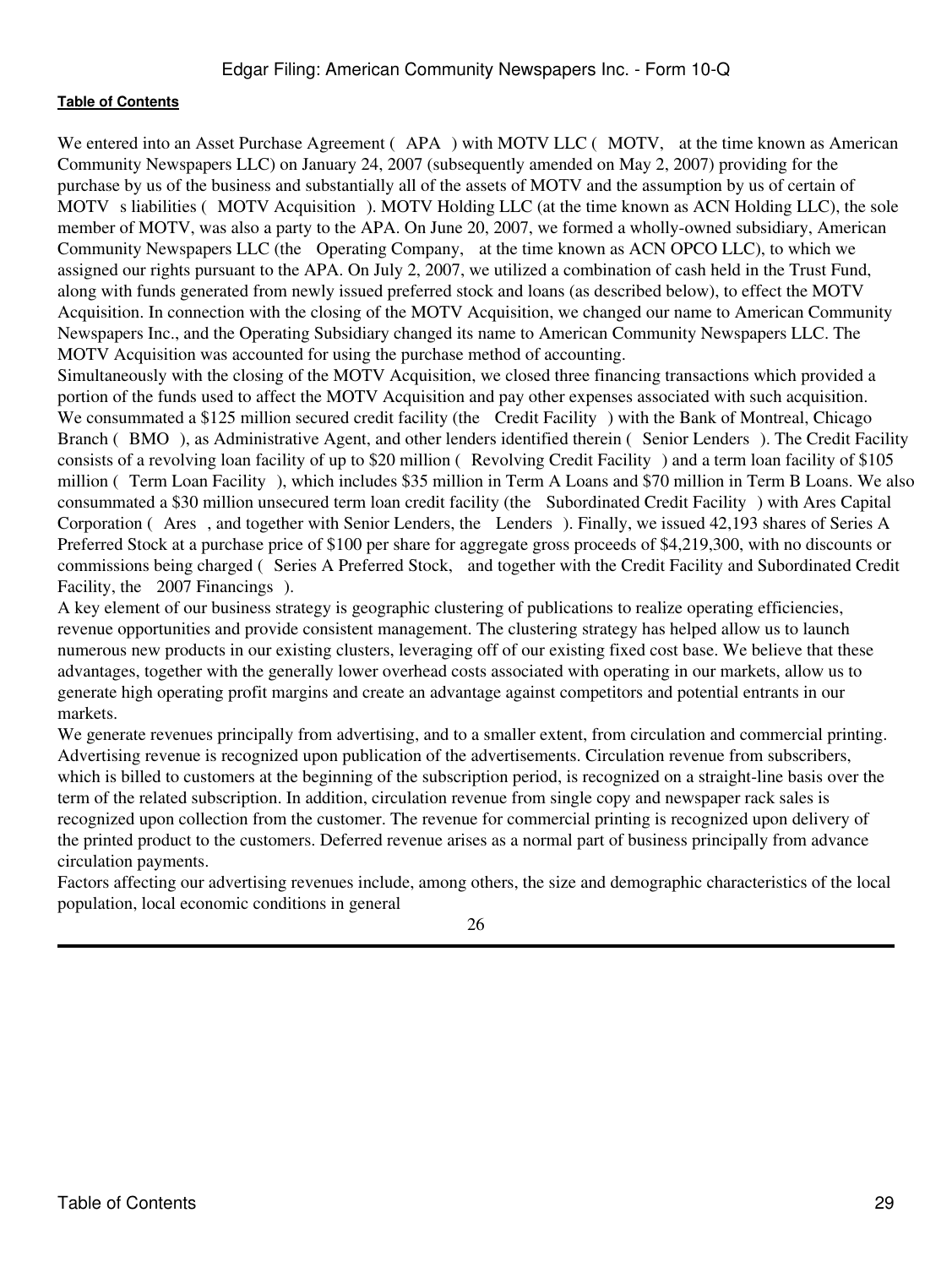We entered into an Asset Purchase Agreement (APA) with MOTV LLC (MOTV, at the time known as American Community Newspapers LLC) on January 24, 2007 (subsequently amended on May 2, 2007) providing for the purchase by us of the business and substantially all of the assets of MOTV and the assumption by us of certain of MOTV s liabilities (MOTV Acquisition). MOTV Holding LLC (at the time known as ACN Holding LLC), the sole member of MOTV, was also a party to the APA. On June 20, 2007, we formed a wholly-owned subsidiary, American Community Newspapers LLC (the Operating Company, at the time known as ACN OPCO LLC), to which we assigned our rights pursuant to the APA. On July 2, 2007, we utilized a combination of cash held in the Trust Fund, along with funds generated from newly issued preferred stock and loans (as described below), to effect the MOTV Acquisition. In connection with the closing of the MOTV Acquisition, we changed our name to American Community Newspapers Inc., and the Operating Subsidiary changed its name to American Community Newspapers LLC. The MOTV Acquisition was accounted for using the purchase method of accounting.

Simultaneously with the closing of the MOTV Acquisition, we closed three financing transactions which provided a portion of the funds used to affect the MOTV Acquisition and pay other expenses associated with such acquisition. We consummated a \$125 million secured credit facility (the Credit Facility) with the Bank of Montreal, Chicago Branch (BMO), as Administrative Agent, and other lenders identified therein (Senior Lenders). The Credit Facility consists of a revolving loan facility of up to \$20 million (Revolving Credit Facility) and a term loan facility of \$105 million (Term Loan Facility), which includes \$35 million in Term A Loans and \$70 million in Term B Loans. We also consummated a \$30 million unsecured term loan credit facility (the Subordinated Credit Facility) with Ares Capital Corporation (Ares, and together with Senior Lenders, the Lenders). Finally, we issued 42,193 shares of Series A Preferred Stock at a purchase price of \$100 per share for aggregate gross proceeds of \$4,219,300, with no discounts or commissions being charged (Series A Preferred Stock, and together with the Credit Facility and Subordinated Credit Facility, the 2007 Financings).

A key element of our business strategy is geographic clustering of publications to realize operating efficiencies, revenue opportunities and provide consistent management. The clustering strategy has helped allow us to launch numerous new products in our existing clusters, leveraging off of our existing fixed cost base. We believe that these advantages, together with the generally lower overhead costs associated with operating in our markets, allow us to generate high operating profit margins and create an advantage against competitors and potential entrants in our markets.

We generate revenues principally from advertising, and to a smaller extent, from circulation and commercial printing. Advertising revenue is recognized upon publication of the advertisements. Circulation revenue from subscribers, which is billed to customers at the beginning of the subscription period, is recognized on a straight-line basis over the term of the related subscription. In addition, circulation revenue from single copy and newspaper rack sales is recognized upon collection from the customer. The revenue for commercial printing is recognized upon delivery of the printed product to the customers. Deferred revenue arises as a normal part of business principally from advance circulation payments.

Factors affecting our advertising revenues include, among others, the size and demographic characteristics of the local population, local economic conditions in general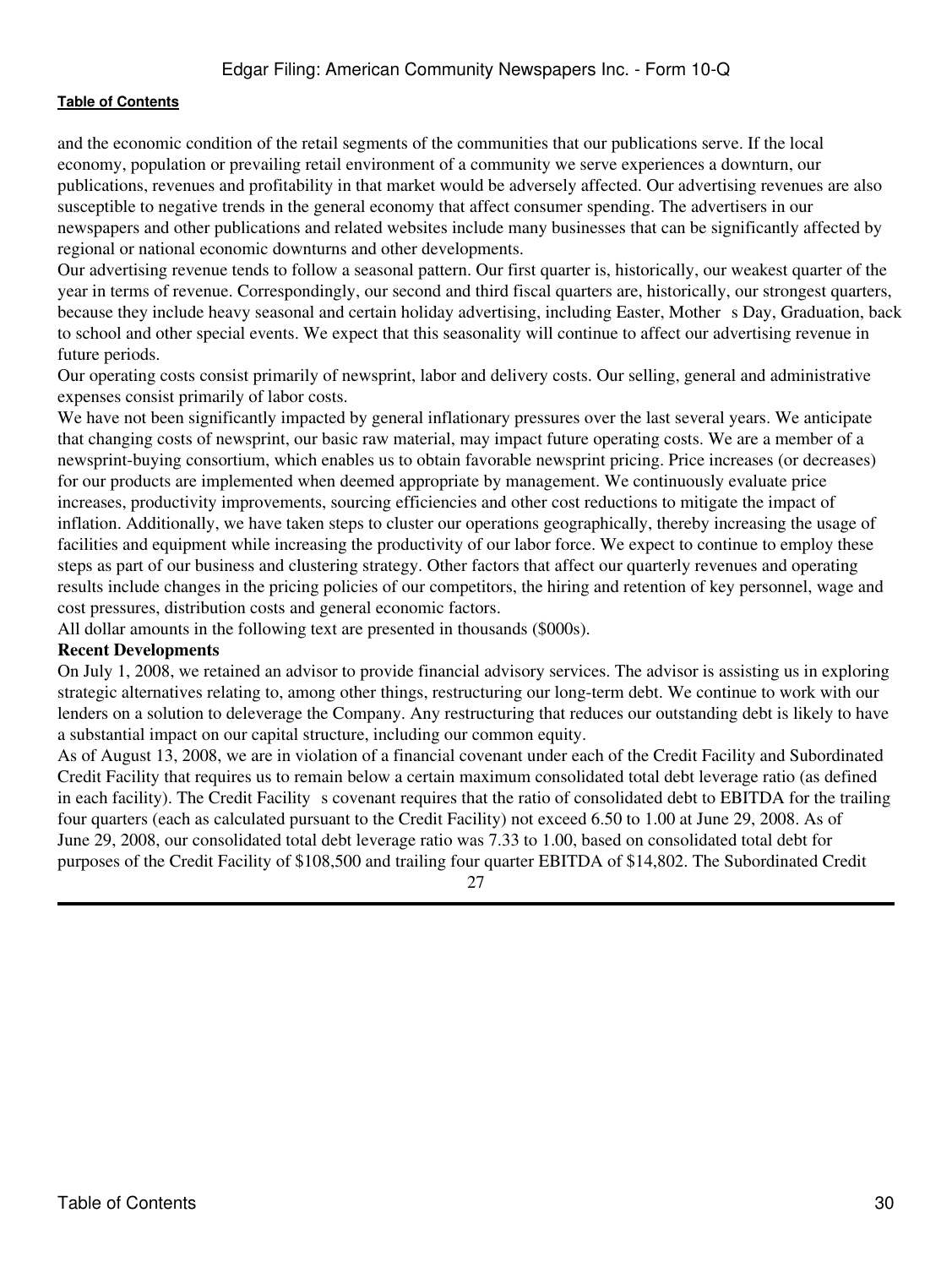and the economic condition of the retail segments of the communities that our publications serve. If the local economy, population or prevailing retail environment of a community we serve experiences a downturn, our publications, revenues and profitability in that market would be adversely affected. Our advertising revenues are also susceptible to negative trends in the general economy that affect consumer spending. The advertisers in our newspapers and other publications and related websites include many businesses that can be significantly affected by regional or national economic downturns and other developments.

Our advertising revenue tends to follow a seasonal pattern. Our first quarter is, historically, our weakest quarter of the year in terms of revenue. Correspondingly, our second and third fiscal quarters are, historically, our strongest quarters, because they include heavy seasonal and certain holiday advertising, including Easter, Mother s Day, Graduation, back to school and other special events. We expect that this seasonality will continue to affect our advertising revenue in future periods.

Our operating costs consist primarily of newsprint, labor and delivery costs. Our selling, general and administrative expenses consist primarily of labor costs.

We have not been significantly impacted by general inflationary pressures over the last several years. We anticipate that changing costs of newsprint, our basic raw material, may impact future operating costs. We are a member of a newsprint-buying consortium, which enables us to obtain favorable newsprint pricing. Price increases (or decreases) for our products are implemented when deemed appropriate by management. We continuously evaluate price increases, productivity improvements, sourcing efficiencies and other cost reductions to mitigate the impact of inflation. Additionally, we have taken steps to cluster our operations geographically, thereby increasing the usage of facilities and equipment while increasing the productivity of our labor force. We expect to continue to employ these steps as part of our business and clustering strategy. Other factors that affect our quarterly revenues and operating results include changes in the pricing policies of our competitors, the hiring and retention of key personnel, wage and cost pressures, distribution costs and general economic factors.

All dollar amounts in the following text are presented in thousands (\$000s).

#### **Recent Developments**

On July 1, 2008, we retained an advisor to provide financial advisory services. The advisor is assisting us in exploring strategic alternatives relating to, among other things, restructuring our long-term debt. We continue to work with our lenders on a solution to deleverage the Company. Any restructuring that reduces our outstanding debt is likely to have a substantial impact on our capital structure, including our common equity.

As of August 13, 2008, we are in violation of a financial covenant under each of the Credit Facility and Subordinated Credit Facility that requires us to remain below a certain maximum consolidated total debt leverage ratio (as defined in each facility). The Credit Facility s covenant requires that the ratio of consolidated debt to EBITDA for the trailing four quarters (each as calculated pursuant to the Credit Facility) not exceed 6.50 to 1.00 at June 29, 2008. As of June 29, 2008, our consolidated total debt leverage ratio was 7.33 to 1.00, based on consolidated total debt for purposes of the Credit Facility of \$108,500 and trailing four quarter EBITDA of \$14,802. The Subordinated Credit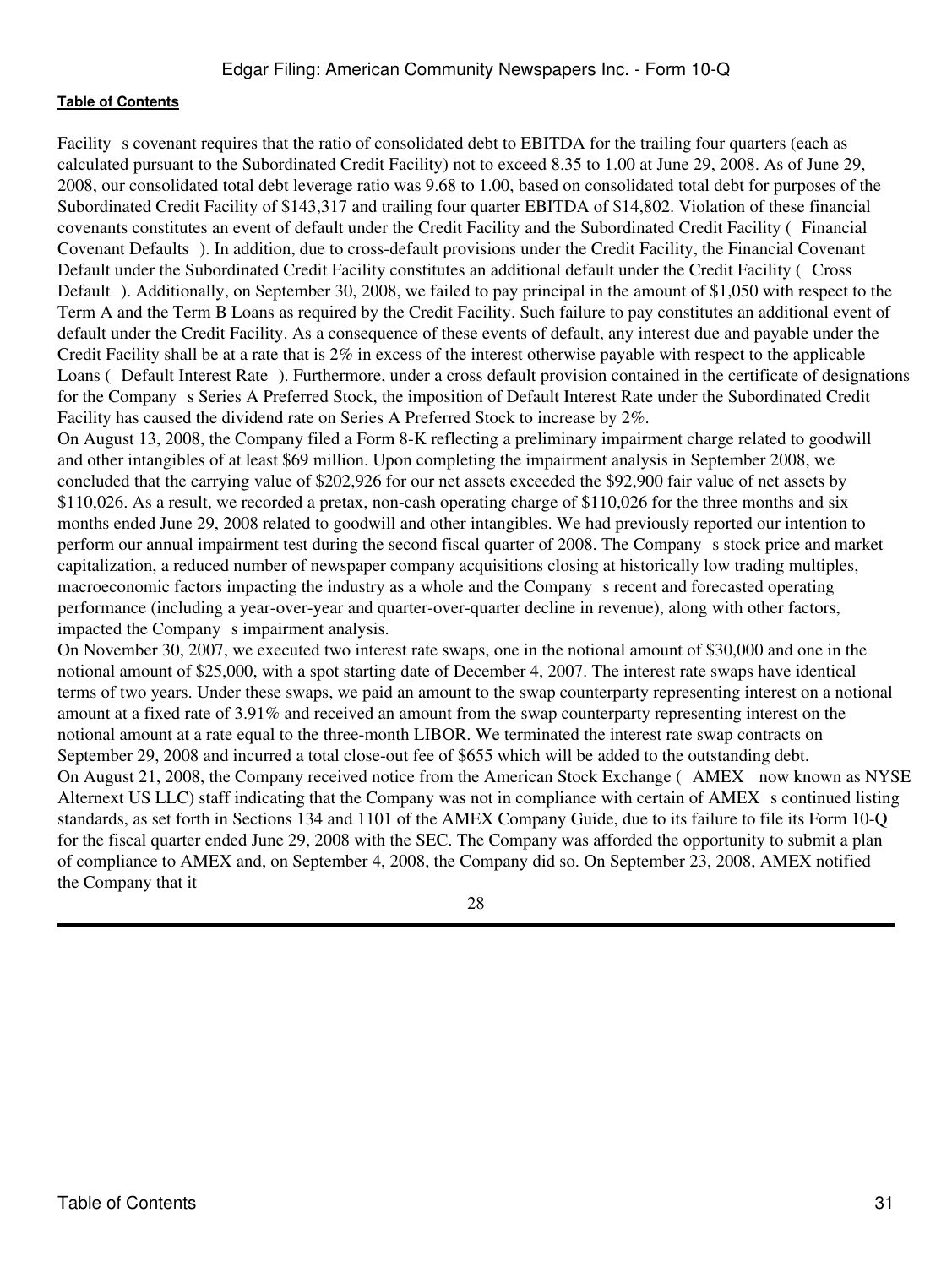Facility s covenant requires that the ratio of consolidated debt to EBITDA for the trailing four quarters (each as calculated pursuant to the Subordinated Credit Facility) not to exceed 8.35 to 1.00 at June 29, 2008. As of June 29, 2008, our consolidated total debt leverage ratio was 9.68 to 1.00, based on consolidated total debt for purposes of the Subordinated Credit Facility of \$143,317 and trailing four quarter EBITDA of \$14,802. Violation of these financial covenants constitutes an event of default under the Credit Facility and the Subordinated Credit Facility (Financial Covenant Defaults). In addition, due to cross-default provisions under the Credit Facility, the Financial Covenant Default under the Subordinated Credit Facility constitutes an additional default under the Credit Facility (Cross Default). Additionally, on September 30, 2008, we failed to pay principal in the amount of \$1,050 with respect to the Term A and the Term B Loans as required by the Credit Facility. Such failure to pay constitutes an additional event of default under the Credit Facility. As a consequence of these events of default, any interest due and payable under the Credit Facility shall be at a rate that is 2% in excess of the interest otherwise payable with respect to the applicable Loans (Default Interest Rate). Furthermore, under a cross default provision contained in the certificate of designations for the Company s Series A Preferred Stock, the imposition of Default Interest Rate under the Subordinated Credit Facility has caused the dividend rate on Series A Preferred Stock to increase by 2%.

On August 13, 2008, the Company filed a Form 8-K reflecting a preliminary impairment charge related to goodwill and other intangibles of at least \$69 million. Upon completing the impairment analysis in September 2008, we concluded that the carrying value of \$202,926 for our net assets exceeded the \$92,900 fair value of net assets by \$110,026. As a result, we recorded a pretax, non-cash operating charge of \$110,026 for the three months and six months ended June 29, 2008 related to goodwill and other intangibles. We had previously reported our intention to perform our annual impairment test during the second fiscal quarter of 2008. The Companys stock price and market capitalization, a reduced number of newspaper company acquisitions closing at historically low trading multiples, macroeconomic factors impacting the industry as a whole and the Company s recent and forecasted operating performance (including a year-over-year and quarter-over-quarter decline in revenue), along with other factors, impacted the Company s impairment analysis.

On November 30, 2007, we executed two interest rate swaps, one in the notional amount of \$30,000 and one in the notional amount of \$25,000, with a spot starting date of December 4, 2007. The interest rate swaps have identical terms of two years. Under these swaps, we paid an amount to the swap counterparty representing interest on a notional amount at a fixed rate of 3.91% and received an amount from the swap counterparty representing interest on the notional amount at a rate equal to the three-month LIBOR. We terminated the interest rate swap contracts on September 29, 2008 and incurred a total close-out fee of \$655 which will be added to the outstanding debt. On August 21, 2008, the Company received notice from the American Stock Exchange (AMEX now known as NYSE Alternext US LLC) staff indicating that the Company was not in compliance with certain of AMEX s continued listing standards, as set forth in Sections 134 and 1101 of the AMEX Company Guide, due to its failure to file its Form 10-Q for the fiscal quarter ended June 29, 2008 with the SEC. The Company was afforded the opportunity to submit a plan of compliance to AMEX and, on September 4, 2008, the Company did so. On September 23, 2008, AMEX notified the Company that it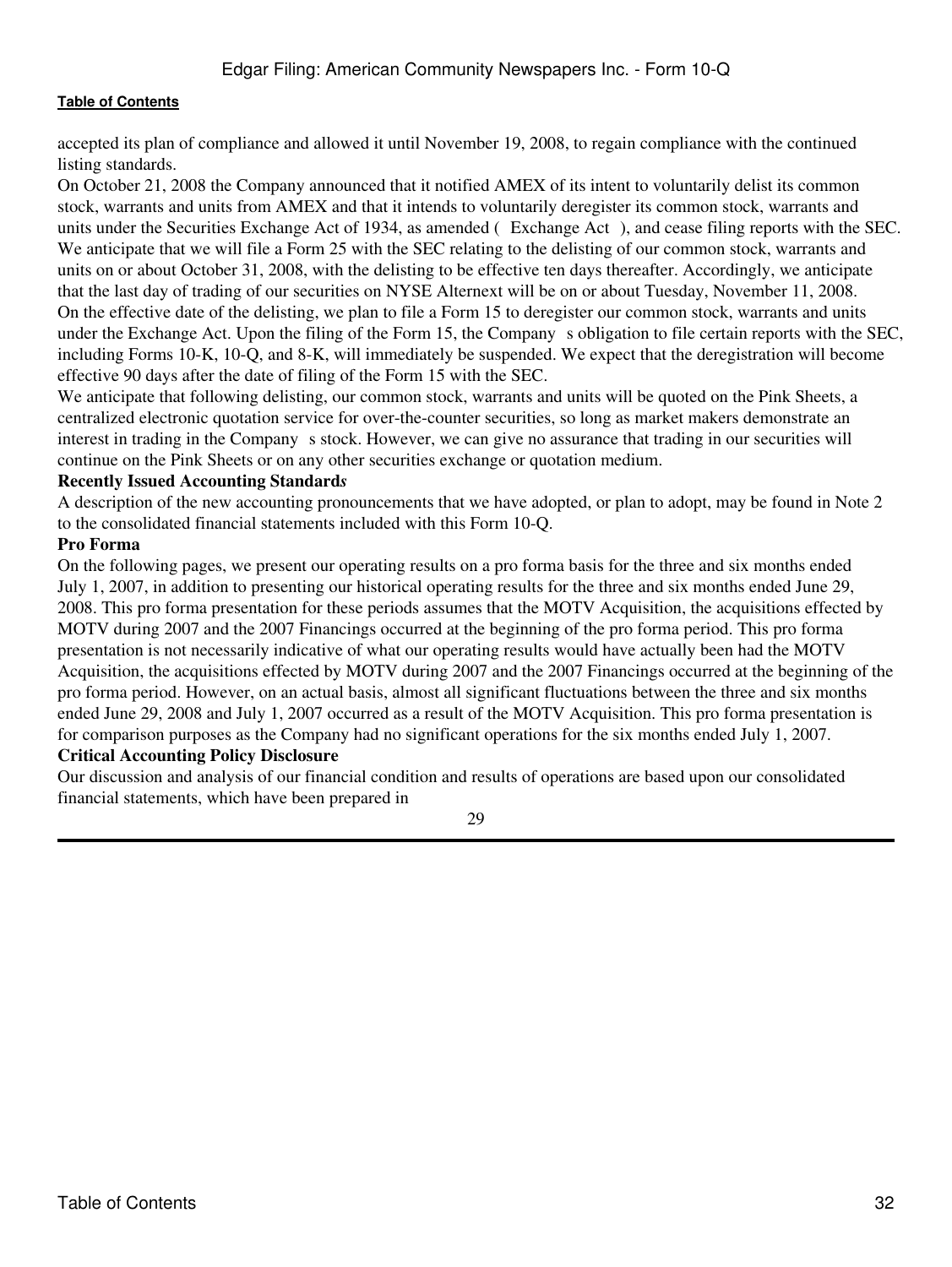accepted its plan of compliance and allowed it until November 19, 2008, to regain compliance with the continued listing standards.

On October 21, 2008 the Company announced that it notified AMEX of its intent to voluntarily delist its common stock, warrants and units from AMEX and that it intends to voluntarily deregister its common stock, warrants and units under the Securities Exchange Act of 1934, as amended (Exchange Act), and cease filing reports with the SEC. We anticipate that we will file a Form 25 with the SEC relating to the delisting of our common stock, warrants and units on or about October 31, 2008, with the delisting to be effective ten days thereafter. Accordingly, we anticipate that the last day of trading of our securities on NYSE Alternext will be on or about Tuesday, November 11, 2008. On the effective date of the delisting, we plan to file a Form 15 to deregister our common stock, warrants and units under the Exchange Act. Upon the filing of the Form 15, the Company s obligation to file certain reports with the SEC, including Forms 10-K, 10-Q, and 8-K, will immediately be suspended. We expect that the deregistration will become effective 90 days after the date of filing of the Form 15 with the SEC.

We anticipate that following delisting, our common stock, warrants and units will be quoted on the Pink Sheets, a centralized electronic quotation service for over-the-counter securities, so long as market makers demonstrate an interest in trading in the Company s stock. However, we can give no assurance that trading in our securities will continue on the Pink Sheets or on any other securities exchange or quotation medium.

#### **Recently Issued Accounting Standard***s*

A description of the new accounting pronouncements that we have adopted, or plan to adopt, may be found in Note 2 to the consolidated financial statements included with this Form 10-Q.

#### **Pro Forma**

On the following pages, we present our operating results on a pro forma basis for the three and six months ended July 1, 2007, in addition to presenting our historical operating results for the three and six months ended June 29, 2008. This pro forma presentation for these periods assumes that the MOTV Acquisition, the acquisitions effected by MOTV during 2007 and the 2007 Financings occurred at the beginning of the pro forma period. This pro forma presentation is not necessarily indicative of what our operating results would have actually been had the MOTV Acquisition, the acquisitions effected by MOTV during 2007 and the 2007 Financings occurred at the beginning of the pro forma period. However, on an actual basis, almost all significant fluctuations between the three and six months ended June 29, 2008 and July 1, 2007 occurred as a result of the MOTV Acquisition. This pro forma presentation is for comparison purposes as the Company had no significant operations for the six months ended July 1, 2007. **Critical Accounting Policy Disclosure**

Our discussion and analysis of our financial condition and results of operations are based upon our consolidated financial statements, which have been prepared in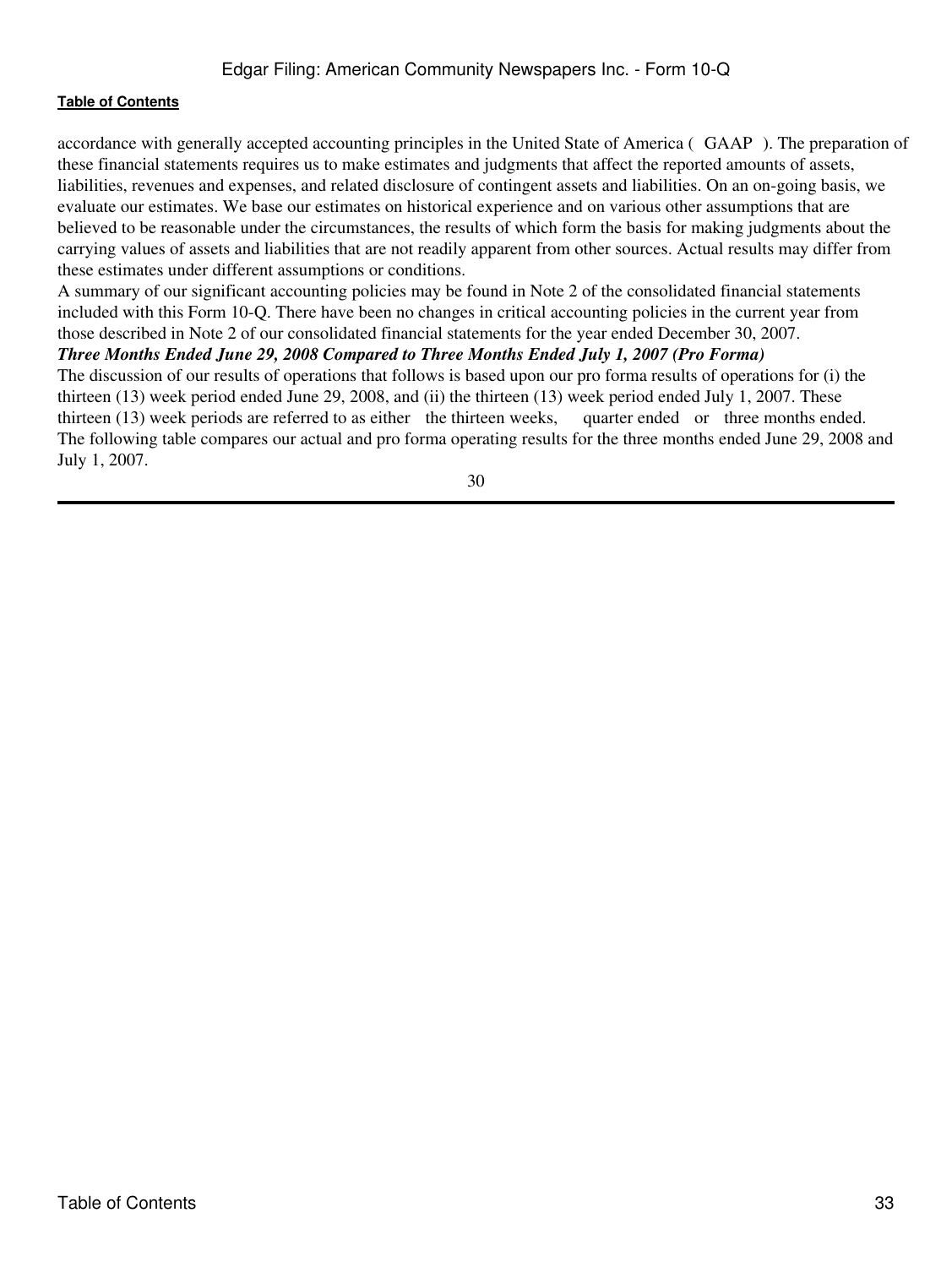accordance with generally accepted accounting principles in the United State of America (GAAP). The preparation of these financial statements requires us to make estimates and judgments that affect the reported amounts of assets, liabilities, revenues and expenses, and related disclosure of contingent assets and liabilities. On an on-going basis, we evaluate our estimates. We base our estimates on historical experience and on various other assumptions that are believed to be reasonable under the circumstances, the results of which form the basis for making judgments about the carrying values of assets and liabilities that are not readily apparent from other sources. Actual results may differ from these estimates under different assumptions or conditions.

A summary of our significant accounting policies may be found in Note 2 of the consolidated financial statements included with this Form 10-Q. There have been no changes in critical accounting policies in the current year from those described in Note 2 of our consolidated financial statements for the year ended December 30, 2007.

#### *Three Months Ended June 29, 2008 Compared to Three Months Ended July 1, 2007 (Pro Forma)*

The discussion of our results of operations that follows is based upon our pro forma results of operations for (i) the thirteen (13) week period ended June 29, 2008, and (ii) the thirteen (13) week period ended July 1, 2007. These thirteen (13) week periods are referred to as either the thirteen weeks, quarter ended or three months ended. The following table compares our actual and pro forma operating results for the three months ended June 29, 2008 and July 1, 2007.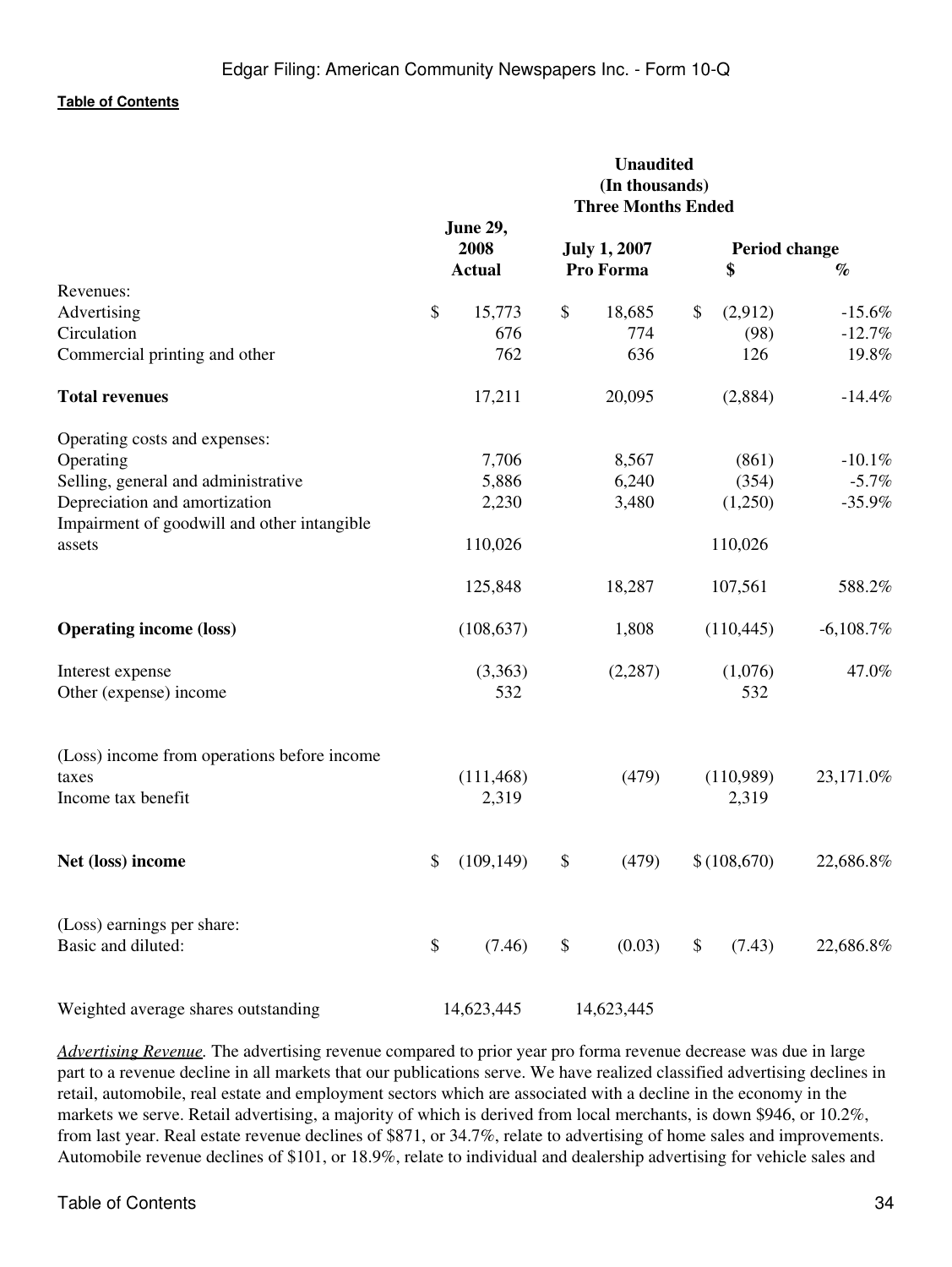|                                                       | <b>Unaudited</b><br>(In thousands)<br><b>Three Months Ended</b> |                         |    |                     |    |                    |              |
|-------------------------------------------------------|-----------------------------------------------------------------|-------------------------|----|---------------------|----|--------------------|--------------|
|                                                       |                                                                 | <b>June 29,</b><br>2008 |    | <b>July 1, 2007</b> |    | Period change      |              |
| Revenues:                                             |                                                                 | <b>Actual</b>           |    | Pro Forma           |    | \$                 | $\%$         |
| Advertising                                           | \$                                                              | 15,773                  | \$ | 18,685              | \$ | (2,912)            | $-15.6%$     |
| Circulation                                           |                                                                 | 676                     |    | 774                 |    | (98)               | $-12.7%$     |
| Commercial printing and other                         |                                                                 | 762                     |    | 636                 |    | 126                | 19.8%        |
| <b>Total revenues</b>                                 |                                                                 | 17,211                  |    | 20,095              |    | (2,884)            | $-14.4%$     |
| Operating costs and expenses:                         |                                                                 |                         |    |                     |    |                    |              |
| Operating                                             |                                                                 | 7,706                   |    | 8,567               |    | (861)              | $-10.1%$     |
| Selling, general and administrative                   |                                                                 | 5,886                   |    | 6,240               |    | (354)              | $-5.7%$      |
| Depreciation and amortization                         |                                                                 | 2,230                   |    | 3,480               |    | (1,250)            | $-35.9%$     |
| Impairment of goodwill and other intangible<br>assets |                                                                 | 110,026                 |    |                     |    | 110,026            |              |
|                                                       |                                                                 | 125,848                 |    | 18,287              |    | 107,561            | 588.2%       |
| <b>Operating income (loss)</b>                        |                                                                 | (108, 637)              |    | 1,808               |    | (110, 445)         | $-6,108.7\%$ |
| Interest expense<br>Other (expense) income            |                                                                 | (3,363)<br>532          |    | (2, 287)            |    | (1,076)<br>532     | 47.0%        |
| (Loss) income from operations before income           |                                                                 |                         |    |                     |    |                    |              |
| taxes<br>Income tax benefit                           |                                                                 | (111, 468)<br>2,319     |    | (479)               |    | (110,989)<br>2,319 | 23,171.0%    |
| Net (loss) income                                     | \$                                                              | (109, 149)              | \$ | (479)               |    | \$(108,670)        | 22,686.8%    |
| (Loss) earnings per share:                            |                                                                 |                         |    |                     |    |                    |              |
| Basic and diluted:                                    | \$                                                              | (7.46)                  | \$ | (0.03)              | \$ | (7.43)             | 22,686.8%    |
| Weighted average shares outstanding                   |                                                                 | 14,623,445              |    | 14,623,445          |    |                    |              |

*Advertising Revenue.* The advertising revenue compared to prior year pro forma revenue decrease was due in large part to a revenue decline in all markets that our publications serve. We have realized classified advertising declines in retail, automobile, real estate and employment sectors which are associated with a decline in the economy in the markets we serve. Retail advertising, a majority of which is derived from local merchants, is down \$946, or 10.2%, from last year. Real estate revenue declines of \$871, or 34.7%, relate to advertising of home sales and improvements. Automobile revenue declines of \$101, or 18.9%, relate to individual and dealership advertising for vehicle sales and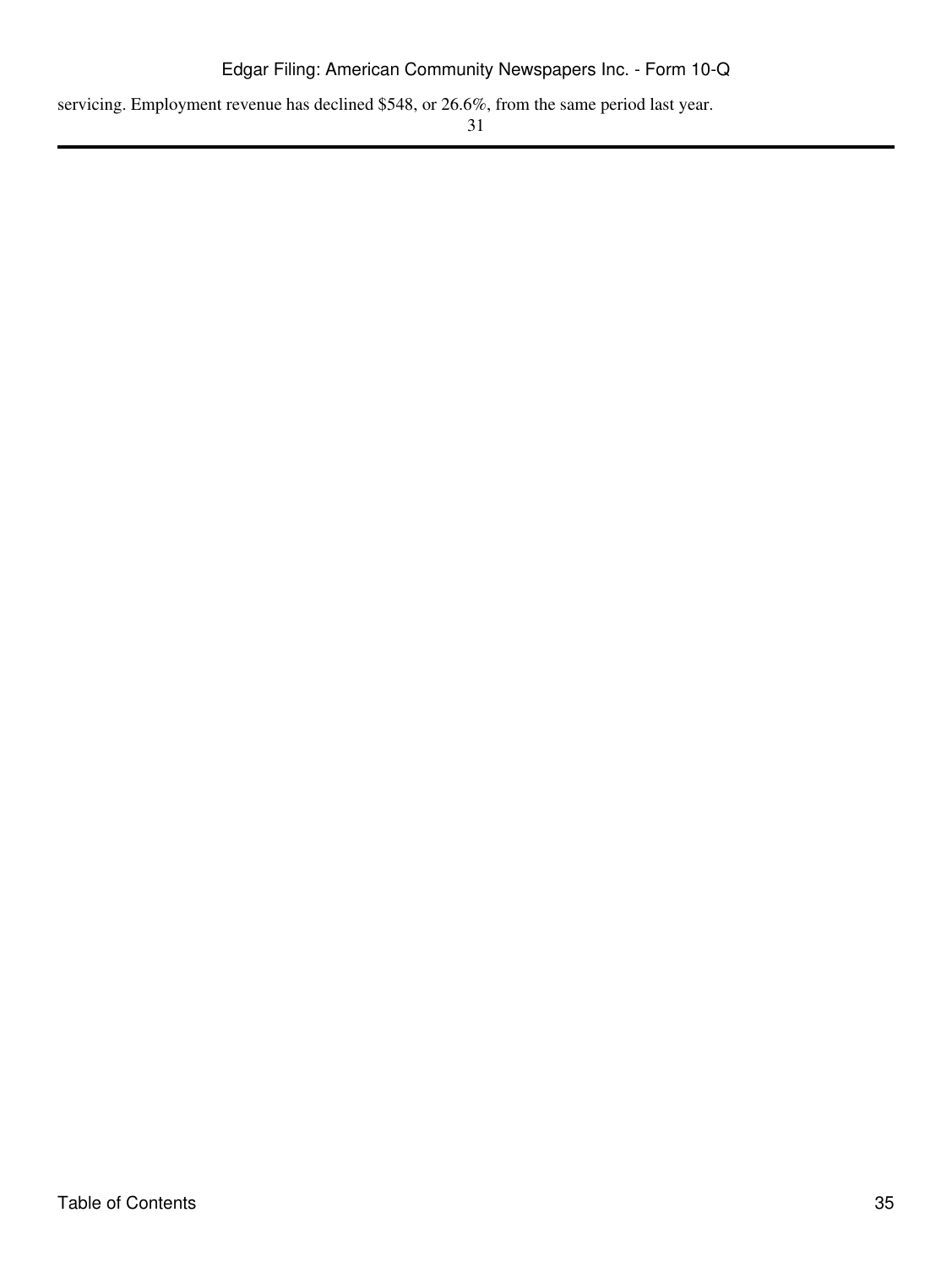servicing. Employment revenue has declined \$548, or 26.6%, from the same period last year.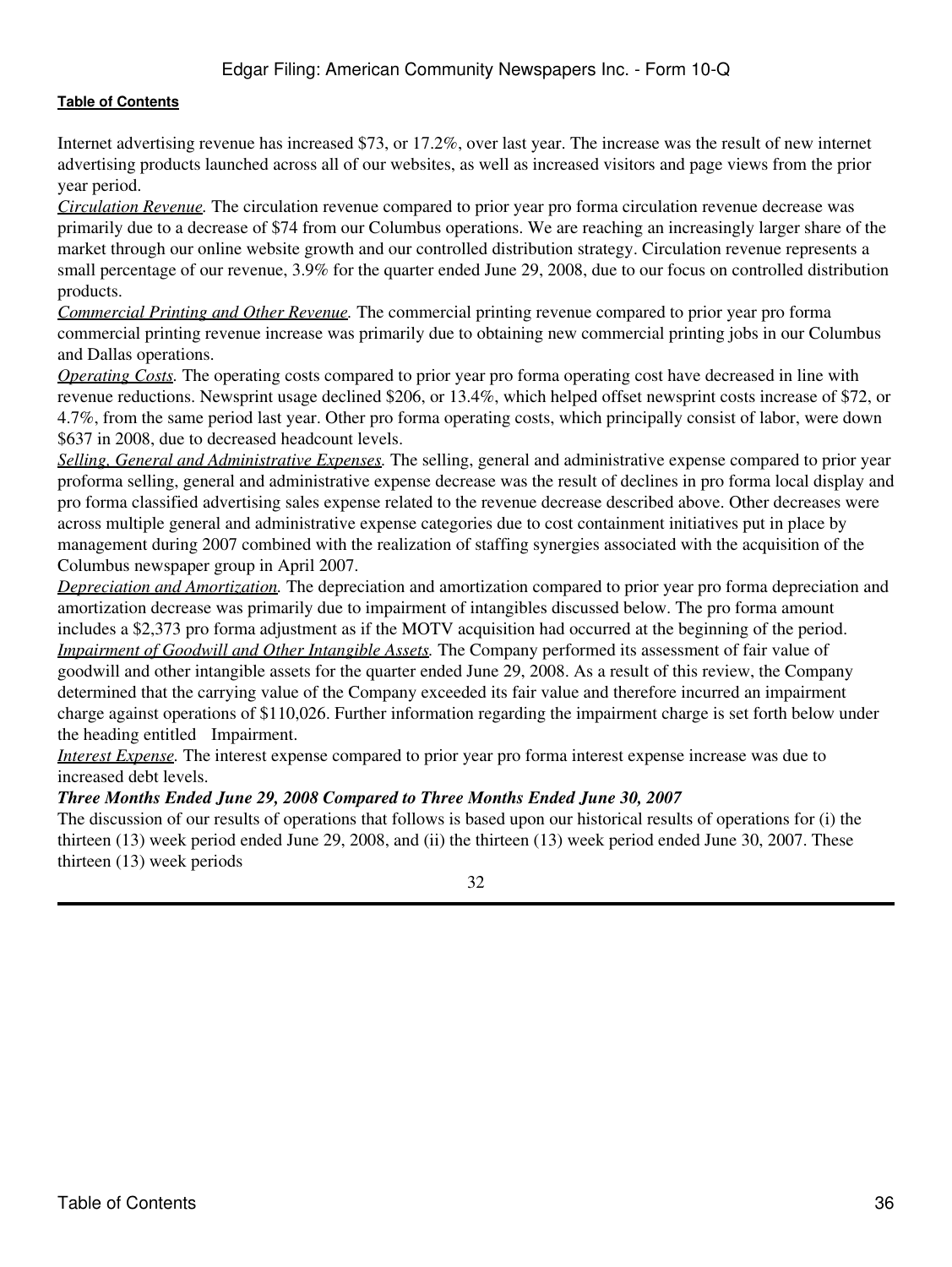Internet advertising revenue has increased \$73, or 17.2%, over last year. The increase was the result of new internet advertising products launched across all of our websites, as well as increased visitors and page views from the prior year period.

*Circulation Revenue.* The circulation revenue compared to prior year pro forma circulation revenue decrease was primarily due to a decrease of \$74 from our Columbus operations. We are reaching an increasingly larger share of the market through our online website growth and our controlled distribution strategy. Circulation revenue represents a small percentage of our revenue, 3.9% for the quarter ended June 29, 2008, due to our focus on controlled distribution products.

*Commercial Printing and Other Revenue.* The commercial printing revenue compared to prior year pro forma commercial printing revenue increase was primarily due to obtaining new commercial printing jobs in our Columbus and Dallas operations.

*Operating Costs.* The operating costs compared to prior year pro forma operating cost have decreased in line with revenue reductions. Newsprint usage declined \$206, or 13.4%, which helped offset newsprint costs increase of \$72, or 4.7%, from the same period last year. Other pro forma operating costs, which principally consist of labor, were down \$637 in 2008, due to decreased headcount levels.

*Selling, General and Administrative Expenses.* The selling, general and administrative expense compared to prior year proforma selling, general and administrative expense decrease was the result of declines in pro forma local display and pro forma classified advertising sales expense related to the revenue decrease described above. Other decreases were across multiple general and administrative expense categories due to cost containment initiatives put in place by management during 2007 combined with the realization of staffing synergies associated with the acquisition of the Columbus newspaper group in April 2007.

*Depreciation and Amortization.* The depreciation and amortization compared to prior year pro forma depreciation and amortization decrease was primarily due to impairment of intangibles discussed below. The pro forma amount includes a \$2,373 pro forma adjustment as if the MOTV acquisition had occurred at the beginning of the period. *Impairment of Goodwill and Other Intangible Assets.* The Company performed its assessment of fair value of goodwill and other intangible assets for the quarter ended June 29, 2008. As a result of this review, the Company determined that the carrying value of the Company exceeded its fair value and therefore incurred an impairment charge against operations of \$110,026. Further information regarding the impairment charge is set forth below under the heading entitled Impairment.

*Interest Expense.* The interest expense compared to prior year pro forma interest expense increase was due to increased debt levels.

#### *Three Months Ended June 29, 2008 Compared to Three Months Ended June 30, 2007*

The discussion of our results of operations that follows is based upon our historical results of operations for (i) the thirteen (13) week period ended June 29, 2008, and (ii) the thirteen (13) week period ended June 30, 2007. These thirteen (13) week periods

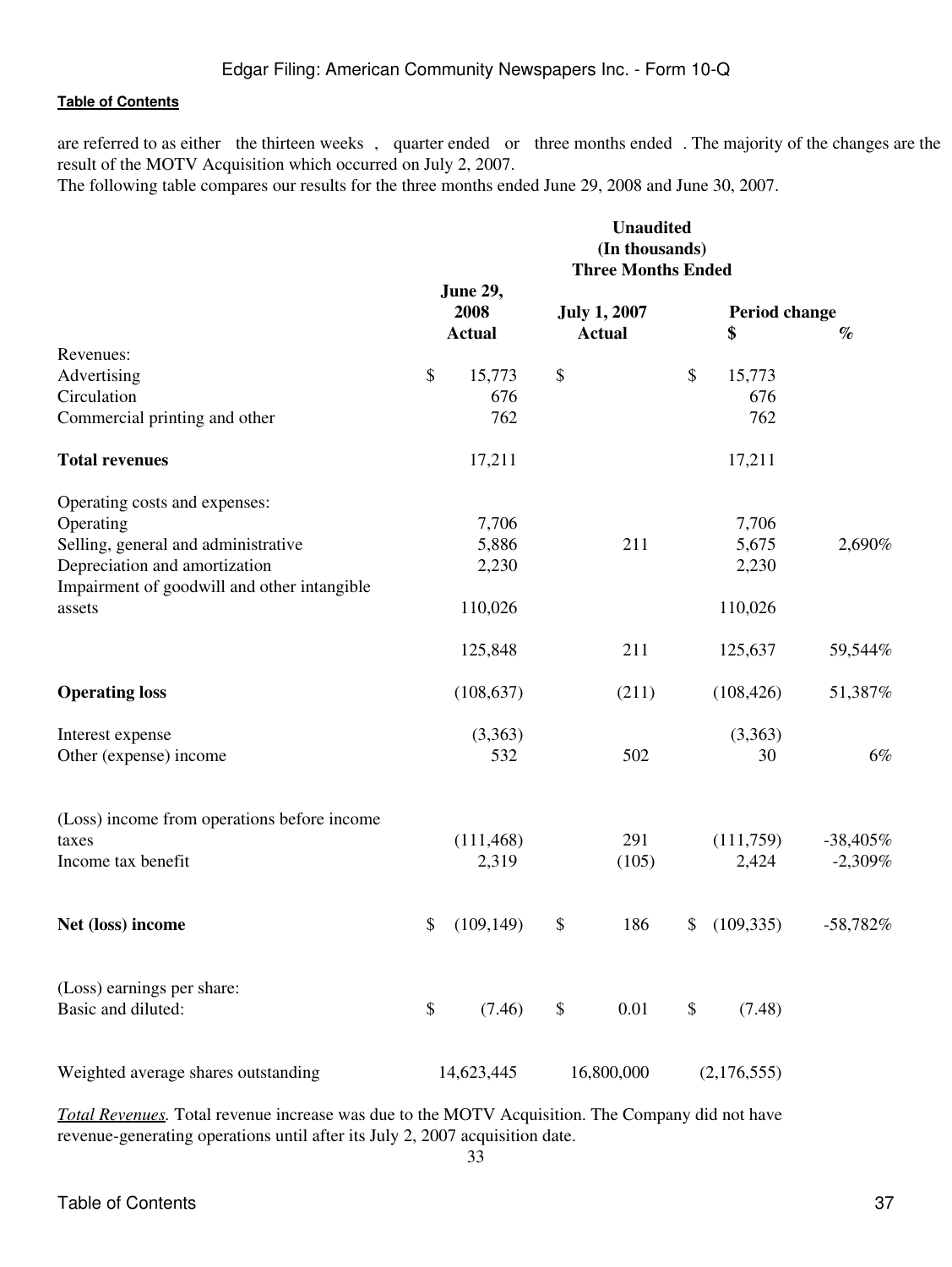are referred to as either the thirteen weeks, quarter ended or three months ended. The majority of the changes are the result of the MOTV Acquisition which occurred on July 2, 2007.

The following table compares our results for the three months ended June 29, 2008 and June 30, 2007.

|                                             | <b>Unaudited</b><br>(In thousands)<br><b>Three Months Ended</b> |                                          |    |                                      |    |                     |            |
|---------------------------------------------|-----------------------------------------------------------------|------------------------------------------|----|--------------------------------------|----|---------------------|------------|
|                                             |                                                                 | <b>June 29,</b><br>2008<br><b>Actual</b> |    | <b>July 1, 2007</b><br><b>Actual</b> |    | Period change<br>\$ | $\%$       |
| Revenues:                                   |                                                                 |                                          |    |                                      |    |                     |            |
| Advertising                                 | \$                                                              | 15,773                                   | \$ |                                      | \$ | 15,773              |            |
| Circulation                                 |                                                                 | 676                                      |    |                                      |    | 676                 |            |
| Commercial printing and other               |                                                                 | 762                                      |    |                                      |    | 762                 |            |
| <b>Total revenues</b>                       |                                                                 | 17,211                                   |    |                                      |    | 17,211              |            |
| Operating costs and expenses:               |                                                                 |                                          |    |                                      |    |                     |            |
| Operating                                   |                                                                 | 7,706                                    |    |                                      |    | 7,706               |            |
| Selling, general and administrative         |                                                                 | 5,886                                    |    | 211                                  |    | 5,675               | 2,690%     |
| Depreciation and amortization               |                                                                 | 2,230                                    |    |                                      |    | 2,230               |            |
| Impairment of goodwill and other intangible |                                                                 |                                          |    |                                      |    |                     |            |
| assets                                      |                                                                 | 110,026                                  |    |                                      |    | 110,026             |            |
|                                             |                                                                 | 125,848                                  |    | 211                                  |    | 125,637             | 59,544%    |
| <b>Operating loss</b>                       |                                                                 | (108, 637)                               |    | (211)                                |    | (108, 426)          | 51,387%    |
| Interest expense                            |                                                                 | (3,363)                                  |    |                                      |    | (3,363)             |            |
| Other (expense) income                      |                                                                 | 532                                      |    | 502                                  |    | 30                  | 6%         |
| (Loss) income from operations before income |                                                                 |                                          |    |                                      |    |                     |            |
| taxes                                       |                                                                 | (111, 468)                               |    | 291                                  |    | (111,759)           | $-38,405%$ |
| Income tax benefit                          |                                                                 | 2,319                                    |    | (105)                                |    | 2,424               | $-2,309%$  |
|                                             |                                                                 |                                          |    |                                      |    |                     |            |
| Net (loss) income                           | \$                                                              | (109, 149)                               | \$ | 186                                  | \$ | (109, 335)          | $-58,782%$ |
| (Loss) earnings per share:                  |                                                                 |                                          |    |                                      |    |                     |            |
| Basic and diluted:                          | $\boldsymbol{\mathsf{S}}$                                       | (7.46)                                   | \$ | 0.01                                 | \$ | (7.48)              |            |
| Weighted average shares outstanding         |                                                                 | 14,623,445                               |    | 16,800,000                           |    | (2,176,555)         |            |
|                                             |                                                                 |                                          |    |                                      |    |                     |            |

*Total Revenues.* Total revenue increase was due to the MOTV Acquisition. The Company did not have revenue-generating operations until after its July 2, 2007 acquisition date.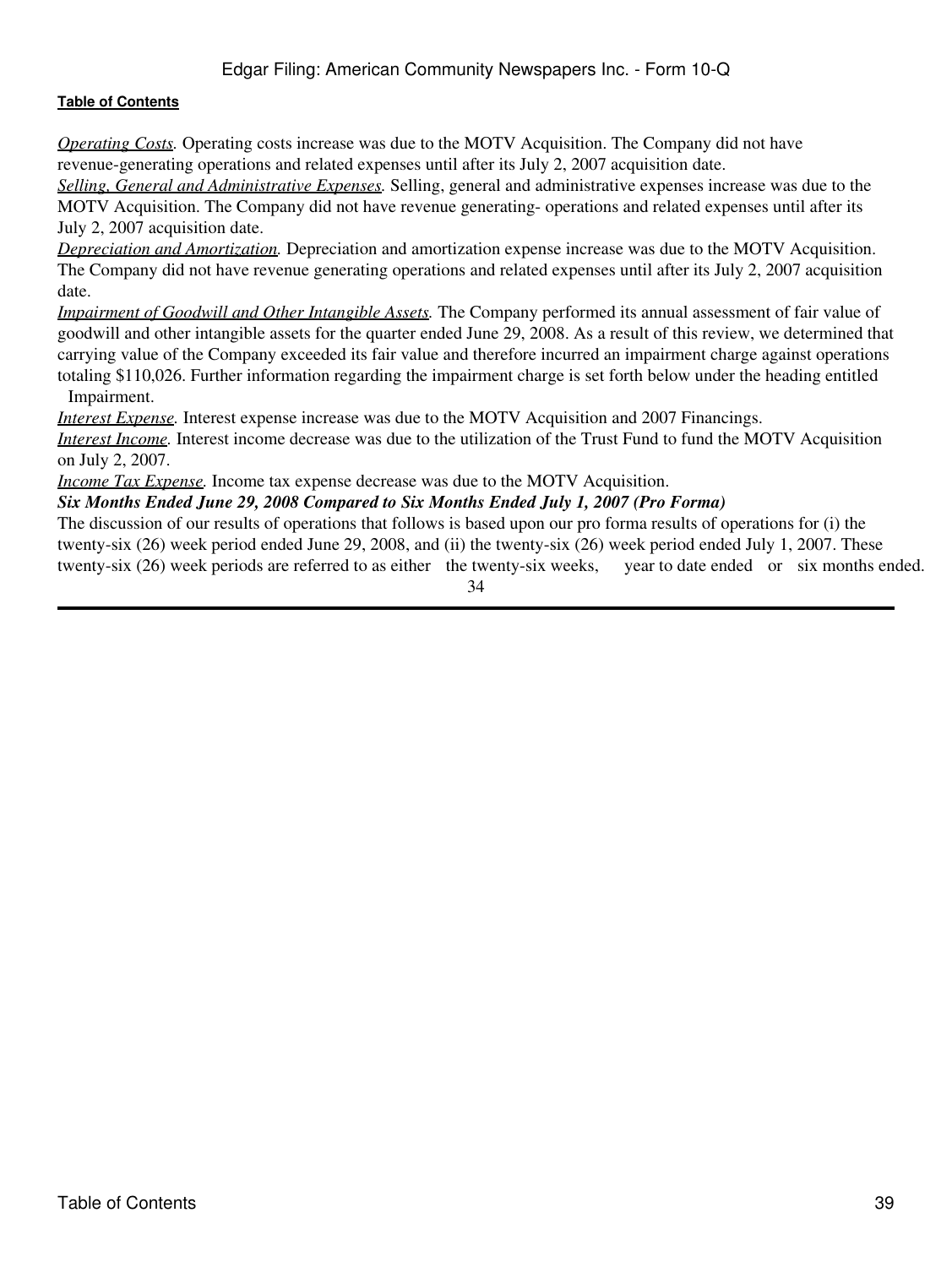# Edgar Filing: American Community Newspapers Inc. - Form 10-Q

#### **[Table of Contents](#page-2-0)**

*Operating Costs.* Operating costs increase was due to the MOTV Acquisition. The Company did not have revenue-generating operations and related expenses until after its July 2, 2007 acquisition date.

*Selling, General and Administrative Expenses.* Selling, general and administrative expenses increase was due to the MOTV Acquisition. The Company did not have revenue generating- operations and related expenses until after its July 2, 2007 acquisition date.

*Depreciation and Amortization.* Depreciation and amortization expense increase was due to the MOTV Acquisition. The Company did not have revenue generating operations and related expenses until after its July 2, 2007 acquisition date.

*Impairment of Goodwill and Other Intangible Assets.* The Company performed its annual assessment of fair value of goodwill and other intangible assets for the quarter ended June 29, 2008. As a result of this review, we determined that carrying value of the Company exceeded its fair value and therefore incurred an impairment charge against operations totaling \$110,026. Further information regarding the impairment charge is set forth below under the heading entitled Impairment.

*Interest Expense*. Interest expense increase was due to the MOTV Acquisition and 2007 Financings.

*Interest Income.* Interest income decrease was due to the utilization of the Trust Fund to fund the MOTV Acquisition on July 2, 2007.

*Income Tax Expense.* Income tax expense decrease was due to the MOTV Acquisition.

*Six Months Ended June 29, 2008 Compared to Six Months Ended July 1, 2007 (Pro Forma)*

The discussion of our results of operations that follows is based upon our pro forma results of operations for (i) the twenty-six (26) week period ended June 29, 2008, and (ii) the twenty-six (26) week period ended July 1, 2007. These twenty-six (26) week periods are referred to as either the twenty-six weeks, year to date ended or six months ended.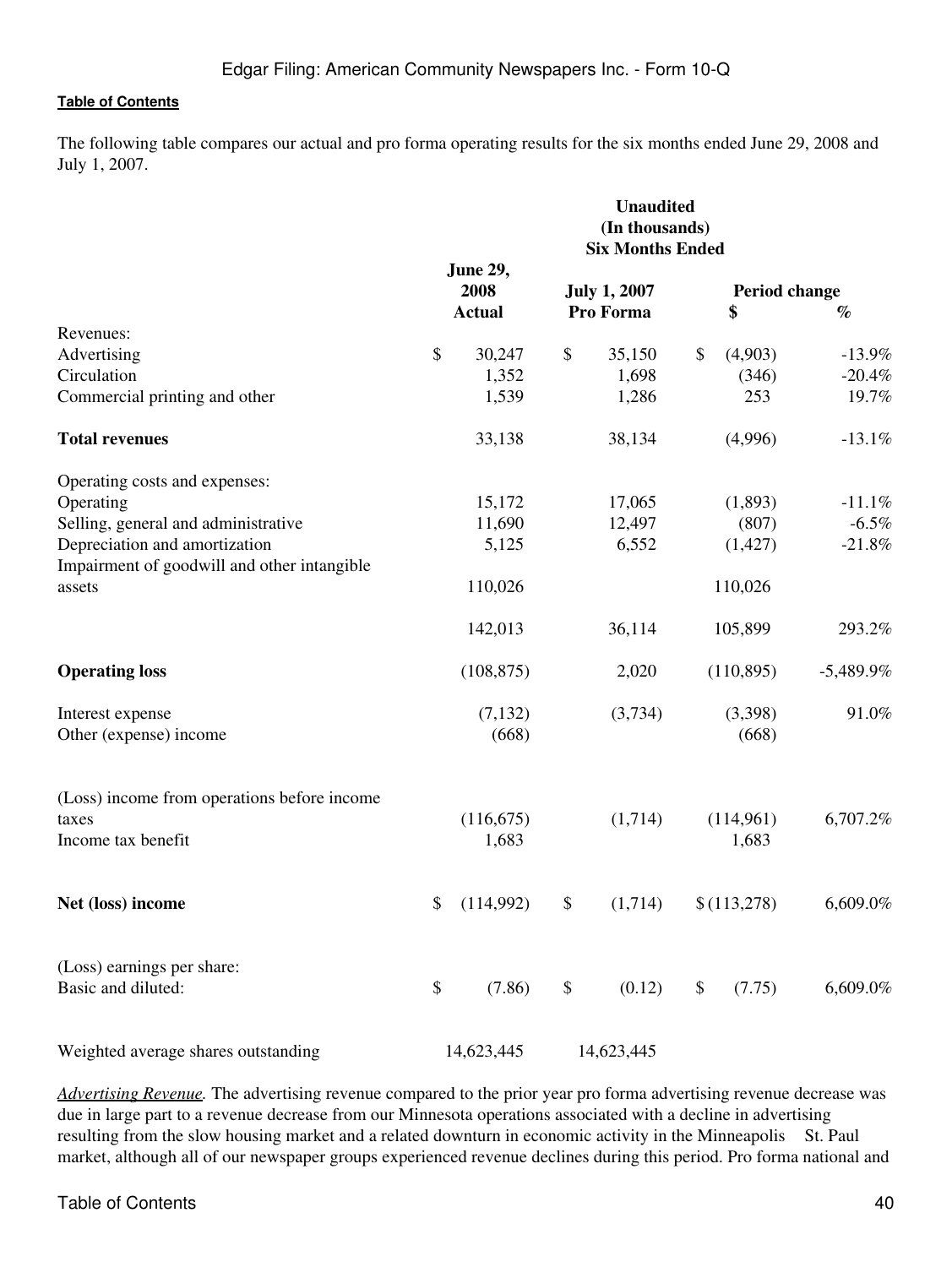The following table compares our actual and pro forma operating results for the six months ended June 29, 2008 and July 1, 2007.

|                                             | <b>Unaudited</b><br>(In thousands)<br><b>Six Months Ended</b> |                  |    |                     |    |               |             |
|---------------------------------------------|---------------------------------------------------------------|------------------|----|---------------------|----|---------------|-------------|
|                                             |                                                               | June 29,<br>2008 |    | <b>July 1, 2007</b> |    | Period change |             |
|                                             |                                                               | <b>Actual</b>    |    | Pro Forma           |    | \$            | $\%$        |
| Revenues:                                   |                                                               |                  |    |                     |    |               |             |
| Advertising                                 | \$                                                            | 30,247           | \$ | 35,150              | \$ | (4,903)       | $-13.9%$    |
| Circulation                                 |                                                               | 1,352            |    | 1,698               |    | (346)         | $-20.4%$    |
| Commercial printing and other               |                                                               | 1,539            |    | 1,286               |    | 253           | 19.7%       |
| <b>Total revenues</b>                       |                                                               | 33,138           |    | 38,134              |    | (4,996)       | $-13.1%$    |
| Operating costs and expenses:               |                                                               |                  |    |                     |    |               |             |
| Operating                                   |                                                               | 15,172           |    | 17,065              |    | (1,893)       | $-11.1%$    |
| Selling, general and administrative         |                                                               | 11,690           |    | 12,497              |    | (807)         | $-6.5%$     |
| Depreciation and amortization               |                                                               | 5,125            |    | 6,552               |    | (1, 427)      | $-21.8%$    |
| Impairment of goodwill and other intangible |                                                               |                  |    |                     |    |               |             |
| assets                                      |                                                               | 110,026          |    |                     |    | 110,026       |             |
|                                             |                                                               | 142,013          |    | 36,114              |    | 105,899       | 293.2%      |
| <b>Operating loss</b>                       |                                                               | (108, 875)       |    | 2,020               |    | (110, 895)    | $-5,489.9%$ |
| Interest expense                            |                                                               | (7, 132)         |    | (3,734)             |    | (3,398)       | 91.0%       |
| Other (expense) income                      |                                                               | (668)            |    |                     |    | (668)         |             |
| (Loss) income from operations before income |                                                               |                  |    |                     |    |               |             |
| taxes                                       |                                                               | (116, 675)       |    | (1,714)             |    | (114,961)     | 6,707.2%    |
| Income tax benefit                          |                                                               | 1,683            |    |                     |    | 1,683         |             |
| Net (loss) income                           | \$                                                            | (114,992)        | \$ | (1,714)             |    | \$(113,278)   | 6,609.0%    |
|                                             |                                                               |                  |    |                     |    |               |             |
| (Loss) earnings per share:                  |                                                               |                  |    |                     |    |               |             |
| Basic and diluted:                          | \$                                                            | (7.86)           | \$ | (0.12)              | \$ | (7.75)        | 6,609.0%    |
| Weighted average shares outstanding         |                                                               | 14,623,445       |    | 14,623,445          |    |               |             |

*Advertising Revenue.* The advertising revenue compared to the prior year pro forma advertising revenue decrease was due in large part to a revenue decrease from our Minnesota operations associated with a decline in advertising resulting from the slow housing market and a related downturn in economic activity in the Minneapolis St. Paul market, although all of our newspaper groups experienced revenue declines during this period. Pro forma national and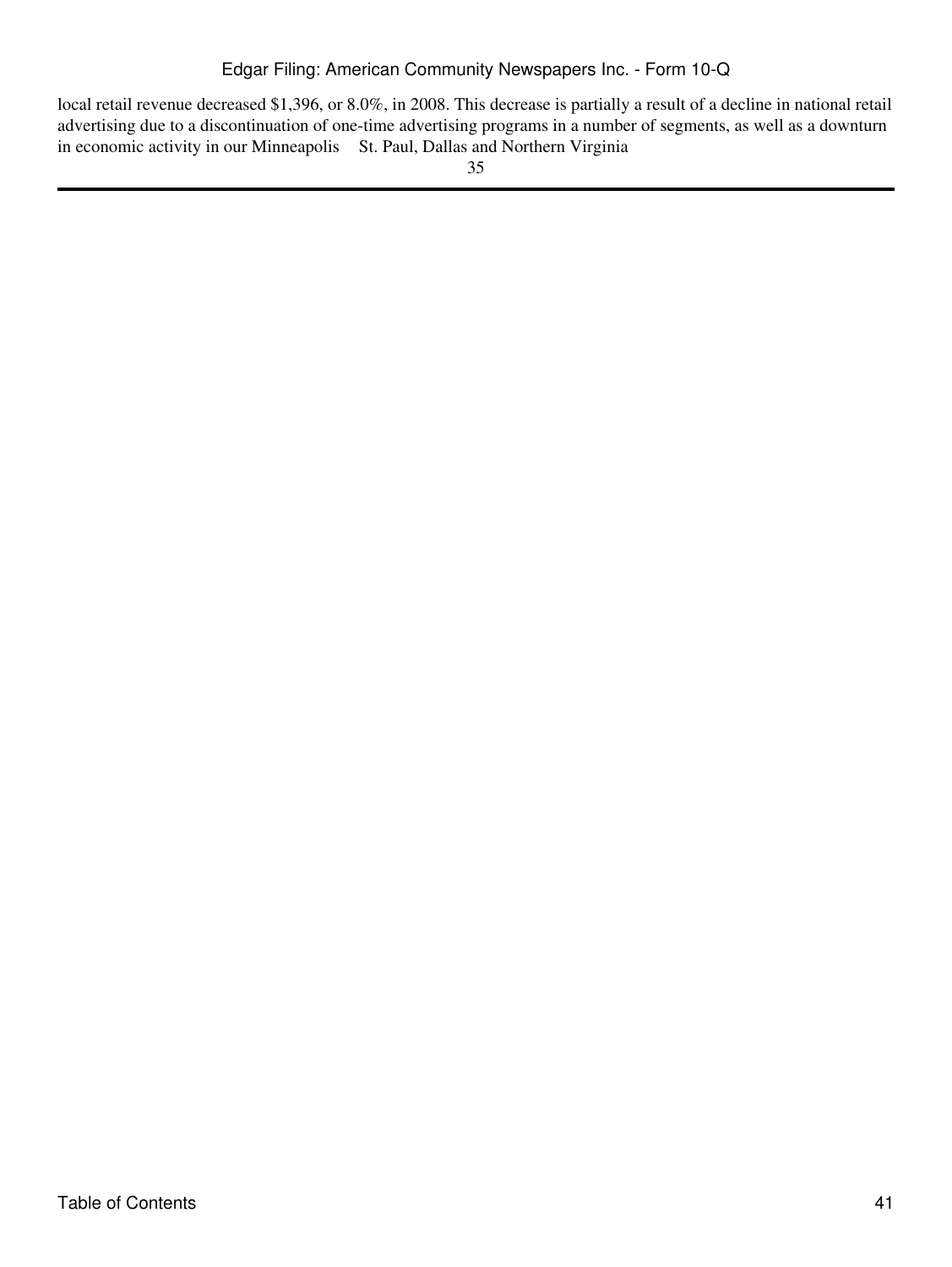local retail revenue decreased \$1,396, or 8.0%, in 2008. This decrease is partially a result of a decline in national retail advertising due to a discontinuation of one-time advertising programs in a number of segments, as well as a downturn in economic activity in our Minneapolis St. Paul, Dallas and Northern Virginia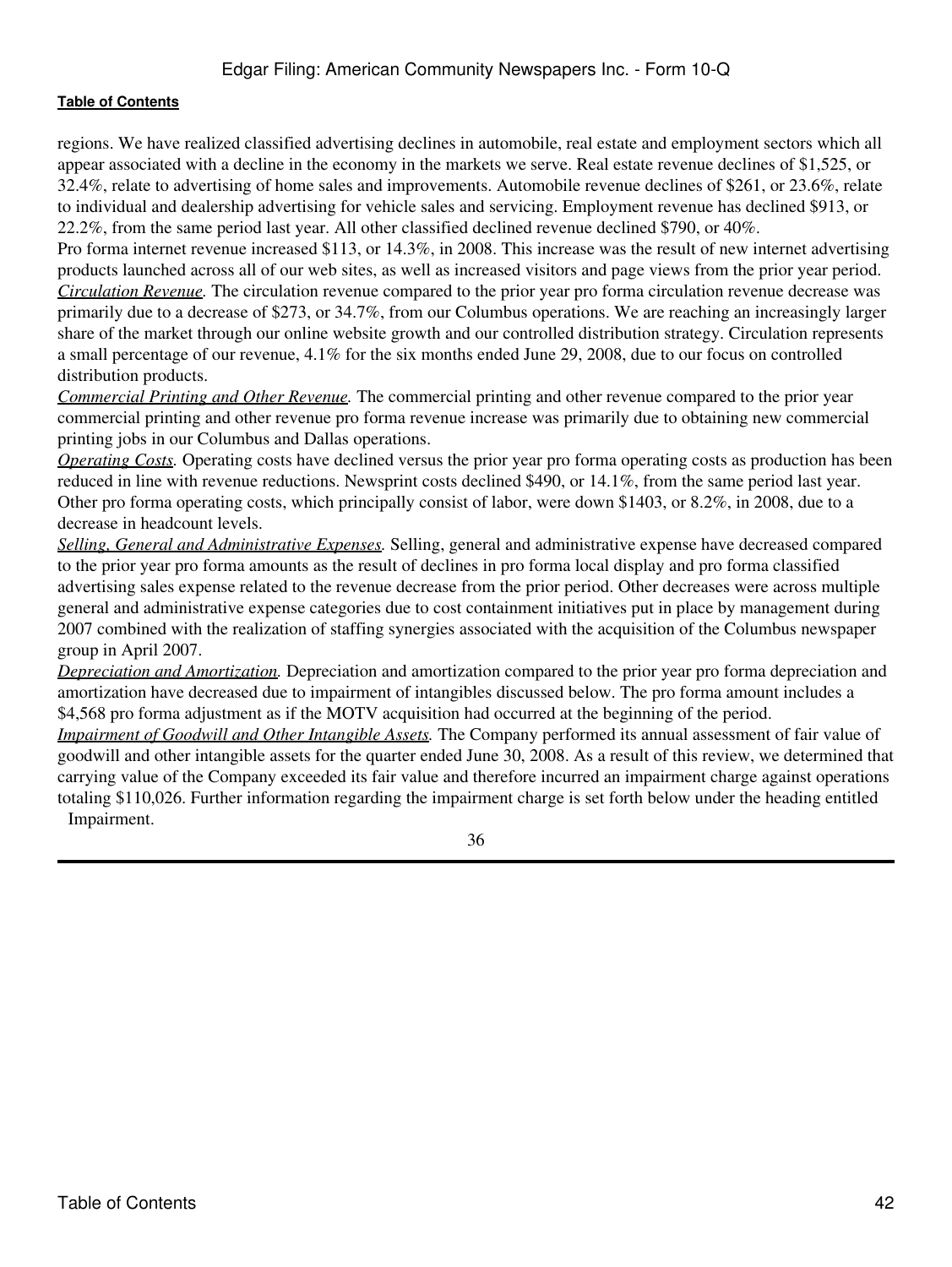regions. We have realized classified advertising declines in automobile, real estate and employment sectors which all appear associated with a decline in the economy in the markets we serve. Real estate revenue declines of \$1,525, or 32.4%, relate to advertising of home sales and improvements. Automobile revenue declines of \$261, or 23.6%, relate to individual and dealership advertising for vehicle sales and servicing. Employment revenue has declined \$913, or 22.2%, from the same period last year. All other classified declined revenue declined \$790, or 40%.

Pro forma internet revenue increased \$113, or 14.3%, in 2008. This increase was the result of new internet advertising products launched across all of our web sites, as well as increased visitors and page views from the prior year period. *Circulation Revenue.* The circulation revenue compared to the prior year pro forma circulation revenue decrease was primarily due to a decrease of \$273, or 34.7%, from our Columbus operations. We are reaching an increasingly larger share of the market through our online website growth and our controlled distribution strategy. Circulation represents a small percentage of our revenue, 4.1% for the six months ended June 29, 2008, due to our focus on controlled distribution products.

*Commercial Printing and Other Revenue.* The commercial printing and other revenue compared to the prior year commercial printing and other revenue pro forma revenue increase was primarily due to obtaining new commercial printing jobs in our Columbus and Dallas operations.

*Operating Costs.* Operating costs have declined versus the prior year pro forma operating costs as production has been reduced in line with revenue reductions. Newsprint costs declined \$490, or 14.1%, from the same period last year. Other pro forma operating costs, which principally consist of labor, were down \$1403, or 8.2%, in 2008, due to a decrease in headcount levels.

*Selling, General and Administrative Expenses.* Selling, general and administrative expense have decreased compared to the prior year pro forma amounts as the result of declines in pro forma local display and pro forma classified advertising sales expense related to the revenue decrease from the prior period. Other decreases were across multiple general and administrative expense categories due to cost containment initiatives put in place by management during 2007 combined with the realization of staffing synergies associated with the acquisition of the Columbus newspaper group in April 2007.

*Depreciation and Amortization.* Depreciation and amortization compared to the prior year pro forma depreciation and amortization have decreased due to impairment of intangibles discussed below. The pro forma amount includes a \$4,568 pro forma adjustment as if the MOTV acquisition had occurred at the beginning of the period.

*Impairment of Goodwill and Other Intangible Assets.* The Company performed its annual assessment of fair value of goodwill and other intangible assets for the quarter ended June 30, 2008. As a result of this review, we determined that carrying value of the Company exceeded its fair value and therefore incurred an impairment charge against operations totaling \$110,026. Further information regarding the impairment charge is set forth below under the heading entitled Impairment.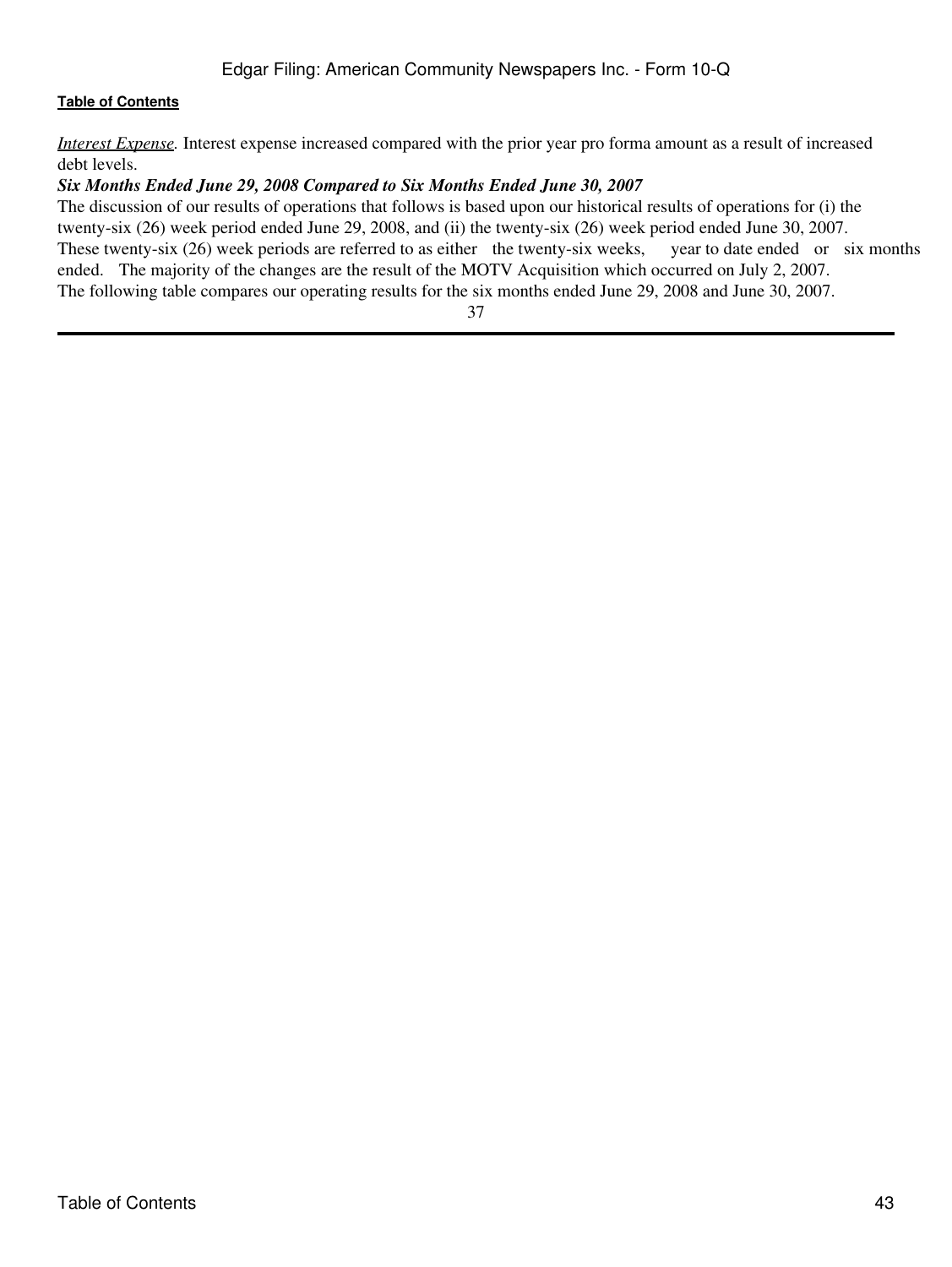*Interest Expense.* Interest expense increased compared with the prior year pro forma amount as a result of increased debt levels.

#### *Six Months Ended June 29, 2008 Compared to Six Months Ended June 30, 2007*

The discussion of our results of operations that follows is based upon our historical results of operations for (i) the twenty-six (26) week period ended June 29, 2008, and (ii) the twenty-six (26) week period ended June 30, 2007. These twenty-six (26) week periods are referred to as either the twenty-six weeks, year to date ended or six months ended. The majority of the changes are the result of the MOTV Acquisition which occurred on July 2, 2007. The following table compares our operating results for the six months ended June 29, 2008 and June 30, 2007.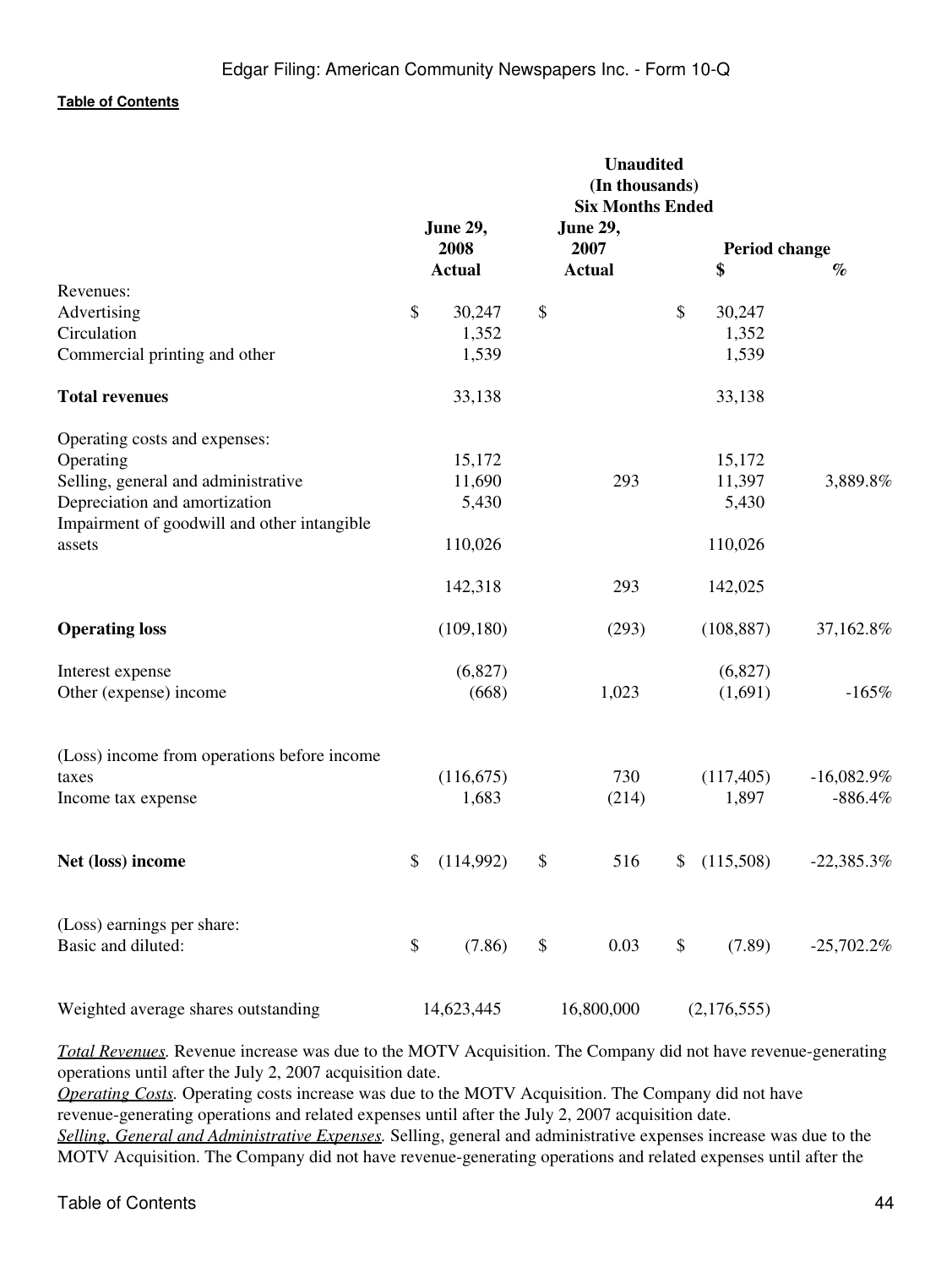|                                             | <b>Unaudited</b><br>(In thousands)<br><b>Six Months Ended</b> |                  |    |                         |    |               |              |
|---------------------------------------------|---------------------------------------------------------------|------------------|----|-------------------------|----|---------------|--------------|
|                                             |                                                               | June 29,<br>2008 |    | <b>June 29,</b><br>2007 |    | Period change |              |
|                                             |                                                               | <b>Actual</b>    |    | <b>Actual</b>           |    | \$            | $\%$         |
| Revenues:                                   |                                                               |                  |    |                         |    |               |              |
| Advertising                                 | \$                                                            | 30,247           | \$ |                         | \$ | 30,247        |              |
| Circulation                                 |                                                               | 1,352            |    |                         |    | 1,352         |              |
| Commercial printing and other               |                                                               | 1,539            |    |                         |    | 1,539         |              |
| <b>Total revenues</b>                       |                                                               | 33,138           |    |                         |    | 33,138        |              |
| Operating costs and expenses:               |                                                               |                  |    |                         |    |               |              |
| Operating                                   |                                                               | 15,172           |    |                         |    | 15,172        |              |
| Selling, general and administrative         |                                                               | 11,690           |    | 293                     |    | 11,397        | 3,889.8%     |
| Depreciation and amortization               |                                                               | 5,430            |    |                         |    | 5,430         |              |
| Impairment of goodwill and other intangible |                                                               |                  |    |                         |    |               |              |
| assets                                      |                                                               | 110,026          |    |                         |    | 110,026       |              |
|                                             |                                                               | 142,318          |    | 293                     |    | 142,025       |              |
| <b>Operating loss</b>                       |                                                               | (109, 180)       |    | (293)                   |    | (108, 887)    | 37,162.8%    |
| Interest expense                            |                                                               | (6,827)          |    |                         |    | (6,827)       |              |
| Other (expense) income                      |                                                               | (668)            |    | 1,023                   |    | (1,691)       | $-165%$      |
| (Loss) income from operations before income |                                                               |                  |    |                         |    |               |              |
| taxes                                       |                                                               | (116, 675)       |    | 730                     |    | (117, 405)    | $-16,082.9%$ |
| Income tax expense                          |                                                               | 1,683            |    | (214)                   |    | 1,897         | $-886.4%$    |
|                                             |                                                               |                  |    |                         |    |               |              |
| Net (loss) income                           | \$                                                            | (114,992)        | \$ | 516                     | \$ | (115,508)     | $-22,385.3%$ |
| (Loss) earnings per share:                  |                                                               |                  |    |                         |    |               |              |
| Basic and diluted:                          | \$                                                            | (7.86)           | \$ | 0.03                    | \$ | (7.89)        | $-25,702.2%$ |
|                                             |                                                               |                  |    |                         |    |               |              |
| Weighted average shares outstanding         |                                                               | 14,623,445       |    | 16,800,000              |    | (2,176,555)   |              |

*Total Revenues.* Revenue increase was due to the MOTV Acquisition. The Company did not have revenue-generating operations until after the July 2, 2007 acquisition date.

*Operating Costs.* Operating costs increase was due to the MOTV Acquisition. The Company did not have revenue-generating operations and related expenses until after the July 2, 2007 acquisition date. *Selling, General and Administrative Expenses.* Selling, general and administrative expenses increase was due to the MOTV Acquisition. The Company did not have revenue-generating operations and related expenses until after the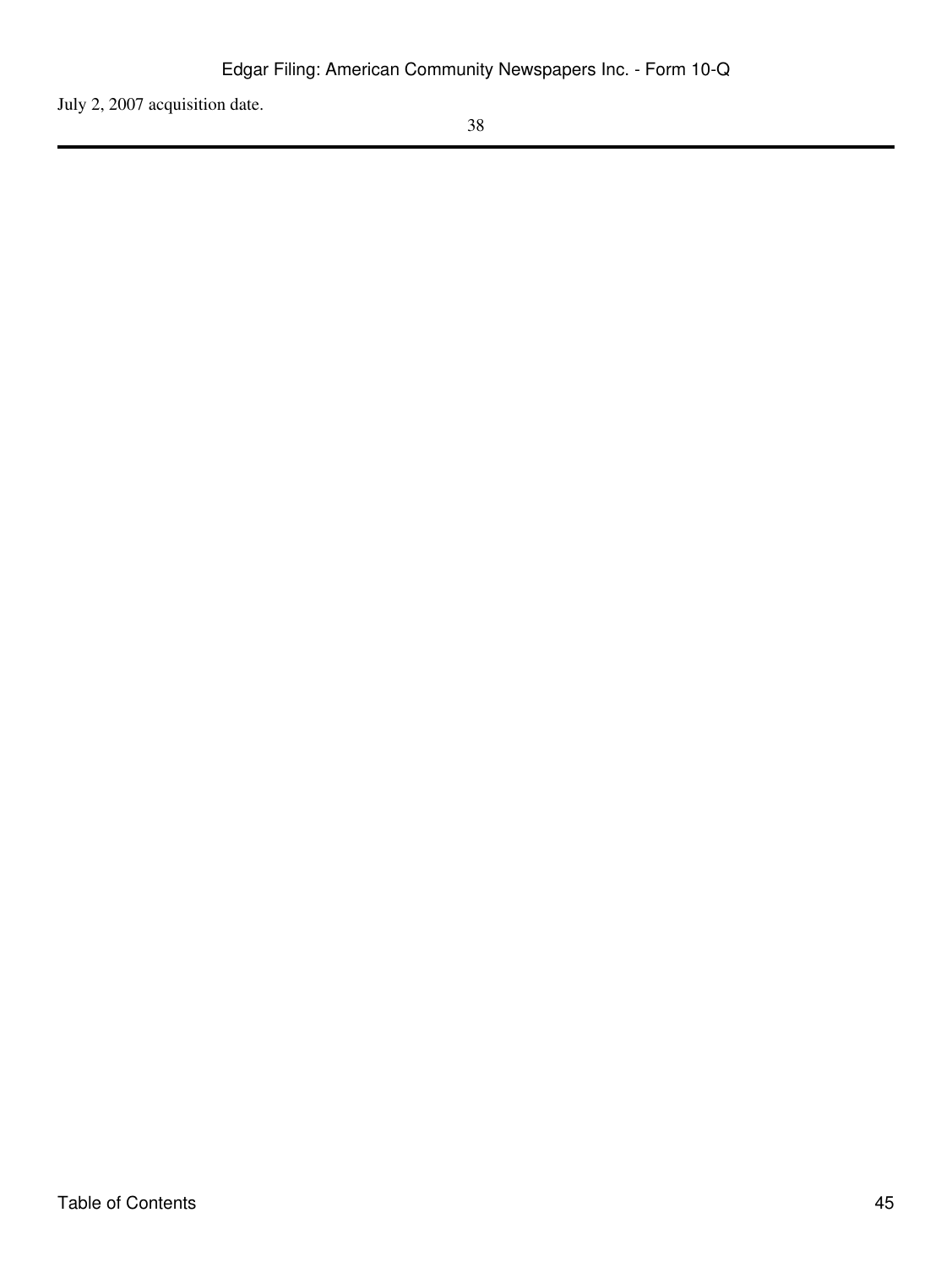July 2, 2007 acquisition date.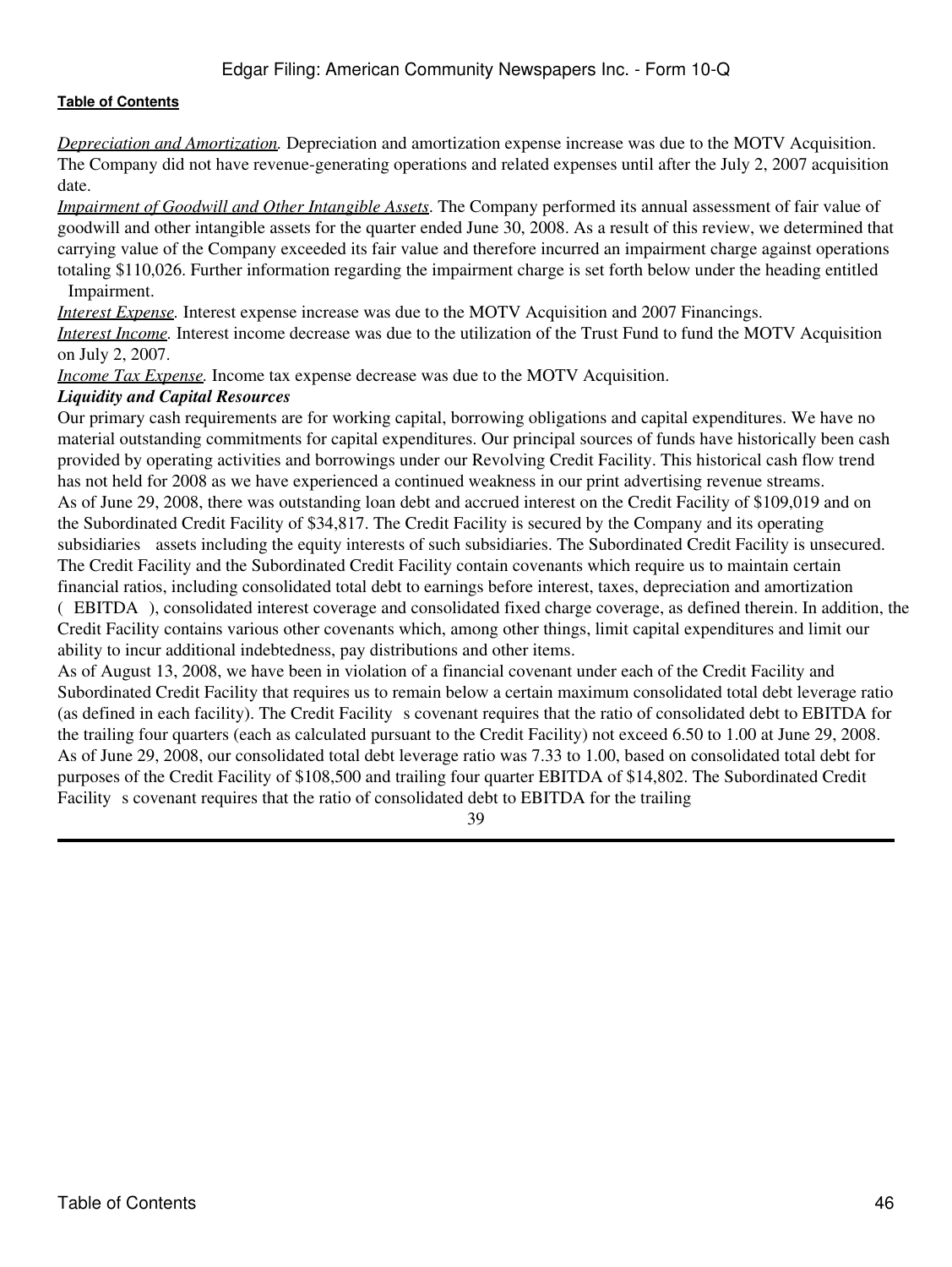*Depreciation and Amortization.* Depreciation and amortization expense increase was due to the MOTV Acquisition. The Company did not have revenue-generating operations and related expenses until after the July 2, 2007 acquisition date.

*Impairment of Goodwill and Other Intangible Assets*. The Company performed its annual assessment of fair value of goodwill and other intangible assets for the quarter ended June 30, 2008. As a result of this review, we determined that carrying value of the Company exceeded its fair value and therefore incurred an impairment charge against operations totaling \$110,026. Further information regarding the impairment charge is set forth below under the heading entitled Impairment.

*Interest Expense*. Interest expense increase was due to the MOTV Acquisition and 2007 Financings.

*Interest Income.* Interest income decrease was due to the utilization of the Trust Fund to fund the MOTV Acquisition on July 2, 2007.

*Income Tax Expense.* Income tax expense decrease was due to the MOTV Acquisition.

#### *Liquidity and Capital Resources*

Our primary cash requirements are for working capital, borrowing obligations and capital expenditures. We have no material outstanding commitments for capital expenditures. Our principal sources of funds have historically been cash provided by operating activities and borrowings under our Revolving Credit Facility. This historical cash flow trend has not held for 2008 as we have experienced a continued weakness in our print advertising revenue streams. As of June 29, 2008, there was outstanding loan debt and accrued interest on the Credit Facility of \$109,019 and on the Subordinated Credit Facility of \$34,817. The Credit Facility is secured by the Company and its operating subsidiaries assets including the equity interests of such subsidiaries. The Subordinated Credit Facility is unsecured. The Credit Facility and the Subordinated Credit Facility contain covenants which require us to maintain certain financial ratios, including consolidated total debt to earnings before interest, taxes, depreciation and amortization (EBITDA), consolidated interest coverage and consolidated fixed charge coverage, as defined therein. In addition, the Credit Facility contains various other covenants which, among other things, limit capital expenditures and limit our ability to incur additional indebtedness, pay distributions and other items.

As of August 13, 2008, we have been in violation of a financial covenant under each of the Credit Facility and Subordinated Credit Facility that requires us to remain below a certain maximum consolidated total debt leverage ratio (as defined in each facility). The Credit Facility s covenant requires that the ratio of consolidated debt to EBITDA for the trailing four quarters (each as calculated pursuant to the Credit Facility) not exceed 6.50 to 1.00 at June 29, 2008. As of June 29, 2008, our consolidated total debt leverage ratio was 7.33 to 1.00, based on consolidated total debt for purposes of the Credit Facility of \$108,500 and trailing four quarter EBITDA of \$14,802. The Subordinated Credit Facility s covenant requires that the ratio of consolidated debt to EBITDA for the trailing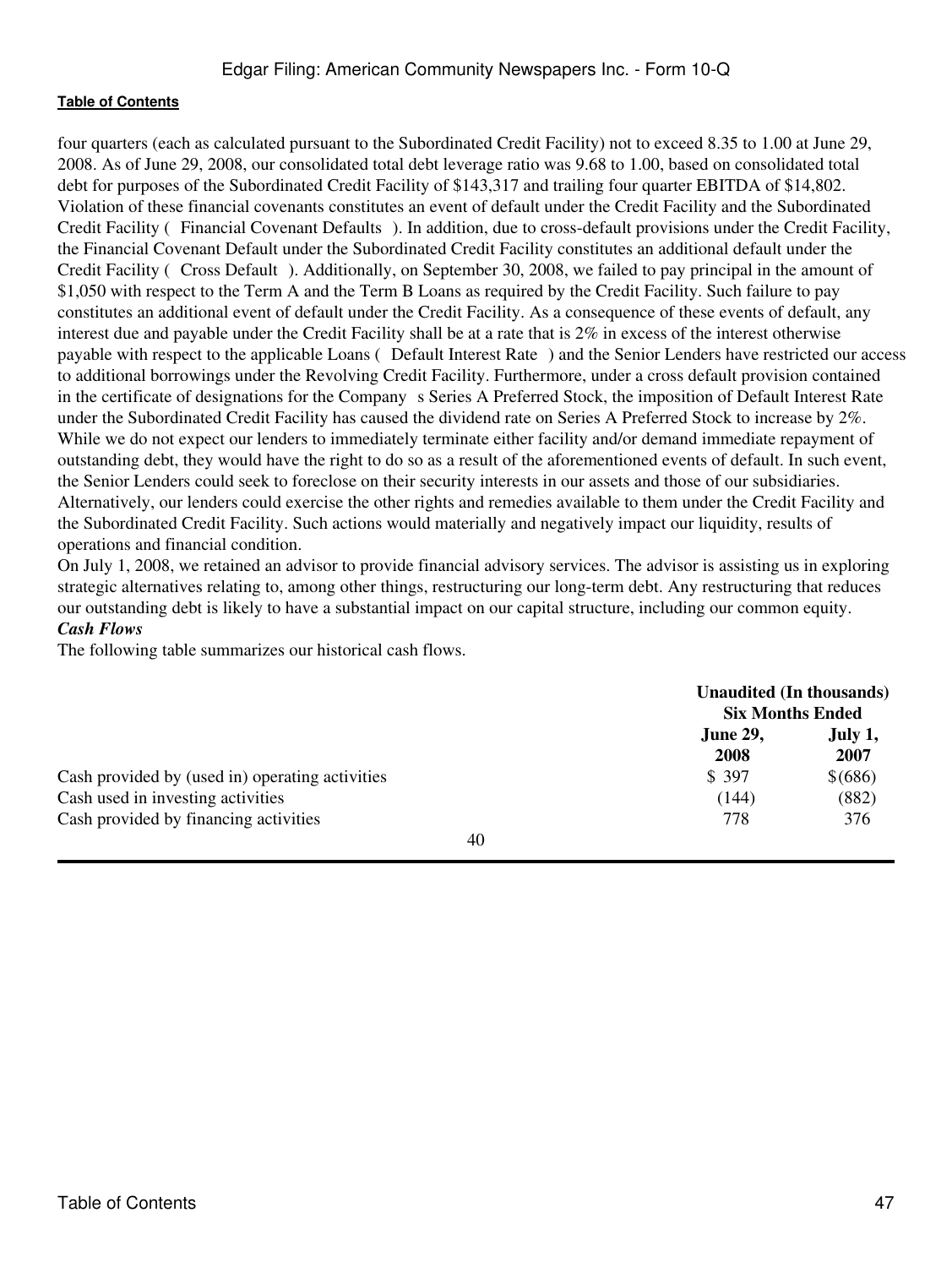four quarters (each as calculated pursuant to the Subordinated Credit Facility) not to exceed 8.35 to 1.00 at June 29, 2008. As of June 29, 2008, our consolidated total debt leverage ratio was 9.68 to 1.00, based on consolidated total debt for purposes of the Subordinated Credit Facility of \$143,317 and trailing four quarter EBITDA of \$14,802. Violation of these financial covenants constitutes an event of default under the Credit Facility and the Subordinated Credit Facility (Financial Covenant Defaults). In addition, due to cross-default provisions under the Credit Facility, the Financial Covenant Default under the Subordinated Credit Facility constitutes an additional default under the Credit Facility (Cross Default). Additionally, on September 30, 2008, we failed to pay principal in the amount of \$1,050 with respect to the Term A and the Term B Loans as required by the Credit Facility. Such failure to pay constitutes an additional event of default under the Credit Facility. As a consequence of these events of default, any interest due and payable under the Credit Facility shall be at a rate that is 2% in excess of the interest otherwise payable with respect to the applicable Loans (Default Interest Rate) and the Senior Lenders have restricted our access to additional borrowings under the Revolving Credit Facility. Furthermore, under a cross default provision contained in the certificate of designations for the Company s Series A Preferred Stock, the imposition of Default Interest Rate under the Subordinated Credit Facility has caused the dividend rate on Series A Preferred Stock to increase by 2%. While we do not expect our lenders to immediately terminate either facility and/or demand immediate repayment of outstanding debt, they would have the right to do so as a result of the aforementioned events of default. In such event, the Senior Lenders could seek to foreclose on their security interests in our assets and those of our subsidiaries. Alternatively, our lenders could exercise the other rights and remedies available to them under the Credit Facility and the Subordinated Credit Facility. Such actions would materially and negatively impact our liquidity, results of operations and financial condition.

On July 1, 2008, we retained an advisor to provide financial advisory services. The advisor is assisting us in exploring strategic alternatives relating to, among other things, restructuring our long-term debt. Any restructuring that reduces our outstanding debt is likely to have a substantial impact on our capital structure, including our common equity. *Cash Flows*

The following table summarizes our historical cash flows.

|                                                 | <b>Unaudited (In thousands)</b><br><b>Six Months Ended</b> |                 |
|-------------------------------------------------|------------------------------------------------------------|-----------------|
|                                                 | <b>June 29,</b><br>2008                                    | July 1,<br>2007 |
| Cash provided by (used in) operating activities | \$ 397                                                     | \$ (686)        |
| Cash used in investing activities               | (144)                                                      | (882)           |
| Cash provided by financing activities           | 778                                                        | 376             |
| 40                                              |                                                            |                 |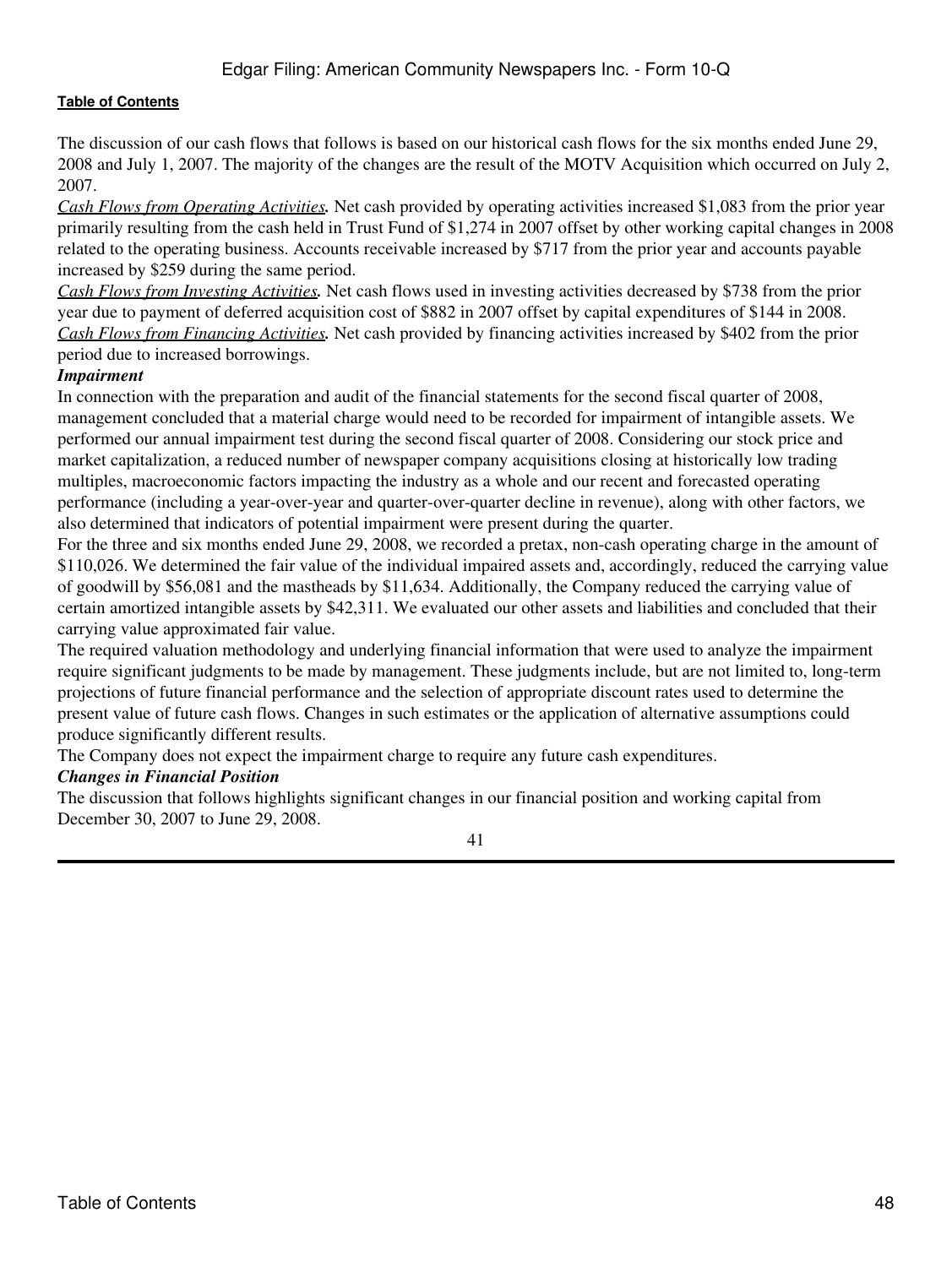The discussion of our cash flows that follows is based on our historical cash flows for the six months ended June 29, 2008 and July 1, 2007. The majority of the changes are the result of the MOTV Acquisition which occurred on July 2, 2007.

*Cash Flows from Operating Activities.* Net cash provided by operating activities increased \$1,083 from the prior year primarily resulting from the cash held in Trust Fund of \$1,274 in 2007 offset by other working capital changes in 2008 related to the operating business. Accounts receivable increased by \$717 from the prior year and accounts payable increased by \$259 during the same period.

*Cash Flows from Investing Activities.* Net cash flows used in investing activities decreased by \$738 from the prior year due to payment of deferred acquisition cost of \$882 in 2007 offset by capital expenditures of \$144 in 2008. *Cash Flows from Financing Activities.* Net cash provided by financing activities increased by \$402 from the prior period due to increased borrowings.

#### *Impairment*

In connection with the preparation and audit of the financial statements for the second fiscal quarter of 2008, management concluded that a material charge would need to be recorded for impairment of intangible assets. We performed our annual impairment test during the second fiscal quarter of 2008. Considering our stock price and market capitalization, a reduced number of newspaper company acquisitions closing at historically low trading multiples, macroeconomic factors impacting the industry as a whole and our recent and forecasted operating performance (including a year-over-year and quarter-over-quarter decline in revenue), along with other factors, we also determined that indicators of potential impairment were present during the quarter.

For the three and six months ended June 29, 2008, we recorded a pretax, non-cash operating charge in the amount of \$110,026. We determined the fair value of the individual impaired assets and, accordingly, reduced the carrying value of goodwill by \$56,081 and the mastheads by \$11,634. Additionally, the Company reduced the carrying value of certain amortized intangible assets by \$42,311. We evaluated our other assets and liabilities and concluded that their carrying value approximated fair value.

The required valuation methodology and underlying financial information that were used to analyze the impairment require significant judgments to be made by management. These judgments include, but are not limited to, long-term projections of future financial performance and the selection of appropriate discount rates used to determine the present value of future cash flows. Changes in such estimates or the application of alternative assumptions could produce significantly different results.

The Company does not expect the impairment charge to require any future cash expenditures.

#### *Changes in Financial Position*

The discussion that follows highlights significant changes in our financial position and working capital from December 30, 2007 to June 29, 2008.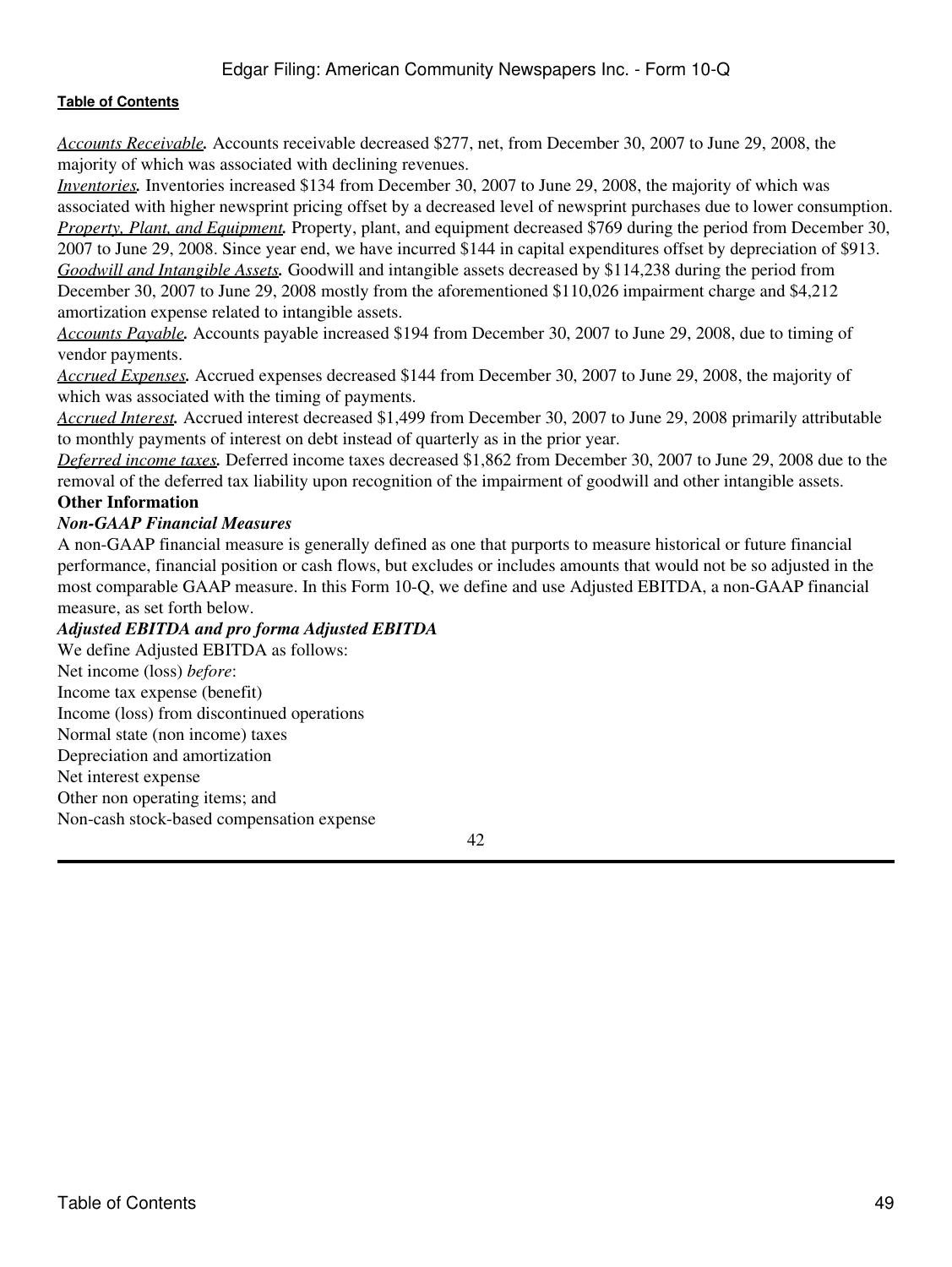# Edgar Filing: American Community Newspapers Inc. - Form 10-Q

#### **[Table of Contents](#page-2-0)**

*Accounts Receivable.* Accounts receivable decreased \$277, net, from December 30, 2007 to June 29, 2008, the majority of which was associated with declining revenues.

*Inventories.* Inventories increased \$134 from December 30, 2007 to June 29, 2008, the majority of which was associated with higher newsprint pricing offset by a decreased level of newsprint purchases due to lower consumption. *Property, Plant, and Equipment.* Property, plant, and equipment decreased \$769 during the period from December 30, 2007 to June 29, 2008. Since year end, we have incurred \$144 in capital expenditures offset by depreciation of \$913. *Goodwill and Intangible Assets.* Goodwill and intangible assets decreased by \$114,238 during the period from December 30, 2007 to June 29, 2008 mostly from the aforementioned \$110,026 impairment charge and \$4,212 amortization expense related to intangible assets.

*Accounts Payable.* Accounts payable increased \$194 from December 30, 2007 to June 29, 2008, due to timing of vendor payments.

*Accrued Expenses.* Accrued expenses decreased \$144 from December 30, 2007 to June 29, 2008, the majority of which was associated with the timing of payments.

*Accrued Interest.* Accrued interest decreased \$1,499 from December 30, 2007 to June 29, 2008 primarily attributable to monthly payments of interest on debt instead of quarterly as in the prior year.

*Deferred income taxes.* Deferred income taxes decreased \$1,862 from December 30, 2007 to June 29, 2008 due to the removal of the deferred tax liability upon recognition of the impairment of goodwill and other intangible assets. **Other Information**

#### *Non-GAAP Financial Measures*

A non-GAAP financial measure is generally defined as one that purports to measure historical or future financial performance, financial position or cash flows, but excludes or includes amounts that would not be so adjusted in the most comparable GAAP measure. In this Form 10-Q, we define and use Adjusted EBITDA, a non-GAAP financial measure, as set forth below.

#### *Adjusted EBITDA and pro forma Adjusted EBITDA*

We define Adjusted EBITDA as follows: Net income (loss) *before*: Income tax expense (benefit) Income (loss) from discontinued operations Normal state (non income) taxes Depreciation and amortization Net interest expense Other non operating items; and Non-cash stock-based compensation expense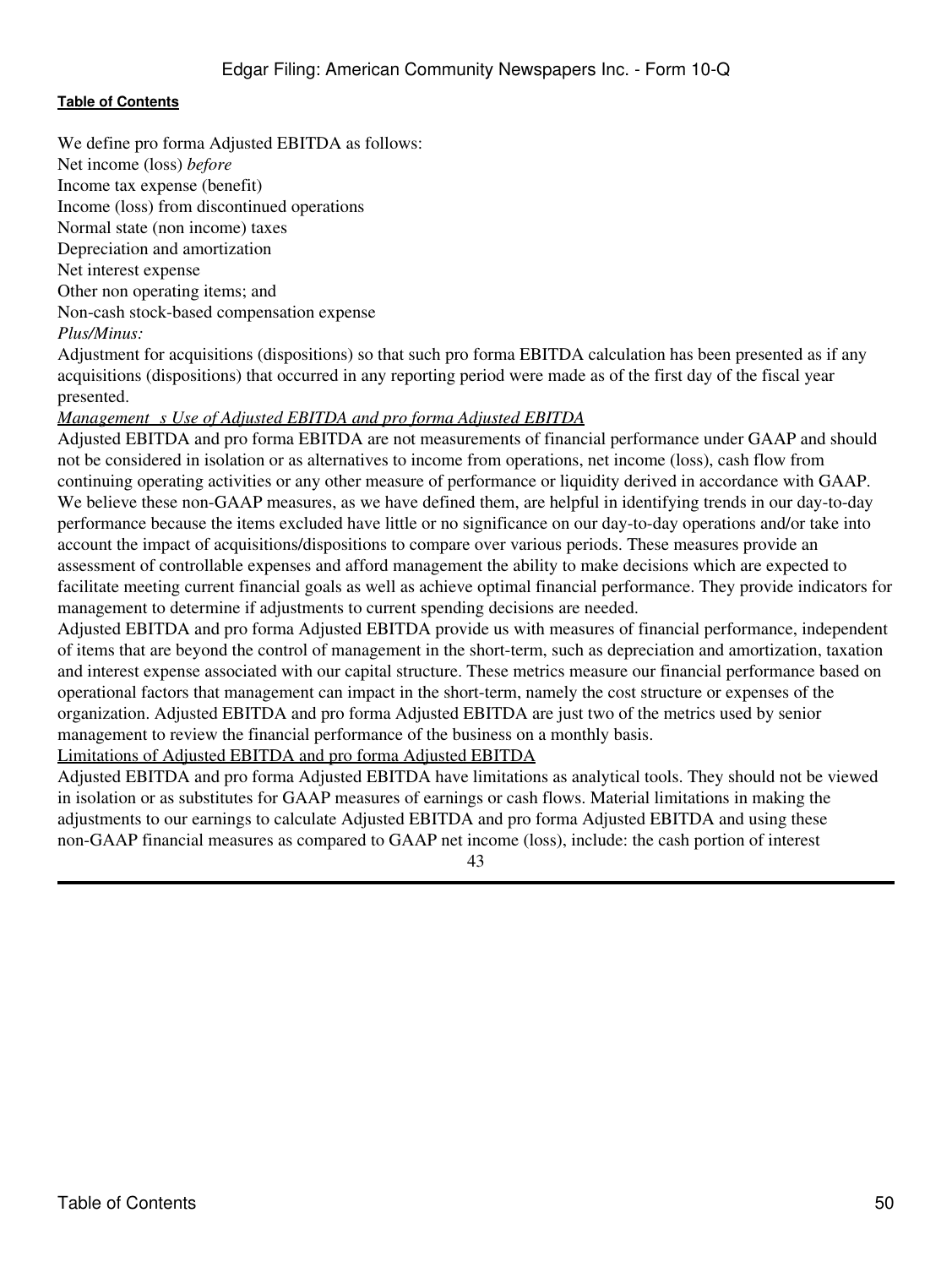We define pro forma Adjusted EBITDA as follows: Net income (loss) *before*

Income tax expense (benefit)

Income (loss) from discontinued operations

Normal state (non income) taxes

Depreciation and amortization

Net interest expense

Other non operating items; and

Non-cash stock-based compensation expense

*Plus/Minus:*

Adjustment for acquisitions (dispositions) so that such pro forma EBITDA calculation has been presented as if any acquisitions (dispositions) that occurred in any reporting period were made as of the first day of the fiscal year presented.

# *Management s Use of Adjusted EBITDA and pro forma Adjusted EBITDA*

Adjusted EBITDA and pro forma EBITDA are not measurements of financial performance under GAAP and should not be considered in isolation or as alternatives to income from operations, net income (loss), cash flow from continuing operating activities or any other measure of performance or liquidity derived in accordance with GAAP. We believe these non-GAAP measures, as we have defined them, are helpful in identifying trends in our day-to-day performance because the items excluded have little or no significance on our day-to-day operations and/or take into account the impact of acquisitions/dispositions to compare over various periods. These measures provide an assessment of controllable expenses and afford management the ability to make decisions which are expected to facilitate meeting current financial goals as well as achieve optimal financial performance. They provide indicators for management to determine if adjustments to current spending decisions are needed.

Adjusted EBITDA and pro forma Adjusted EBITDA provide us with measures of financial performance, independent of items that are beyond the control of management in the short-term, such as depreciation and amortization, taxation and interest expense associated with our capital structure. These metrics measure our financial performance based on operational factors that management can impact in the short-term, namely the cost structure or expenses of the organization. Adjusted EBITDA and pro forma Adjusted EBITDA are just two of the metrics used by senior management to review the financial performance of the business on a monthly basis.

# Limitations of Adjusted EBITDA and pro forma Adjusted EBITDA

Adjusted EBITDA and pro forma Adjusted EBITDA have limitations as analytical tools. They should not be viewed in isolation or as substitutes for GAAP measures of earnings or cash flows. Material limitations in making the adjustments to our earnings to calculate Adjusted EBITDA and pro forma Adjusted EBITDA and using these non-GAAP financial measures as compared to GAAP net income (loss), include: the cash portion of interest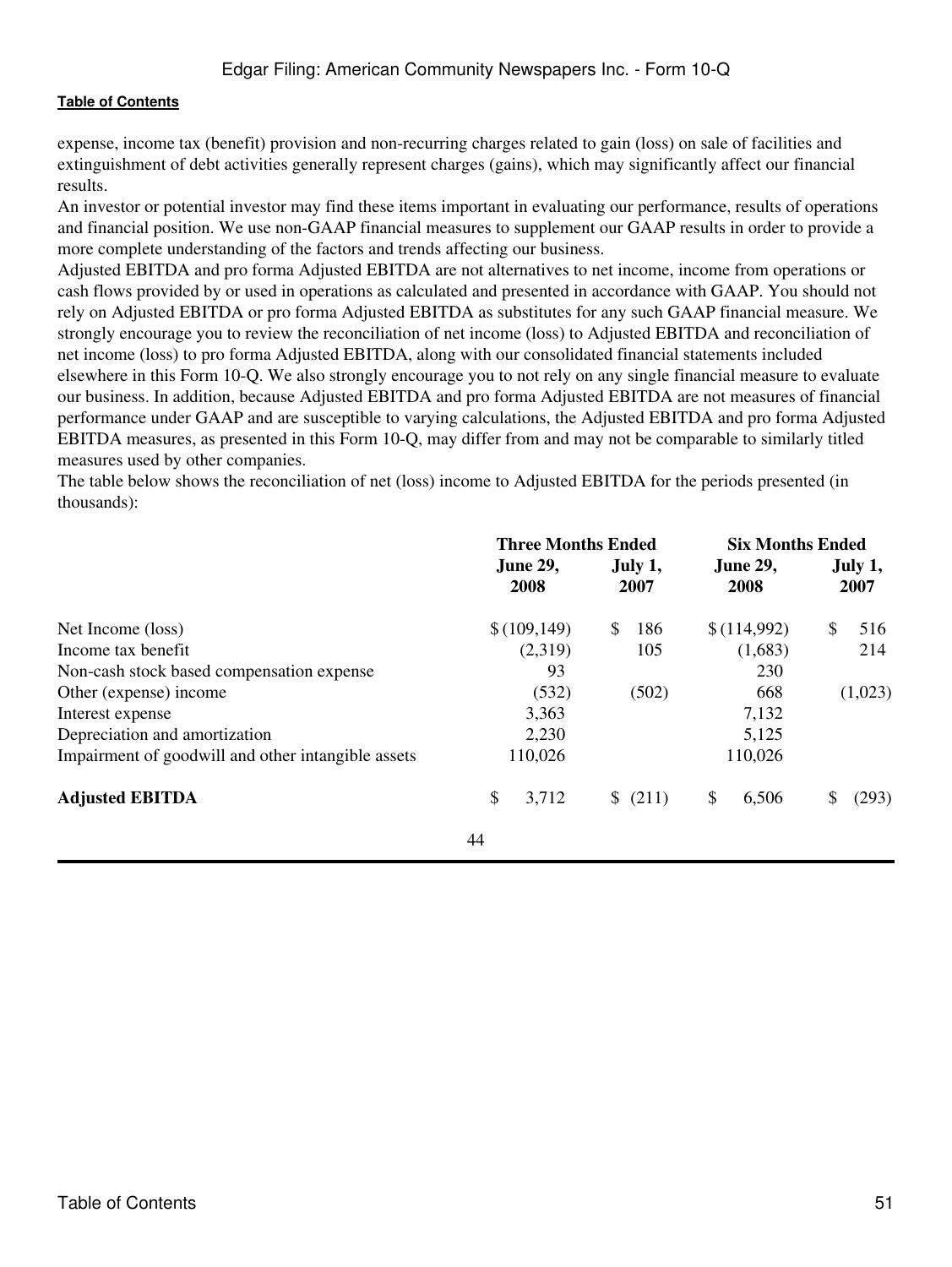expense, income tax (benefit) provision and non-recurring charges related to gain (loss) on sale of facilities and extinguishment of debt activities generally represent charges (gains), which may significantly affect our financial results.

An investor or potential investor may find these items important in evaluating our performance, results of operations and financial position. We use non-GAAP financial measures to supplement our GAAP results in order to provide a more complete understanding of the factors and trends affecting our business.

Adjusted EBITDA and pro forma Adjusted EBITDA are not alternatives to net income, income from operations or cash flows provided by or used in operations as calculated and presented in accordance with GAAP. You should not rely on Adjusted EBITDA or pro forma Adjusted EBITDA as substitutes for any such GAAP financial measure. We strongly encourage you to review the reconciliation of net income (loss) to Adjusted EBITDA and reconciliation of net income (loss) to pro forma Adjusted EBITDA, along with our consolidated financial statements included elsewhere in this Form 10-Q. We also strongly encourage you to not rely on any single financial measure to evaluate our business. In addition, because Adjusted EBITDA and pro forma Adjusted EBITDA are not measures of financial performance under GAAP and are susceptible to varying calculations, the Adjusted EBITDA and pro forma Adjusted EBITDA measures, as presented in this Form 10-Q, may differ from and may not be comparable to similarly titled measures used by other companies.

The table below shows the reconciliation of net (loss) income to Adjusted EBITDA for the periods presented (in thousands):

|                                                    | <b>Three Months Ended</b> |                 | <b>Six Months Ended</b> |                 |  |
|----------------------------------------------------|---------------------------|-----------------|-------------------------|-----------------|--|
|                                                    | <b>June 29,</b><br>2008   | July 1,<br>2007 | <b>June 29,</b><br>2008 | July 1,<br>2007 |  |
| Net Income (loss)                                  | \$(109, 149)              | \$<br>186       | \$(114,992)             | \$<br>516       |  |
| Income tax benefit                                 | (2,319)                   | 105             | (1,683)                 | 214             |  |
| Non-cash stock based compensation expense          | 93                        |                 | 230                     |                 |  |
| Other (expense) income                             | (532)                     | (502)           | 668                     | (1,023)         |  |
| Interest expense                                   | 3,363                     |                 | 7,132                   |                 |  |
| Depreciation and amortization                      | 2,230                     |                 | 5,125                   |                 |  |
| Impairment of goodwill and other intangible assets | 110,026                   |                 | 110,026                 |                 |  |
| <b>Adjusted EBITDA</b>                             | \$<br>3,712               | \$(211)         | \$<br>6,506             | (293)<br>\$     |  |
|                                                    | 44                        |                 |                         |                 |  |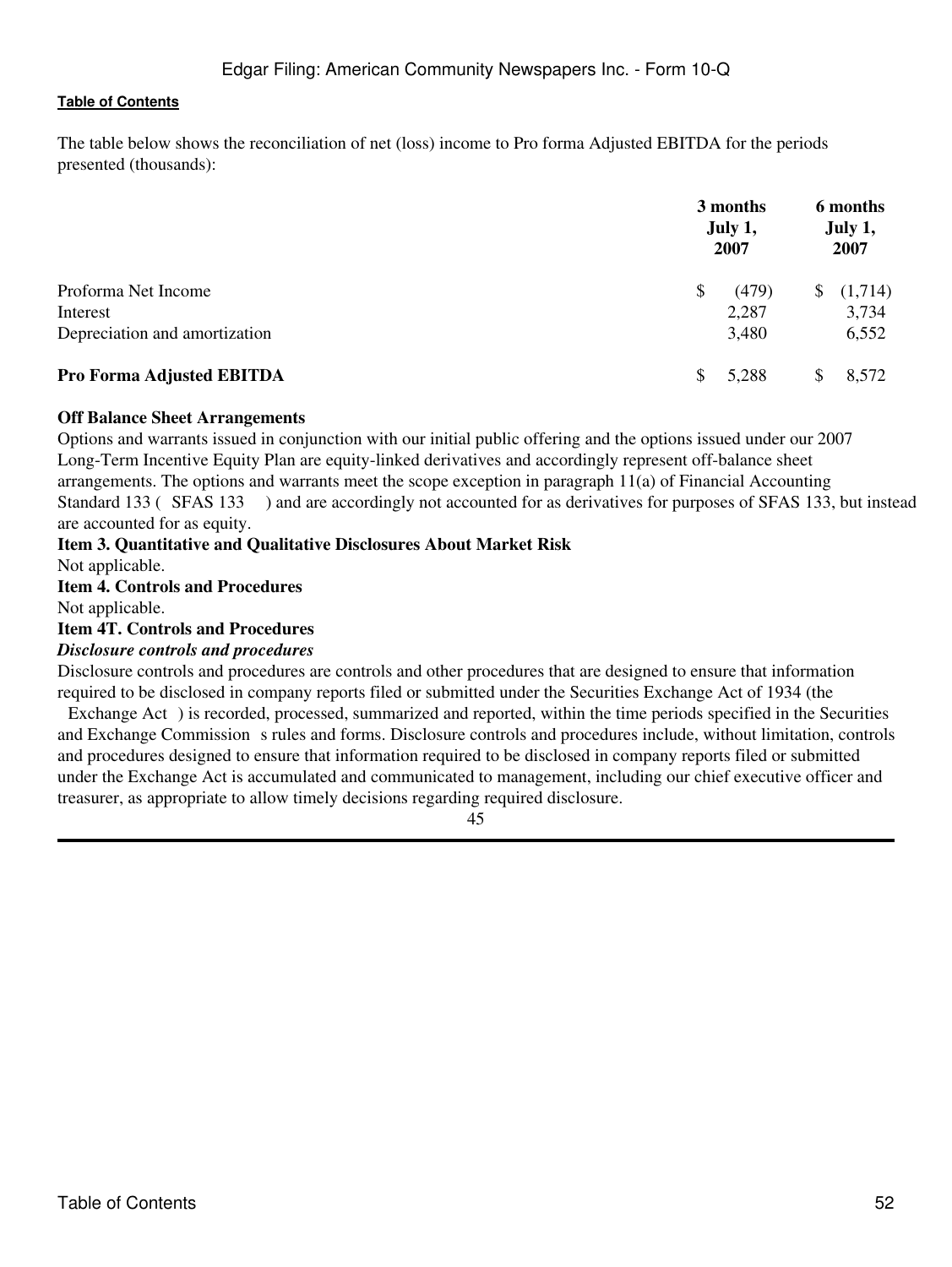The table below shows the reconciliation of net (loss) income to Pro forma Adjusted EBITDA for the periods presented (thousands):

|                               | 3 months<br>July 1,<br>2007 | 6 months<br>July 1,<br>2007 |  |  |
|-------------------------------|-----------------------------|-----------------------------|--|--|
| Proforma Net Income           | (479)<br>\$                 | (1,714)<br>\$               |  |  |
| Interest                      | 2,287                       | 3,734                       |  |  |
| Depreciation and amortization | 3,480                       | 6,552                       |  |  |
| Pro Forma Adjusted EBITDA     | 5,288                       | 8,572<br>S.                 |  |  |

#### **Off Balance Sheet Arrangements**

Options and warrants issued in conjunction with our initial public offering and the options issued under our 2007 Long-Term Incentive Equity Plan are equity-linked derivatives and accordingly represent off-balance sheet arrangements. The options and warrants meet the scope exception in paragraph 11(a) of Financial Accounting Standard 133 (SFAS 133) and are accordingly not accounted for as derivatives for purposes of SFAS 133, but instead are accounted for as equity.

# <span id="page-51-0"></span>**Item 3. Quantitative and Qualitative Disclosures About Market Risk**

Not applicable.

# <span id="page-51-1"></span>**Item 4. Controls and Procedures**

Not applicable.

### <span id="page-51-2"></span>**Item 4T. Controls and Procedures**

#### *Disclosure controls and procedures*

Disclosure controls and procedures are controls and other procedures that are designed to ensure that information required to be disclosed in company reports filed or submitted under the Securities Exchange Act of 1934 (the

Exchange Act) is recorded, processed, summarized and reported, within the time periods specified in the Securities and Exchange Commission s rules and forms. Disclosure controls and procedures include, without limitation, controls and procedures designed to ensure that information required to be disclosed in company reports filed or submitted under the Exchange Act is accumulated and communicated to management, including our chief executive officer and treasurer, as appropriate to allow timely decisions regarding required disclosure.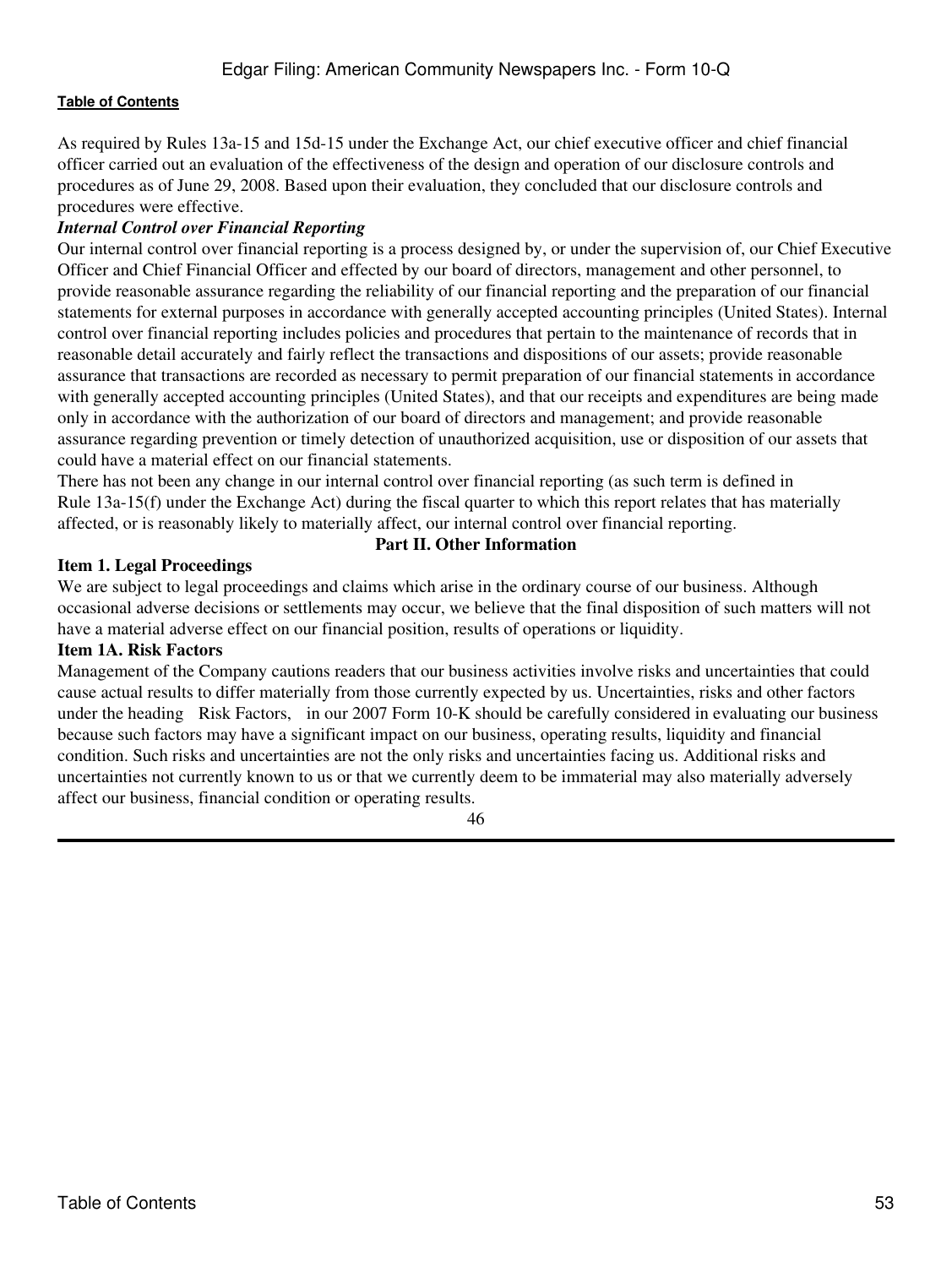As required by Rules 13a-15 and 15d-15 under the Exchange Act, our chief executive officer and chief financial officer carried out an evaluation of the effectiveness of the design and operation of our disclosure controls and procedures as of June 29, 2008. Based upon their evaluation, they concluded that our disclosure controls and procedures were effective.

# *Internal Control over Financial Reporting*

Our internal control over financial reporting is a process designed by, or under the supervision of, our Chief Executive Officer and Chief Financial Officer and effected by our board of directors, management and other personnel, to provide reasonable assurance regarding the reliability of our financial reporting and the preparation of our financial statements for external purposes in accordance with generally accepted accounting principles (United States). Internal control over financial reporting includes policies and procedures that pertain to the maintenance of records that in reasonable detail accurately and fairly reflect the transactions and dispositions of our assets; provide reasonable assurance that transactions are recorded as necessary to permit preparation of our financial statements in accordance with generally accepted accounting principles (United States), and that our receipts and expenditures are being made only in accordance with the authorization of our board of directors and management; and provide reasonable assurance regarding prevention or timely detection of unauthorized acquisition, use or disposition of our assets that could have a material effect on our financial statements.

There has not been any change in our internal control over financial reporting (as such term is defined in Rule 13a-15(f) under the Exchange Act) during the fiscal quarter to which this report relates that has materially affected, or is reasonably likely to materially affect, our internal control over financial reporting.

# **Part II. Other Information**

#### <span id="page-52-1"></span><span id="page-52-0"></span>**Item 1. Legal Proceedings**

We are subject to legal proceedings and claims which arise in the ordinary course of our business. Although occasional adverse decisions or settlements may occur, we believe that the final disposition of such matters will not have a material adverse effect on our financial position, results of operations or liquidity.

#### <span id="page-52-2"></span>**Item 1A. Risk Factors**

Management of the Company cautions readers that our business activities involve risks and uncertainties that could cause actual results to differ materially from those currently expected by us. Uncertainties, risks and other factors under the heading Risk Factors, in our 2007 Form 10-K should be carefully considered in evaluating our business because such factors may have a significant impact on our business, operating results, liquidity and financial condition. Such risks and uncertainties are not the only risks and uncertainties facing us. Additional risks and uncertainties not currently known to us or that we currently deem to be immaterial may also materially adversely affect our business, financial condition or operating results.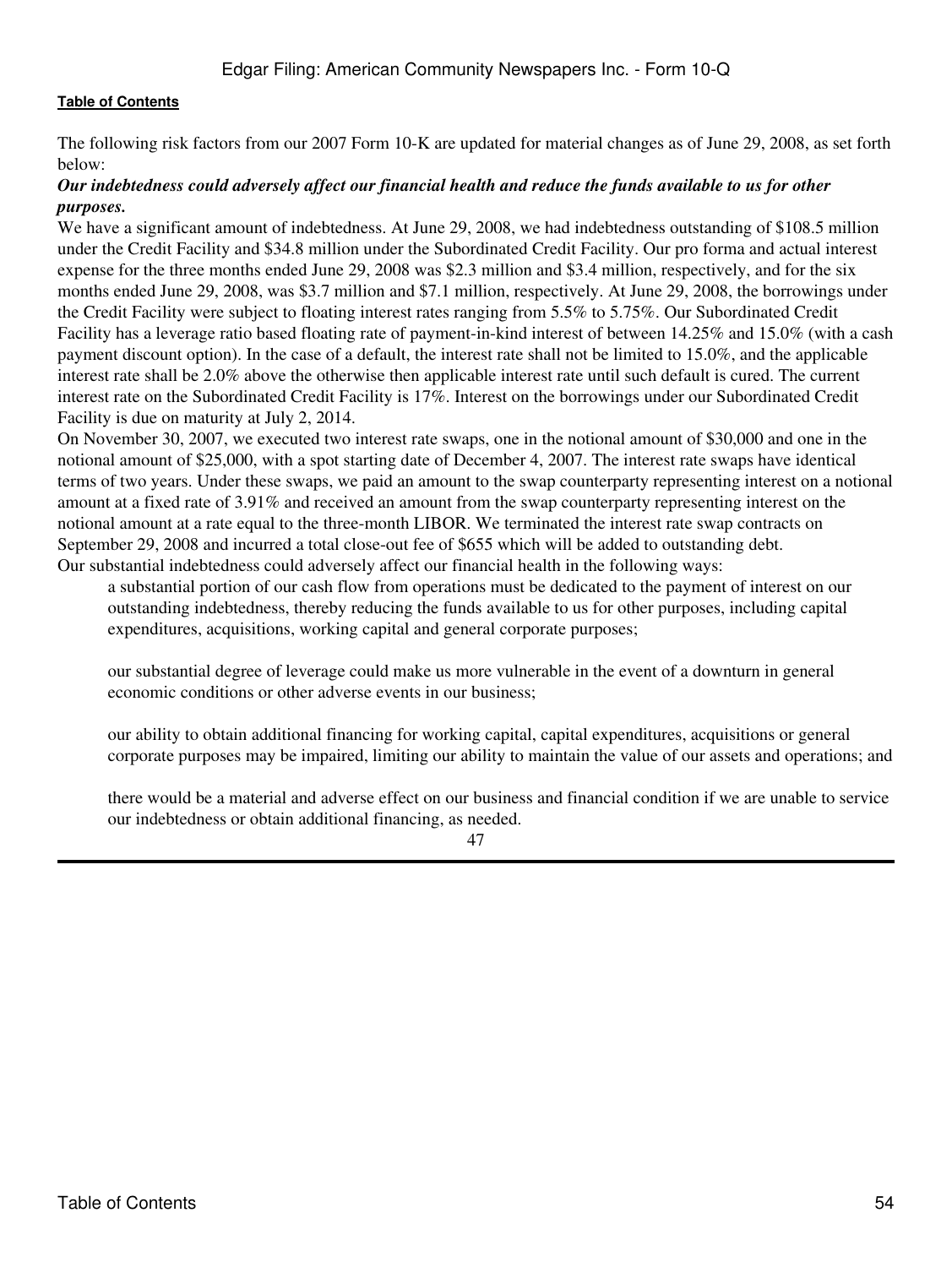The following risk factors from our 2007 Form 10-K are updated for material changes as of June 29, 2008, as set forth below:

### *Our indebtedness could adversely affect our financial health and reduce the funds available to us for other purposes.*

We have a significant amount of indebtedness. At June 29, 2008, we had indebtedness outstanding of \$108.5 million under the Credit Facility and \$34.8 million under the Subordinated Credit Facility. Our pro forma and actual interest expense for the three months ended June 29, 2008 was \$2.3 million and \$3.4 million, respectively, and for the six months ended June 29, 2008, was \$3.7 million and \$7.1 million, respectively. At June 29, 2008, the borrowings under the Credit Facility were subject to floating interest rates ranging from 5.5% to 5.75%. Our Subordinated Credit Facility has a leverage ratio based floating rate of payment-in-kind interest of between 14.25% and 15.0% (with a cash payment discount option). In the case of a default, the interest rate shall not be limited to 15.0%, and the applicable interest rate shall be 2.0% above the otherwise then applicable interest rate until such default is cured. The current interest rate on the Subordinated Credit Facility is 17%. Interest on the borrowings under our Subordinated Credit Facility is due on maturity at July 2, 2014.

On November 30, 2007, we executed two interest rate swaps, one in the notional amount of \$30,000 and one in the notional amount of \$25,000, with a spot starting date of December 4, 2007. The interest rate swaps have identical terms of two years. Under these swaps, we paid an amount to the swap counterparty representing interest on a notional amount at a fixed rate of 3.91% and received an amount from the swap counterparty representing interest on the notional amount at a rate equal to the three-month LIBOR. We terminated the interest rate swap contracts on September 29, 2008 and incurred a total close-out fee of \$655 which will be added to outstanding debt. Our substantial indebtedness could adversely affect our financial health in the following ways:

a substantial portion of our cash flow from operations must be dedicated to the payment of interest on our outstanding indebtedness, thereby reducing the funds available to us for other purposes, including capital expenditures, acquisitions, working capital and general corporate purposes;

our substantial degree of leverage could make us more vulnerable in the event of a downturn in general economic conditions or other adverse events in our business;

our ability to obtain additional financing for working capital, capital expenditures, acquisitions or general corporate purposes may be impaired, limiting our ability to maintain the value of our assets and operations; and

there would be a material and adverse effect on our business and financial condition if we are unable to service our indebtedness or obtain additional financing, as needed.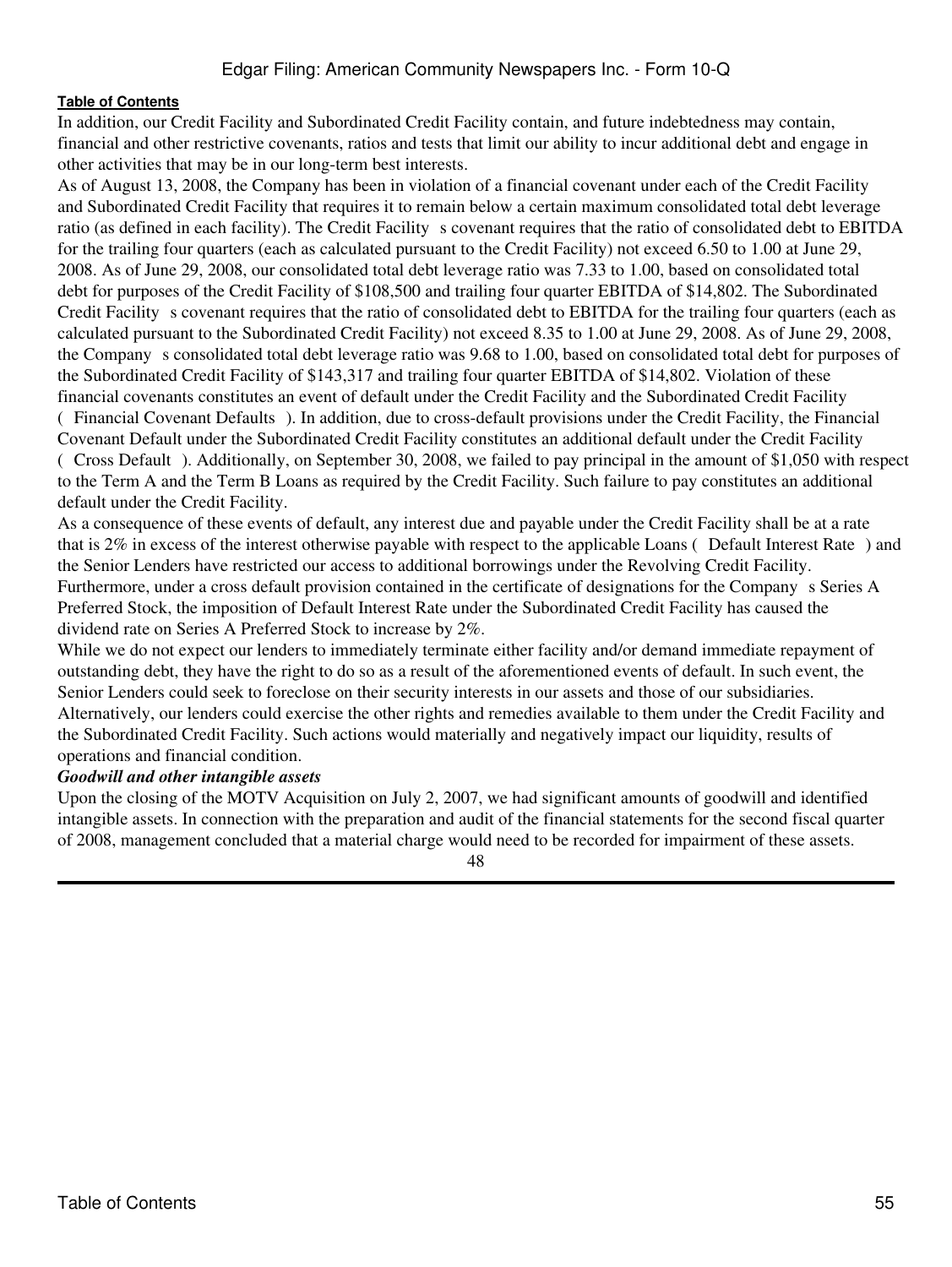In addition, our Credit Facility and Subordinated Credit Facility contain, and future indebtedness may contain, financial and other restrictive covenants, ratios and tests that limit our ability to incur additional debt and engage in other activities that may be in our long-term best interests.

As of August 13, 2008, the Company has been in violation of a financial covenant under each of the Credit Facility and Subordinated Credit Facility that requires it to remain below a certain maximum consolidated total debt leverage ratio (as defined in each facility). The Credit Facility s covenant requires that the ratio of consolidated debt to EBITDA for the trailing four quarters (each as calculated pursuant to the Credit Facility) not exceed 6.50 to 1.00 at June 29, 2008. As of June 29, 2008, our consolidated total debt leverage ratio was 7.33 to 1.00, based on consolidated total debt for purposes of the Credit Facility of \$108,500 and trailing four quarter EBITDA of \$14,802. The Subordinated Credit Facility s covenant requires that the ratio of consolidated debt to EBITDA for the trailing four quarters (each as calculated pursuant to the Subordinated Credit Facility) not exceed 8.35 to 1.00 at June 29, 2008. As of June 29, 2008, the Companys consolidated total debt leverage ratio was 9.68 to 1.00, based on consolidated total debt for purposes of the Subordinated Credit Facility of \$143,317 and trailing four quarter EBITDA of \$14,802. Violation of these financial covenants constitutes an event of default under the Credit Facility and the Subordinated Credit Facility (Financial Covenant Defaults). In addition, due to cross-default provisions under the Credit Facility, the Financial Covenant Default under the Subordinated Credit Facility constitutes an additional default under the Credit Facility (Cross Default). Additionally, on September 30, 2008, we failed to pay principal in the amount of \$1,050 with respect to the Term A and the Term B Loans as required by the Credit Facility. Such failure to pay constitutes an additional default under the Credit Facility.

As a consequence of these events of default, any interest due and payable under the Credit Facility shall be at a rate that is 2% in excess of the interest otherwise payable with respect to the applicable Loans (Default Interest Rate) and the Senior Lenders have restricted our access to additional borrowings under the Revolving Credit Facility. Furthermore, under a cross default provision contained in the certificate of designations for the Company s Series A Preferred Stock, the imposition of Default Interest Rate under the Subordinated Credit Facility has caused the dividend rate on Series A Preferred Stock to increase by 2%.

While we do not expect our lenders to immediately terminate either facility and/or demand immediate repayment of outstanding debt, they have the right to do so as a result of the aforementioned events of default. In such event, the Senior Lenders could seek to foreclose on their security interests in our assets and those of our subsidiaries. Alternatively, our lenders could exercise the other rights and remedies available to them under the Credit Facility and the Subordinated Credit Facility. Such actions would materially and negatively impact our liquidity, results of operations and financial condition.

#### *Goodwill and other intangible assets*

Upon the closing of the MOTV Acquisition on July 2, 2007, we had significant amounts of goodwill and identified intangible assets. In connection with the preparation and audit of the financial statements for the second fiscal quarter of 2008, management concluded that a material charge would need to be recorded for impairment of these assets.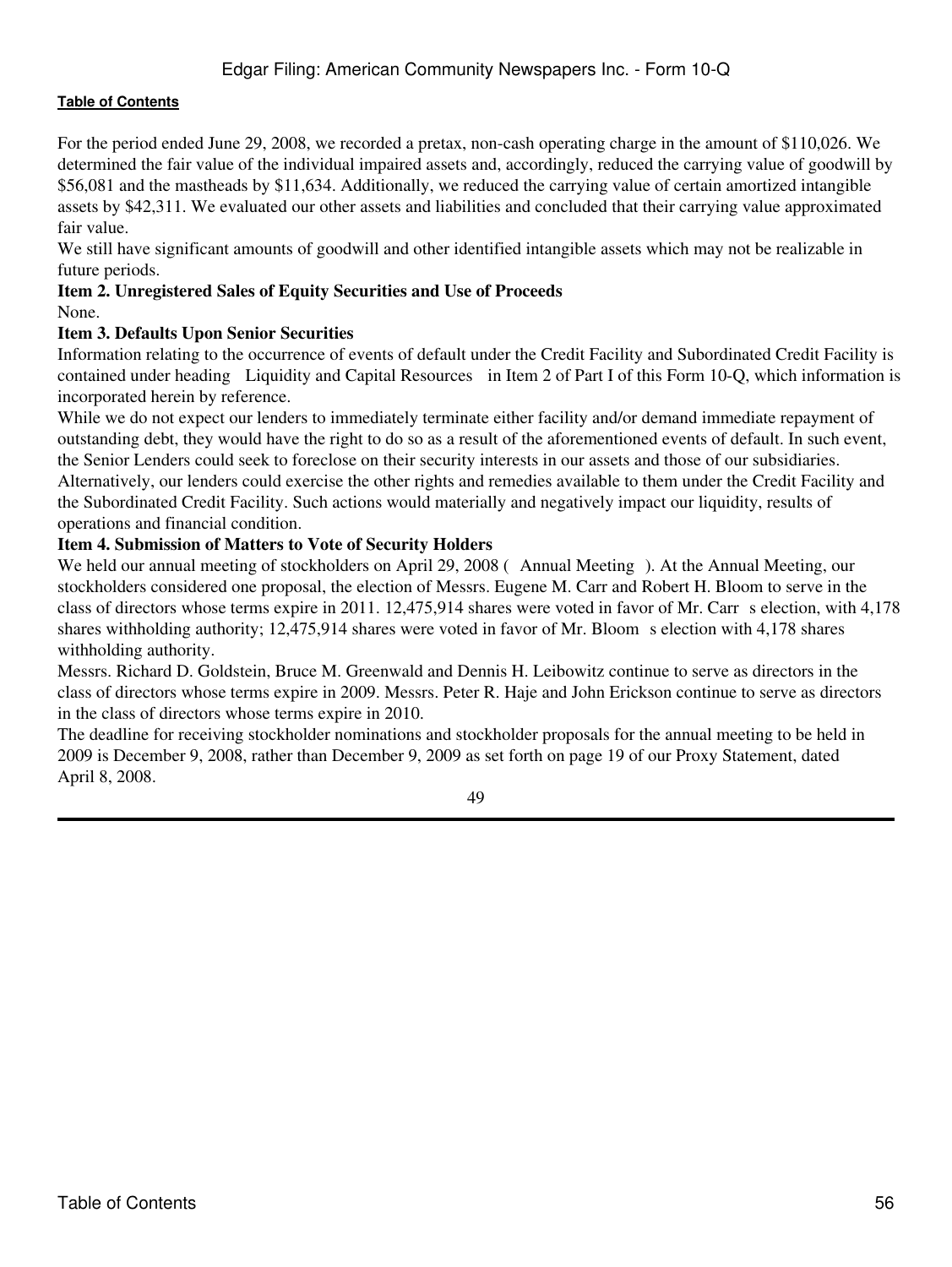For the period ended June 29, 2008, we recorded a pretax, non-cash operating charge in the amount of \$110,026. We determined the fair value of the individual impaired assets and, accordingly, reduced the carrying value of goodwill by \$56,081 and the mastheads by \$11,634. Additionally, we reduced the carrying value of certain amortized intangible assets by \$42,311. We evaluated our other assets and liabilities and concluded that their carrying value approximated fair value.

We still have significant amounts of goodwill and other identified intangible assets which may not be realizable in future periods.

# <span id="page-55-0"></span>**Item 2. Unregistered Sales of Equity Securities and Use of Proceeds**

None.

# <span id="page-55-1"></span>**Item 3. Defaults Upon Senior Securities**

Information relating to the occurrence of events of default under the Credit Facility and Subordinated Credit Facility is contained under heading Liquidity and Capital Resources in Item 2 of Part I of this Form 10-Q, which information is incorporated herein by reference.

While we do not expect our lenders to immediately terminate either facility and/or demand immediate repayment of outstanding debt, they would have the right to do so as a result of the aforementioned events of default. In such event, the Senior Lenders could seek to foreclose on their security interests in our assets and those of our subsidiaries. Alternatively, our lenders could exercise the other rights and remedies available to them under the Credit Facility and the Subordinated Credit Facility. Such actions would materially and negatively impact our liquidity, results of operations and financial condition.

# <span id="page-55-2"></span>**Item 4. Submission of Matters to Vote of Security Holders**

We held our annual meeting of stockholders on April 29, 2008 (Annual Meeting). At the Annual Meeting, our stockholders considered one proposal, the election of Messrs. Eugene M. Carr and Robert H. Bloom to serve in the class of directors whose terms expire in 2011. 12,475,914 shares were voted in favor of Mr. Carr s election, with 4,178 shares withholding authority; 12,475,914 shares were voted in favor of Mr. Bloom s election with 4,178 shares withholding authority.

Messrs. Richard D. Goldstein, Bruce M. Greenwald and Dennis H. Leibowitz continue to serve as directors in the class of directors whose terms expire in 2009. Messrs. Peter R. Haje and John Erickson continue to serve as directors in the class of directors whose terms expire in 2010.

The deadline for receiving stockholder nominations and stockholder proposals for the annual meeting to be held in 2009 is December 9, 2008, rather than December 9, 2009 as set forth on page 19 of our Proxy Statement, dated April 8, 2008.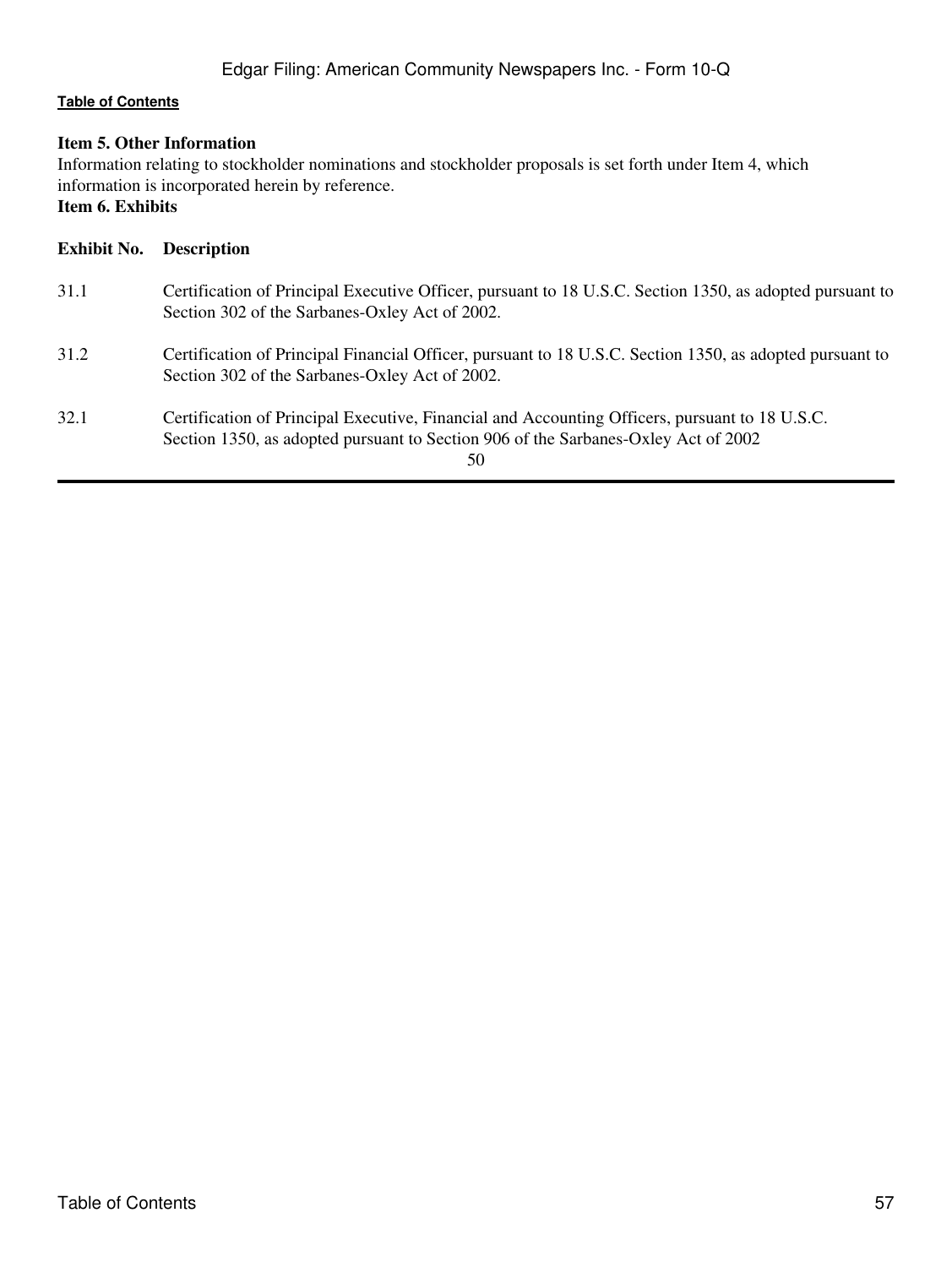# <span id="page-56-0"></span>**Item 5. Other Information**

Information relating to stockholder nominations and stockholder proposals is set forth under Item 4, which information is incorporated herein by reference.

# <span id="page-56-1"></span>**Item 6. Exhibits**

| Exhibit No. | <b>Description</b>                                                                                                                                                                         |
|-------------|--------------------------------------------------------------------------------------------------------------------------------------------------------------------------------------------|
| 31.1        | Certification of Principal Executive Officer, pursuant to 18 U.S.C. Section 1350, as adopted pursuant to<br>Section 302 of the Sarbanes-Oxley Act of 2002.                                 |
| 31.2        | Certification of Principal Financial Officer, pursuant to 18 U.S.C. Section 1350, as adopted pursuant to<br>Section 302 of the Sarbanes-Oxley Act of 2002.                                 |
| 32.1        | Certification of Principal Executive, Financial and Accounting Officers, pursuant to 18 U.S.C.<br>Section 1350, as adopted pursuant to Section 906 of the Sarbanes-Oxley Act of 2002<br>50 |